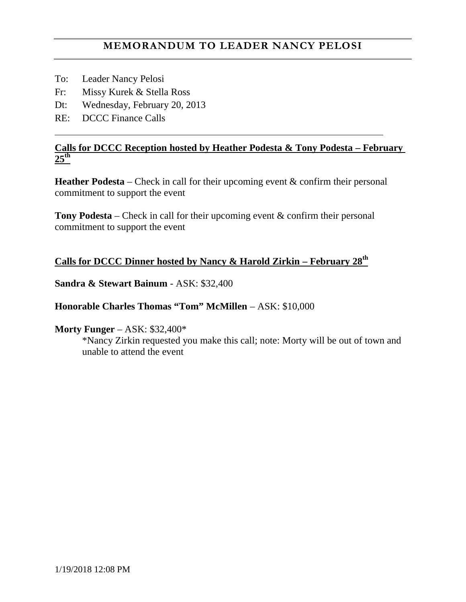- To: Leader Nancy Pelosi
- Fr: Missy Kurek & Stella Ross
- Dt: Wednesday, February 20, 2013
- RE: DCCC Finance Calls

## **Calls for DCCC Reception hosted by Heather Podesta & Tony Podesta – February 25th**

**Heather Podesta** – Check in call for their upcoming event & confirm their personal commitment to support the event

**Tony Podesta** – Check in call for their upcoming event & confirm their personal commitment to support the event

# **Calls for DCCC Dinner hosted by Nancy & Harold Zirkin – February 28th**

**Sandra & Stewart Bainum** - ASK: \$32,400

## **Honorable Charles Thomas "Tom" McMillen** – ASK: \$10,000

## **Morty Funger** – ASK: \$32,400\*

\*Nancy Zirkin requested you make this call; note: Morty will be out of town and unable to attend the event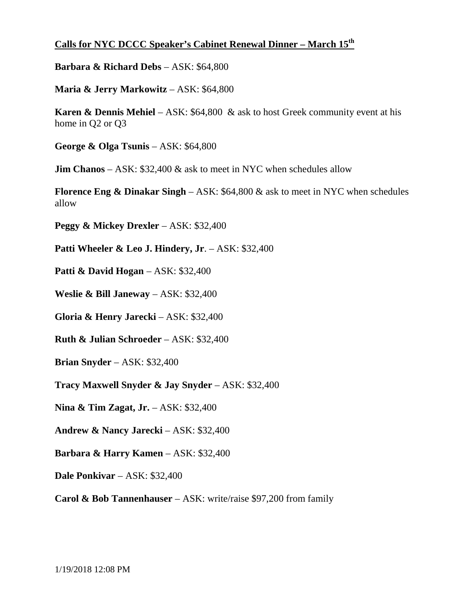## **Calls for NYC DCCC Speaker's Cabinet Renewal Dinner – March 15th**

**Barbara & Richard Debs** – ASK: \$64,800

**Maria & Jerry Markowitz** – ASK: \$64,800

**Karen & Dennis Mehiel** – ASK: \$64,800 & ask to host Greek community event at his home in Q2 or Q3

**George & Olga Tsunis** – ASK: \$64,800

**Jim Chanos** – ASK: \$32,400 & ask to meet in NYC when schedules allow

**Florence Eng & Dinakar Singh** – ASK: \$64,800 & ask to meet in NYC when schedules allow

**Peggy & Mickey Drexler** – ASK: \$32,400

**Patti Wheeler & Leo J. Hindery, Jr**. – ASK: \$32,400

**Patti & David Hogan** – ASK: \$32,400

**Weslie & Bill Janeway** – ASK: \$32,400

**Gloria & Henry Jarecki** – ASK: \$32,400

**Ruth & Julian Schroeder** – ASK: \$32,400

**Brian Snyder** – ASK: \$32,400

**Tracy Maxwell Snyder & Jay Snyder** – ASK: \$32,400

**Nina & Tim Zagat, Jr.** – ASK: \$32,400

**Andrew & Nancy Jarecki** – ASK: \$32,400

**Barbara & Harry Kamen** – ASK: \$32,400

**Dale Ponkivar** – ASK: \$32,400

**Carol & Bob Tannenhauser** – ASK: write/raise \$97,200 from family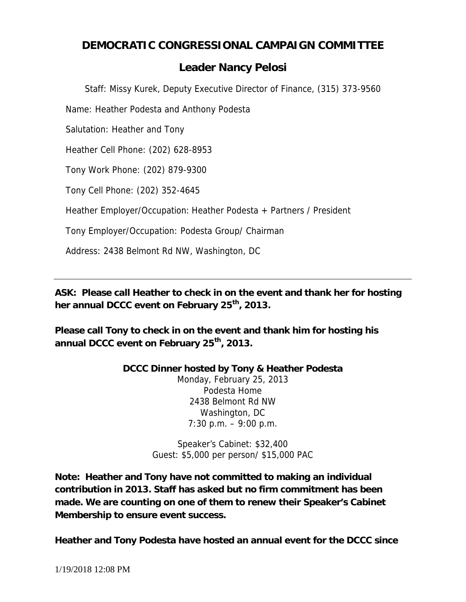# **DEMOCRATIC CONGRESSIONAL CAMPAIGN COMMITTEE**

# *Leader Nancy Pelosi*

*Staff: Missy Kurek, Deputy Executive Director of Finance, (315) 373-9560*

Name: Heather Podesta and Anthony Podesta

Salutation: Heather and Tony

Heather Cell Phone: (202) 628-8953

Tony Work Phone: (202) 879-9300

Tony Cell Phone: (202) 352-4645

Heather Employer/Occupation: Heather Podesta + Partners / President

Tony Employer/Occupation: Podesta Group/ Chairman

Address: 2438 Belmont Rd NW, Washington, DC

**ASK: Please call Heather to check in on the event and thank her for hosting her annual DCCC event on February 25th, 2013.**

**Please call Tony to check in on the event and thank him for hosting his annual DCCC event on February 25th, 2013.**

> **DCCC Dinner hosted by Tony & Heather Podesta** Monday, February 25, 2013 Podesta Home 2438 Belmont Rd NW Washington, DC 7:30 p.m. – 9:00 p.m.

> > Speaker's Cabinet: \$32,400 Guest: \$5,000 per person/ \$15,000 PAC

**Note: Heather and Tony have not committed to making an individual contribution in 2013. Staff has asked but no firm commitment has been made. We are counting on one of them to renew their Speaker's Cabinet Membership to ensure event success.**

**Heather and Tony Podesta have hosted an annual event for the DCCC since**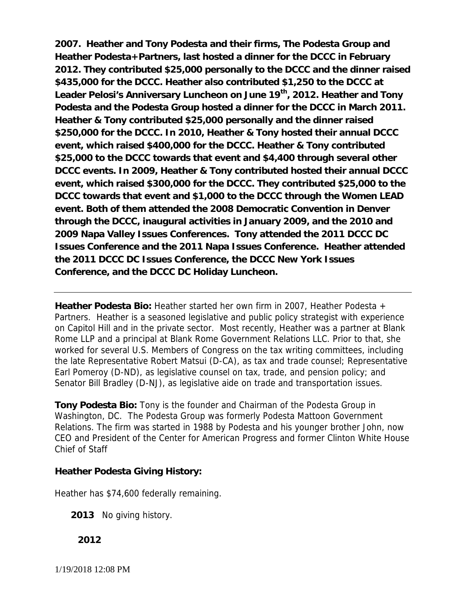**2007. Heather and Tony Podesta and their firms, The Podesta Group and Heather Podesta+Partners, last hosted a dinner for the DCCC in February 2012. They contributed \$25,000 personally to the DCCC and the dinner raised \$435,000 for the DCCC. Heather also contributed \$1,250 to the DCCC at Leader Pelosi's Anniversary Luncheon on June 19th, 2012. Heather and Tony Podesta and the Podesta Group hosted a dinner for the DCCC in March 2011. Heather & Tony contributed \$25,000 personally and the dinner raised \$250,000 for the DCCC. In 2010, Heather & Tony hosted their annual DCCC event, which raised \$400,000 for the DCCC. Heather & Tony contributed \$25,000 to the DCCC towards that event and \$4,400 through several other DCCC events. In 2009, Heather & Tony contributed hosted their annual DCCC event, which raised \$300,000 for the DCCC. They contributed \$25,000 to the DCCC towards that event and \$1,000 to the DCCC through the Women LEAD event. Both of them attended the 2008 Democratic Convention in Denver through the DCCC, inaugural activities in January 2009, and the 2010 and 2009 Napa Valley Issues Conferences. Tony attended the 2011 DCCC DC Issues Conference and the 2011 Napa Issues Conference. Heather attended the 2011 DCCC DC Issues Conference, the DCCC New York Issues Conference, and the DCCC DC Holiday Luncheon.**

**Heather Podesta Bio:** Heather started her own firm in 2007, Heather Podesta + Partners. Heather is a seasoned legislative and public policy strategist with experience on Capitol Hill and in the private sector. Most recently, Heather was a partner at Blank Rome LLP and a principal at Blank Rome Government Relations LLC. Prior to that, she worked for several U.S. Members of Congress on the tax writing committees, including the late Representative Robert Matsui (D-CA), as tax and trade counsel; Representative Earl Pomeroy (D-ND), as legislative counsel on tax, trade, and pension policy; and Senator Bill Bradley (D-NJ), as legislative aide on trade and transportation issues.

**Tony Podesta Bio:** Tony is the founder and Chairman of the Podesta Group in Washington, DC. The Podesta Group was formerly Podesta Mattoon Government Relations. The firm was started in 1988 by Podesta and his younger brother John, now CEO and President of the Center for American Progress and former Clinton White House Chief of Staff

**Heather Podesta Giving History:**

Heather has \$74,600 federally remaining.

**2013** No giving history.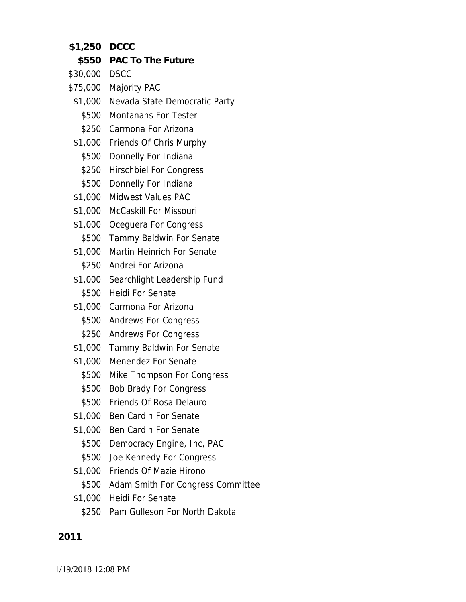- **\$1,250 DCCC**
- **\$550 PAC To The Future**
- \$30,000 DSCC
- \$75,000 Majority PAC
- \$1,000 Nevada State Democratic Party
	- \$500 Montanans For Tester
	- \$250 Carmona For Arizona
- \$1,000 Friends Of Chris Murphy
- \$500 Donnelly For Indiana
- \$250 Hirschbiel For Congress
- \$500 Donnelly For Indiana
- \$1,000 Midwest Values PAC
- \$1,000 McCaskill For Missouri
- \$1,000 Oceguera For Congress
- \$500 Tammy Baldwin For Senate
- \$1,000 Martin Heinrich For Senate
	- \$250 Andrei For Arizona
- \$1,000 Searchlight Leadership Fund \$500 Heidi For Senate
- \$1,000 Carmona For Arizona
	- \$500 Andrews For Congress
	- \$250 Andrews For Congress
- \$1,000 Tammy Baldwin For Senate
- \$1,000 Menendez For Senate
	- \$500 Mike Thompson For Congress
	- \$500 Bob Brady For Congress
	- \$500 Friends Of Rosa Delauro
- \$1,000 Ben Cardin For Senate
- \$1,000 Ben Cardin For Senate
- \$500 Democracy Engine, Inc, PAC
- \$500 Joe Kennedy For Congress
- \$1,000 Friends Of Mazie Hirono
	- \$500 Adam Smith For Congress Committee
- \$1,000 Heidi For Senate
	- \$250 Pam Gulleson For North Dakota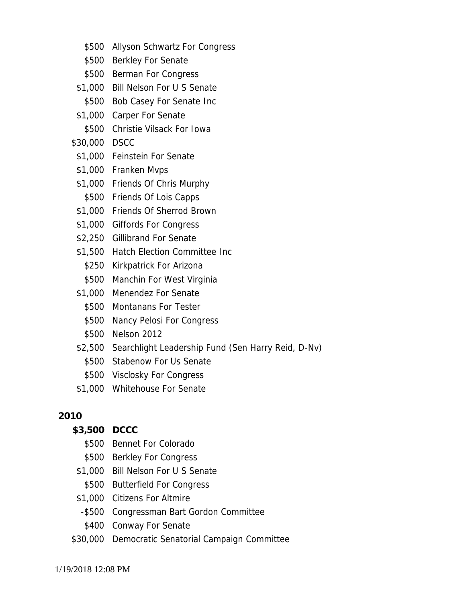- \$500 Allyson Schwartz For Congress
- \$500 Berkley For Senate
- \$500 Berman For Congress
- \$1,000 Bill Nelson For U S Senate \$500 Bob Casey For Senate Inc
- \$1,000 Carper For Senate
- \$500 Christie Vilsack For Iowa

## \$30,000 DSCC

- \$1,000 Feinstein For Senate
- \$1,000 Franken Mvps
- \$1,000 Friends Of Chris Murphy
- \$500 Friends Of Lois Capps
- \$1,000 Friends Of Sherrod Brown
- \$1,000 Giffords For Congress
- \$2,250 Gillibrand For Senate
- \$1,500 Hatch Election Committee Inc
- \$250 Kirkpatrick For Arizona
- \$500 Manchin For West Virginia
- \$1,000 Menendez For Senate
	- \$500 Montanans For Tester
	- \$500 Nancy Pelosi For Congress
	- \$500 Nelson 2012
- \$2,500 Searchlight Leadership Fund (Sen Harry Reid, D-Nv)
	- \$500 Stabenow For Us Senate
- \$500 Visclosky For Congress
- \$1,000 Whitehouse For Senate

## **2010**

- **\$3,500 DCCC**
	- \$500 Bennet For Colorado
	- \$500 Berkley For Congress
- \$1,000 Bill Nelson For U S Senate
- \$500 Butterfield For Congress
- \$1,000 Citizens For Altmire
- -\$500 Congressman Bart Gordon Committee
- \$400 Conway For Senate
- \$30,000 Democratic Senatorial Campaign Committee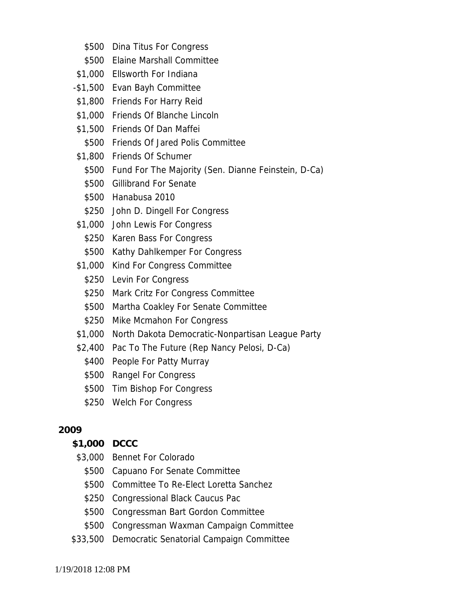- \$500 Dina Titus For Congress
- \$500 Elaine Marshall Committee
- \$1,000 Ellsworth For Indiana
- -\$1,500 Evan Bayh Committee
- \$1,800 Friends For Harry Reid
- \$1,000 Friends Of Blanche Lincoln
- \$1,500 Friends Of Dan Maffei
- \$500 Friends Of Jared Polis Committee
- \$1,800 Friends Of Schumer
	- \$500 Fund For The Majority (Sen. Dianne Feinstein, D-Ca)
	- \$500 Gillibrand For Senate
	- \$500 Hanabusa 2010
	- \$250 John D. Dingell For Congress
- \$1,000 John Lewis For Congress
	- \$250 Karen Bass For Congress
	- \$500 Kathy Dahlkemper For Congress
- \$1,000 Kind For Congress Committee
	- \$250 Levin For Congress
	- \$250 Mark Critz For Congress Committee
	- \$500 Martha Coakley For Senate Committee
	- \$250 Mike Mcmahon For Congress
- \$1,000 North Dakota Democratic-Nonpartisan League Party
- \$2,400 Pac To The Future (Rep Nancy Pelosi, D-Ca)
	- \$400 People For Patty Murray
	- \$500 Rangel For Congress
	- \$500 Tim Bishop For Congress
	- \$250 Welch For Congress

- **\$1,000 DCCC**
- \$3,000 Bennet For Colorado
	- \$500 Capuano For Senate Committee
	- \$500 Committee To Re-Elect Loretta Sanchez
	- \$250 Congressional Black Caucus Pac
	- \$500 Congressman Bart Gordon Committee
- \$500 Congressman Waxman Campaign Committee
- \$33,500 Democratic Senatorial Campaign Committee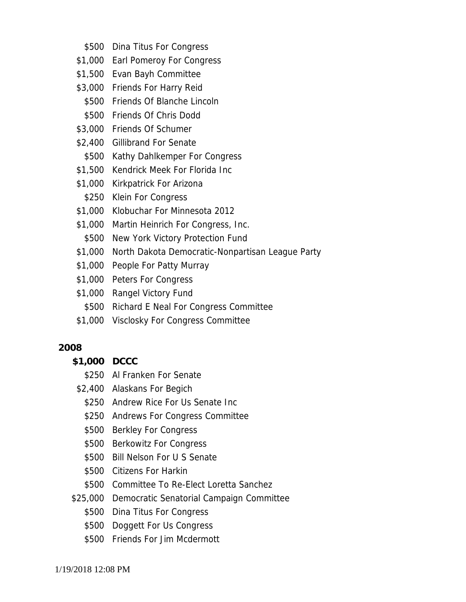- \$500 Dina Titus For Congress
- \$1,000 Earl Pomeroy For Congress
- \$1,500 Evan Bayh Committee
- \$3,000 Friends For Harry Reid
	- \$500 Friends Of Blanche Lincoln
- \$500 Friends Of Chris Dodd
- \$3,000 Friends Of Schumer
- \$2,400 Gillibrand For Senate
- \$500 Kathy Dahlkemper For Congress
- \$1,500 Kendrick Meek For Florida Inc
- \$1,000 Kirkpatrick For Arizona
- \$250 Klein For Congress
- \$1,000 Klobuchar For Minnesota 2012
- \$1,000 Martin Heinrich For Congress, Inc.
- \$500 New York Victory Protection Fund
- \$1,000 North Dakota Democratic-Nonpartisan League Party
- \$1,000 People For Patty Murray
- \$1,000 Peters For Congress
- \$1,000 Rangel Victory Fund
- \$500 Richard E Neal For Congress Committee
- \$1,000 Visclosky For Congress Committee

- **\$1,000 DCCC**
	- \$250 Al Franken For Senate
- \$2,400 Alaskans For Begich
	- \$250 Andrew Rice For Us Senate Inc
	- \$250 Andrews For Congress Committee
	- \$500 Berkley For Congress
	- \$500 Berkowitz For Congress
	- \$500 Bill Nelson For U S Senate
	- \$500 Citizens For Harkin
	- \$500 Committee To Re-Elect Loretta Sanchez
- \$25,000 Democratic Senatorial Campaign Committee
	- \$500 Dina Titus For Congress
	- \$500 Doggett For Us Congress
	- \$500 Friends For Jim Mcdermott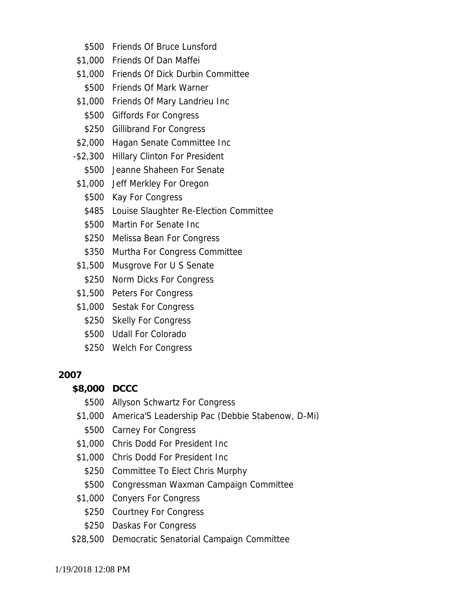- \$500 Friends Of Bruce Lunsford
- \$1,000 Friends Of Dan Maffei
- \$1,000 Friends Of Dick Durbin Committee
- \$500 Friends Of Mark Warner
- \$1,000 Friends Of Mary Landrieu Inc
	- \$500 Giffords For Congress
	- \$250 Gillibrand For Congress
- \$2,000 Hagan Senate Committee Inc
- -\$2,300 Hillary Clinton For President
	- \$500 Jeanne Shaheen For Senate
- \$1,000 Jeff Merkley For Oregon
	- \$500 Kay For Congress
	- \$485 Louise Slaughter Re-Election Committee
	- \$500 Martin For Senate Inc
	- \$250 Melissa Bean For Congress
	- \$350 Murtha For Congress Committee
- \$1,500 Musgrove For U S Senate
	- \$250 Norm Dicks For Congress
- \$1,500 Peters For Congress
- \$1,000 Sestak For Congress
	- \$250 Skelly For Congress
	- \$500 Udall For Colorado
	- \$250 Welch For Congress

- **\$8,000 DCCC**
	- \$500 Allyson Schwartz For Congress
- \$1,000 America'S Leadership Pac (Debbie Stabenow, D-Mi)
- \$500 Carney For Congress
- \$1,000 Chris Dodd For President Inc
- \$1,000 Chris Dodd For President Inc
	- \$250 Committee To Elect Chris Murphy
	- \$500 Congressman Waxman Campaign Committee
- \$1,000 Conyers For Congress
	- \$250 Courtney For Congress
	- \$250 Daskas For Congress
- \$28,500 Democratic Senatorial Campaign Committee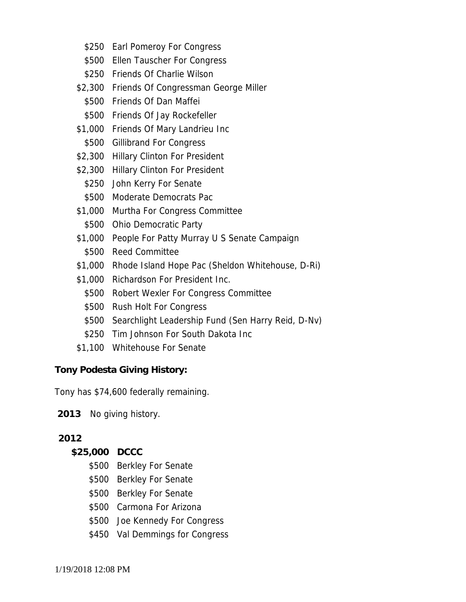- \$250 Earl Pomeroy For Congress
- \$500 Ellen Tauscher For Congress
- \$250 Friends Of Charlie Wilson
- \$2,300 Friends Of Congressman George Miller
	- \$500 Friends Of Dan Maffei
	- \$500 Friends Of Jay Rockefeller
- \$1,000 Friends Of Mary Landrieu Inc
- \$500 Gillibrand For Congress
- \$2,300 Hillary Clinton For President
- \$2,300 Hillary Clinton For President
	- \$250 John Kerry For Senate
	- \$500 Moderate Democrats Pac
- \$1,000 Murtha For Congress Committee
	- \$500 Ohio Democratic Party
- \$1,000 People For Patty Murray U S Senate Campaign
- \$500 Reed Committee
- \$1,000 Rhode Island Hope Pac (Sheldon Whitehouse, D-Ri)
- \$1,000 Richardson For President Inc.
	- \$500 Robert Wexler For Congress Committee
	- \$500 Rush Holt For Congress
	- \$500 Searchlight Leadership Fund (Sen Harry Reid, D-Nv)
	- \$250 Tim Johnson For South Dakota Inc
- \$1,100 Whitehouse For Senate

**Tony Podesta Giving History:**

Tony has \$74,600 federally remaining.

**2013** No giving history.

## **2012**

**\$25,000 DCCC**

- \$500 Berkley For Senate
- \$500 Berkley For Senate
- \$500 Berkley For Senate
- \$500 Carmona For Arizona
- \$500 Joe Kennedy For Congress
- \$450 Val Demmings for Congress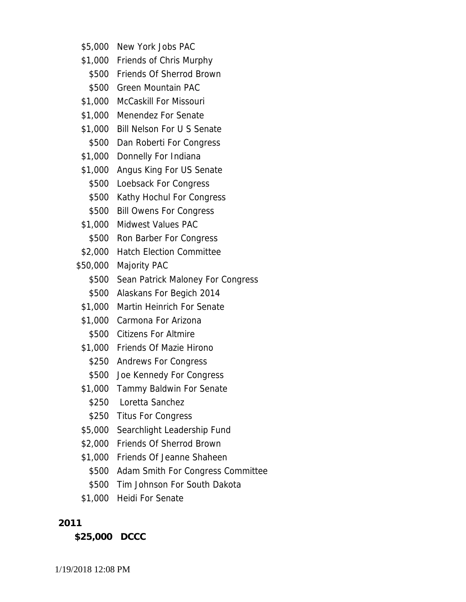- \$5,000 New York Jobs PAC
- \$1,000 Friends of Chris Murphy
- \$500 Friends Of Sherrod Brown
- \$500 Green Mountain PAC
- \$1,000 McCaskill For Missouri
- \$1,000 Menendez For Senate
- \$1,000 Bill Nelson For U S Senate \$500 Dan Roberti For Congress
- \$1,000 Donnelly For Indiana
- \$1,000 Angus King For US Senate
- \$500 Loebsack For Congress
- \$500 Kathy Hochul For Congress
- \$500 Bill Owens For Congress
- \$1,000 Midwest Values PAC
- \$500 Ron Barber For Congress
- \$2,000 Hatch Election Committee
- \$50,000 Majority PAC
	- \$500 Sean Patrick Maloney For Congress
	- \$500 Alaskans For Begich 2014
	- \$1,000 Martin Heinrich For Senate
	- \$1,000 Carmona For Arizona
		- \$500 Citizens For Altmire
	- \$1,000 Friends Of Mazie Hirono
		- \$250 Andrews For Congress
		- \$500 Joe Kennedy For Congress
- \$1,000 Tammy Baldwin For Senate
	- \$250 Loretta Sanchez
	- \$250 Titus For Congress
- \$5,000 Searchlight Leadership Fund
- \$2,000 Friends Of Sherrod Brown
- \$1,000 Friends Of Jeanne Shaheen
- \$500 Adam Smith For Congress Committee
- \$500 Tim Johnson For South Dakota
- \$1,000 Heidi For Senate

**\$25,000 DCCC**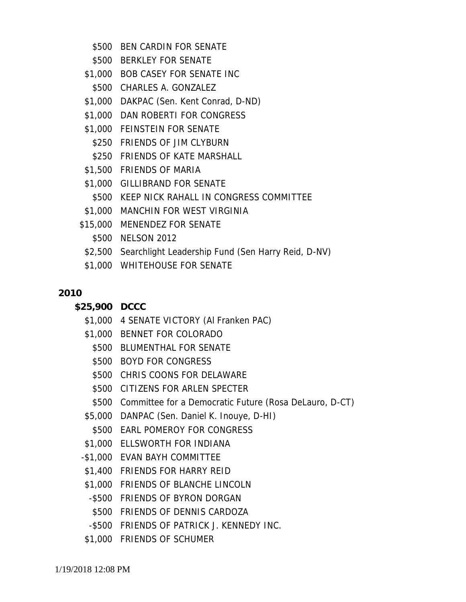- \$500 BEN CARDIN FOR SENATE
- \$500 BERKLEY FOR SENATE
- \$1,000 BOB CASEY FOR SENATE INC
	- \$500 CHARLES A. GONZALEZ
- \$1,000 DAKPAC (Sen. Kent Conrad, D-ND)
- \$1,000 DAN ROBERTI FOR CONGRESS
- \$1,000 FEINSTEIN FOR SENATE
	- \$250 FRIENDS OF JIM CLYBURN
	- \$250 FRIENDS OF KATE MARSHALL
- \$1,500 FRIENDS OF MARIA
- \$1,000 GILLIBRAND FOR SENATE
- \$500 KEEP NICK RAHALL IN CONGRESS COMMITTEE
- \$1,000 MANCHIN FOR WEST VIRGINIA
- \$15,000 MENENDEZ FOR SENATE
	- \$500 NELSON 2012
- \$2,500 Searchlight Leadership Fund (Sen Harry Reid, D-NV)
- \$1,000 WHITEHOUSE FOR SENATE

- **\$25,900 DCCC**
	- \$1,000 4 SENATE VICTORY (Al Franken PAC)
	- \$1,000 BENNET FOR COLORADO
		- \$500 BLUMENTHAL FOR SENATE
		- \$500 BOYD FOR CONGRESS
		- \$500 CHRIS COONS FOR DELAWARE
		- \$500 CITIZENS FOR ARLEN SPECTER
		- \$500 Committee for a Democratic Future (Rosa DeLauro, D-CT)
	- \$5,000 DANPAC (Sen. Daniel K. Inouye, D-HI)
		- \$500 EARL POMEROY FOR CONGRESS
	- \$1,000 ELLSWORTH FOR INDIANA
	- -\$1,000 EVAN BAYH COMMITTEE
	- \$1,400 FRIENDS FOR HARRY REID
	- \$1,000 FRIENDS OF BLANCHE LINCOLN
	- -\$500 FRIENDS OF BYRON DORGAN
	- \$500 FRIENDS OF DENNIS CARDOZA
	- -\$500 FRIENDS OF PATRICK J. KENNEDY INC.
	- \$1,000 FRIENDS OF SCHUMER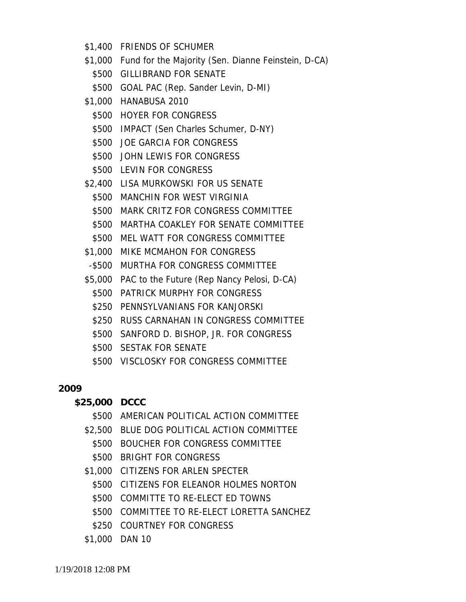- \$1,400 FRIENDS OF SCHUMER
- \$1,000 Fund for the Majority (Sen. Dianne Feinstein, D-CA)
	- \$500 GILLIBRAND FOR SENATE
	- \$500 GOAL PAC (Rep. Sander Levin, D-MI)
- \$1,000 HANABUSA 2010
	- \$500 HOYER FOR CONGRESS
	- \$500 IMPACT (Sen Charles Schumer, D-NY)
	- \$500 JOE GARCIA FOR CONGRESS
	- \$500 JOHN LEWIS FOR CONGRESS
	- \$500 LEVIN FOR CONGRESS
- \$2,400 LISA MURKOWSKI FOR US SENATE
	- \$500 MANCHIN FOR WEST VIRGINIA
	- \$500 MARK CRITZ FOR CONGRESS COMMITTEE
	- \$500 MARTHA COAKLEY FOR SENATE COMMITTEE
	- \$500 MEL WATT FOR CONGRESS COMMITTEE
- \$1,000 MIKE MCMAHON FOR CONGRESS
- -\$500 MURTHA FOR CONGRESS COMMITTEE
- \$5,000 PAC to the Future (Rep Nancy Pelosi, D-CA)
	- \$500 PATRICK MURPHY FOR CONGRESS
	- \$250 PENNSYLVANIANS FOR KANJORSKI
	- \$250 RUSS CARNAHAN IN CONGRESS COMMITTEE
	- \$500 SANFORD D. BISHOP, JR. FOR CONGRESS
	- \$500 SESTAK FOR SENATE
	- \$500 VISCLOSKY FOR CONGRESS COMMITTEE

**\$25,000 DCCC**

- \$500 AMERICAN POLITICAL ACTION COMMITTEE
- \$2,500 BLUE DOG POLITICAL ACTION COMMITTEE
	- \$500 BOUCHER FOR CONGRESS COMMITTEE
	- \$500 BRIGHT FOR CONGRESS
- \$1,000 CITIZENS FOR ARLEN SPECTER
	- \$500 CITIZENS FOR ELEANOR HOLMES NORTON
	- \$500 COMMITTE TO RE-ELECT ED TOWNS
	- \$500 COMMITTEE TO RE-ELECT LORETTA SANCHEZ
	- \$250 COURTNEY FOR CONGRESS
- \$1,000 DAN 10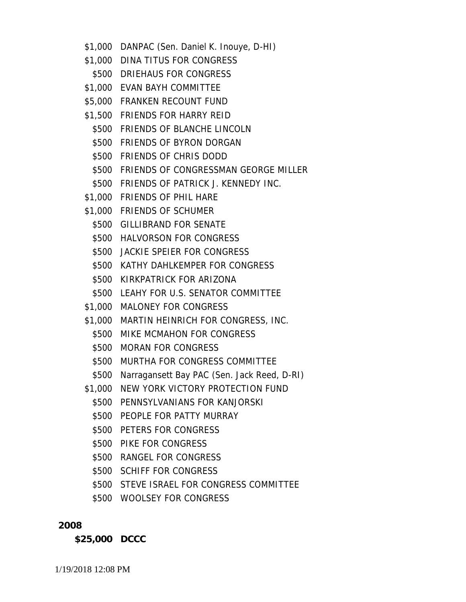- \$1,000 DANPAC (Sen. Daniel K. Inouye, D-HI)
- \$1,000 DINA TITUS FOR CONGRESS
	- \$500 DRIEHAUS FOR CONGRESS
- \$1,000 EVAN BAYH COMMITTEE
- \$5,000 FRANKEN RECOUNT FUND
- \$1,500 FRIENDS FOR HARRY REID
	- \$500 FRIENDS OF BLANCHE LINCOLN
	- \$500 FRIENDS OF BYRON DORGAN
	- \$500 FRIENDS OF CHRIS DODD
	- \$500 FRIENDS OF CONGRESSMAN GEORGE MILLER
	- \$500 FRIENDS OF PATRICK J. KENNEDY INC.
- \$1,000 FRIENDS OF PHIL HARE
- \$1,000 FRIENDS OF SCHUMER
	- \$500 GILLIBRAND FOR SENATE
	- \$500 HALVORSON FOR CONGRESS
	- \$500 JACKIE SPEIER FOR CONGRESS
	- \$500 KATHY DAHLKEMPER FOR CONGRESS
	- \$500 KIRKPATRICK FOR ARIZONA
	- \$500 LEAHY FOR U.S. SENATOR COMMITTEE
- \$1,000 MALONEY FOR CONGRESS
- \$1,000 MARTIN HEINRICH FOR CONGRESS, INC.
	- \$500 MIKE MCMAHON FOR CONGRESS
	- \$500 MORAN FOR CONGRESS
	- \$500 MURTHA FOR CONGRESS COMMITTEE
	- \$500 Narragansett Bay PAC (Sen. Jack Reed, D-RI)
- \$1,000 NEW YORK VICTORY PROTECTION FUND
	- \$500 PENNSYLVANIANS FOR KANJORSKI
	- \$500 PEOPLE FOR PATTY MURRAY
	- \$500 PETERS FOR CONGRESS
	- \$500 PIKE FOR CONGRESS
	- \$500 RANGEL FOR CONGRESS
	- \$500 SCHIFF FOR CONGRESS
	- \$500 STEVE ISRAEL FOR CONGRESS COMMITTEE
	- \$500 WOOLSEY FOR CONGRESS

**\$25,000 DCCC**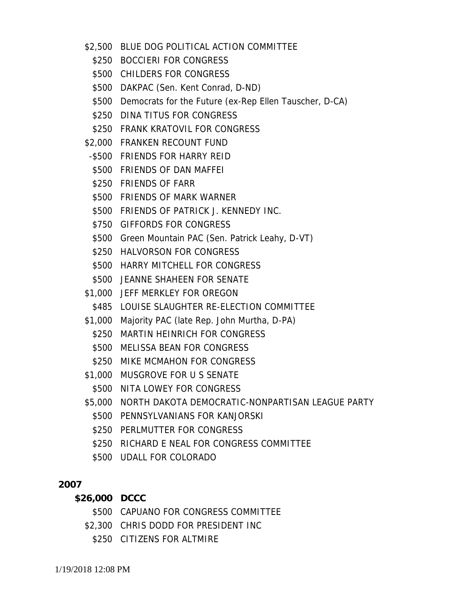- \$2,500 BLUE DOG POLITICAL ACTION COMMITTEE
	- \$250 BOCCIERI FOR CONGRESS
	- \$500 CHILDERS FOR CONGRESS
	- \$500 DAKPAC (Sen. Kent Conrad, D-ND)
	- \$500 Democrats for the Future (ex-Rep Ellen Tauscher, D-CA)
	- \$250 DINA TITUS FOR CONGRESS
	- \$250 FRANK KRATOVIL FOR CONGRESS
- \$2,000 FRANKEN RECOUNT FUND
- -\$500 FRIENDS FOR HARRY REID
- \$500 FRIENDS OF DAN MAFFEI
- \$250 FRIENDS OF FARR
- \$500 FRIENDS OF MARK WARNER
- \$500 FRIENDS OF PATRICK J. KENNEDY INC.
- \$750 GIFFORDS FOR CONGRESS
- \$500 Green Mountain PAC (Sen. Patrick Leahy, D-VT)
- \$250 HALVORSON FOR CONGRESS
- \$500 HARRY MITCHELL FOR CONGRESS
- \$500 JEANNE SHAHEEN FOR SENATE
- \$1,000 JEFF MERKLEY FOR OREGON
	- \$485 LOUISE SLAUGHTER RE-ELECTION COMMITTEE
- \$1,000 Majority PAC (late Rep. John Murtha, D-PA)
	- \$250 MARTIN HEINRICH FOR CONGRESS
	- \$500 MELISSA BEAN FOR CONGRESS
	- \$250 MIKE MCMAHON FOR CONGRESS
- \$1,000 MUSGROVE FOR U S SENATE
- \$500 NITA LOWEY FOR CONGRESS
- \$5,000 NORTH DAKOTA DEMOCRATIC-NONPARTISAN LEAGUE PARTY
	- \$500 PENNSYLVANIANS FOR KANJORSKI
	- \$250 PERLMUTTER FOR CONGRESS
	- \$250 RICHARD E NEAL FOR CONGRESS COMMITTEE
	- \$500 UDALL FOR COLORADO

- **\$26,000 DCCC**
	- \$500 CAPUANO FOR CONGRESS COMMITTEE
	- \$2,300 CHRIS DODD FOR PRESIDENT INC
		- \$250 CITIZENS FOR ALTMIRE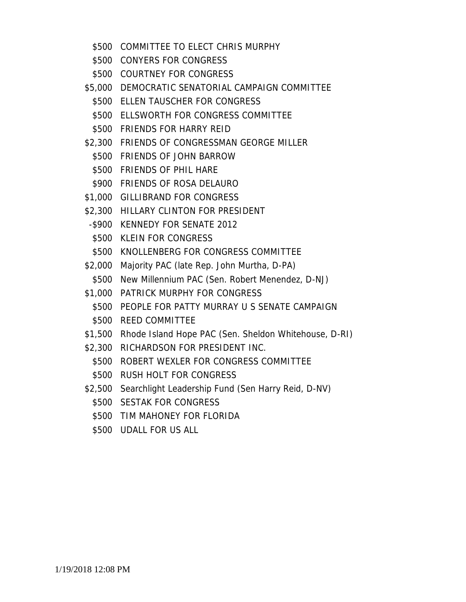- \$500 COMMITTEE TO ELECT CHRIS MURPHY
- \$500 CONYERS FOR CONGRESS
- \$500 COURTNEY FOR CONGRESS
- \$5,000 DEMOCRATIC SENATORIAL CAMPAIGN COMMITTEE
	- \$500 ELLEN TAUSCHER FOR CONGRESS
	- \$500 ELLSWORTH FOR CONGRESS COMMITTEE
	- \$500 FRIENDS FOR HARRY REID
- \$2,300 FRIENDS OF CONGRESSMAN GEORGE MILLER
	- \$500 FRIENDS OF JOHN BARROW
	- \$500 FRIENDS OF PHIL HARE
	- \$900 FRIENDS OF ROSA DELAURO
- \$1,000 GILLIBRAND FOR CONGRESS
- \$2,300 HILLARY CLINTON FOR PRESIDENT
- -\$900 KENNEDY FOR SENATE 2012
- \$500 KLEIN FOR CONGRESS
- \$500 KNOLLENBERG FOR CONGRESS COMMITTEE
- \$2,000 Majority PAC (late Rep. John Murtha, D-PA)
	- \$500 New Millennium PAC (Sen. Robert Menendez, D-NJ)
- \$1,000 PATRICK MURPHY FOR CONGRESS
	- \$500 PEOPLE FOR PATTY MURRAY U S SENATE CAMPAIGN
	- \$500 REED COMMITTEE
- \$1,500 Rhode Island Hope PAC (Sen. Sheldon Whitehouse, D-RI)
- \$2,300 RICHARDSON FOR PRESIDENT INC.
	- \$500 ROBERT WEXLER FOR CONGRESS COMMITTEE
	- \$500 RUSH HOLT FOR CONGRESS
- \$2,500 Searchlight Leadership Fund (Sen Harry Reid, D-NV)
	- \$500 SESTAK FOR CONGRESS
	- \$500 TIM MAHONEY FOR FLORIDA
	- \$500 UDALL FOR US ALL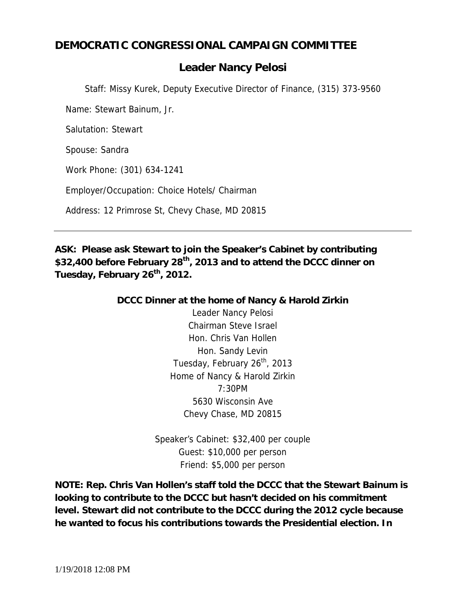# **DEMOCRATIC CONGRESSIONAL CAMPAIGN COMMITTEE**

# *Leader Nancy Pelosi*

*Staff: Missy Kurek, Deputy Executive Director of Finance, (315) 373-9560*

Name: Stewart Bainum, Jr.

Salutation: Stewart

Spouse: Sandra

Work Phone: (301) 634-1241

Employer/Occupation: Choice Hotels/ Chairman

Address: 12 Primrose St, Chevy Chase, MD 20815

**ASK: Please ask Stewart to join the Speaker's Cabinet by contributing \$32,400 before February 28th, 2013 and to attend the DCCC dinner on Tuesday, February 26th, 2012.**

> **DCCC Dinner at the home of Nancy & Harold Zirkin** Leader Nancy Pelosi Chairman Steve Israel Hon. Chris Van Hollen Hon. Sandy Levin Tuesday, February 26<sup>th</sup>, 2013 Home of Nancy & Harold Zirkin 7:30PM 5630 Wisconsin Ave Chevy Chase, MD 20815

> > Speaker's Cabinet: \$32,400 per couple Guest: \$10,000 per person Friend: \$5,000 per person

**NOTE: Rep. Chris Van Hollen's staff told the DCCC that the Stewart Bainum is looking to contribute to the DCCC but hasn't decided on his commitment level. Stewart did not contribute to the DCCC during the 2012 cycle because he wanted to focus his contributions towards the Presidential election. In**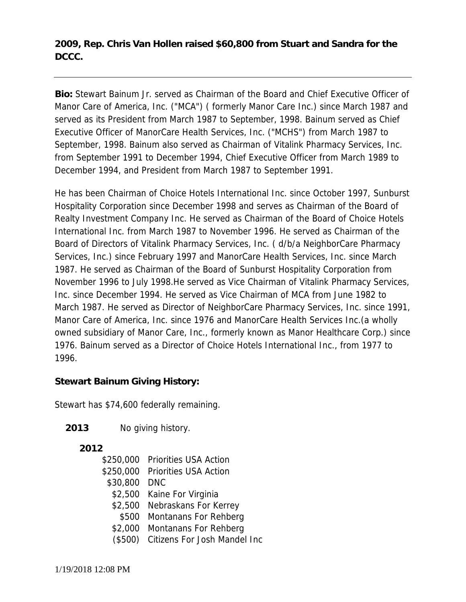**2009, Rep. Chris Van Hollen raised \$60,800 from Stuart and Sandra for the DCCC.**

**Bio:** Stewart Bainum Jr. served as Chairman of the Board and Chief Executive Officer of Manor Care of America, Inc. ("MCA") ( formerly Manor Care Inc.) since March 1987 and served as its President from March 1987 to September, 1998. Bainum served as Chief Executive Officer of ManorCare Health Services, Inc. ("MCHS") from March 1987 to September, 1998. Bainum also served as Chairman of Vitalink Pharmacy Services, Inc. from September 1991 to December 1994, Chief Executive Officer from March 1989 to December 1994, and President from March 1987 to September 1991.

He has been Chairman of Choice Hotels International Inc. since October 1997, Sunburst Hospitality Corporation since December 1998 and serves as Chairman of the Board of Realty Investment Company Inc. He served as Chairman of the Board of Choice Hotels International Inc. from March 1987 to November 1996. He served as Chairman of the Board of Directors of Vitalink Pharmacy Services, Inc. ( d/b/a NeighborCare Pharmacy Services, Inc.) since February 1997 and ManorCare Health Services, Inc. since March 1987. He served as Chairman of the Board of Sunburst Hospitality Corporation from November 1996 to July 1998.He served as Vice Chairman of Vitalink Pharmacy Services, Inc. since December 1994. He served as Vice Chairman of MCA from June 1982 to March 1987. He served as Director of NeighborCare Pharmacy Services, Inc. since 1991, Manor Care of America, Inc. since 1976 and ManorCare Health Services Inc.(a wholly owned subsidiary of Manor Care, Inc., formerly known as Manor Healthcare Corp.) since 1976. Bainum served as a Director of Choice Hotels International Inc., from 1977 to 1996.

**Stewart Bainum Giving History:**

Stewart has \$74,600 federally remaining.

**2013** No giving history.

|          | \$250,000 Priorities USA Action      |
|----------|--------------------------------------|
|          | \$250,000 Priorities USA Action      |
| \$30,800 | DNC                                  |
|          | \$2,500 Kaine For Virginia           |
|          | \$2,500 Nebraskans For Kerrey        |
| \$500    | Montanans For Rehberg                |
|          | \$2,000 Montanans For Rehberg        |
|          | (\$500) Citizens For Josh Mandel Inc |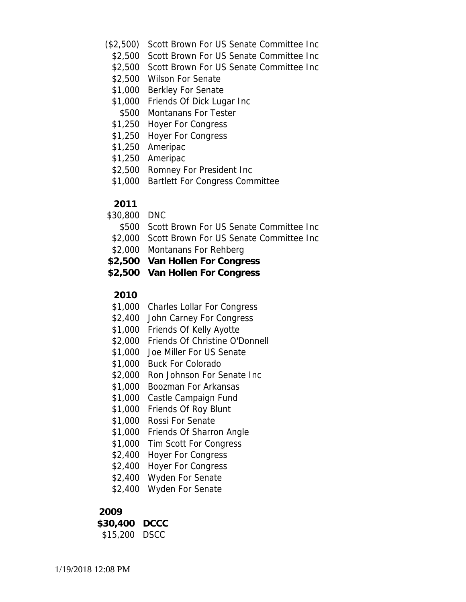- (\$2,500) Scott Brown For US Senate Committee Inc
	- \$2,500 Scott Brown For US Senate Committee Inc
	- \$2,500 Scott Brown For US Senate Committee Inc
	- \$2,500 Wilson For Senate
	- \$1,000 Berkley For Senate
	- \$1,000 Friends Of Dick Lugar Inc
	- \$500 Montanans For Tester
	- \$1,250 Hoyer For Congress
	- \$1,250 Hoyer For Congress
	- \$1,250 Ameripac
	- \$1,250 Ameripac
	- \$2,500 Romney For President Inc
	- \$1,000 Bartlett For Congress Committee

- \$30,800 DNC
	- \$500 Scott Brown For US Senate Committee Inc
- \$2,000 Scott Brown For US Senate Committee Inc
- \$2,000 Montanans For Rehberg
- **\$2,500 Van Hollen For Congress**
- **\$2,500 Van Hollen For Congress**

#### **2010**

- \$1,000 Charles Lollar For Congress
- \$2,400 John Carney For Congress
- \$1,000 Friends Of Kelly Ayotte
- \$2,000 Friends Of Christine O'Donnell
- \$1,000 Joe Miller For US Senate
- \$1,000 Buck For Colorado
- \$2,000 Ron Johnson For Senate Inc
- \$1,000 Boozman For Arkansas
- \$1,000 Castle Campaign Fund
- \$1,000 Friends Of Roy Blunt
- \$1,000 Rossi For Senate
- \$1,000 Friends Of Sharron Angle
- \$1,000 Tim Scott For Congress
- \$2,400 Hoyer For Congress
- \$2,400 Hoyer For Congress
- \$2,400 Wyden For Senate
- \$2,400 Wyden For Senate

#### **2009**

**\$30,400 DCCC** \$15,200 DSCC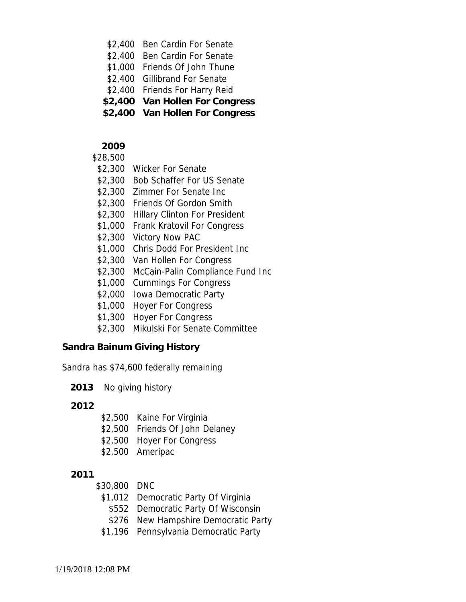- \$2,400 Ben Cardin For Senate
- \$2,400 Ben Cardin For Senate
- \$1,000 Friends Of John Thune
- \$2,400 Gillibrand For Senate
- \$2,400 Friends For Harry Reid
- **\$2,400 Van Hollen For Congress**
- **\$2,400 Van Hollen For Congress**
- **2009**

#### \$28,500

- \$2,300 Wicker For Senate
- \$2,300 Bob Schaffer For US Senate
- \$2,300 Zimmer For Senate Inc
- \$2,300 Friends Of Gordon Smith
- \$2,300 Hillary Clinton For President
- \$1,000 Frank Kratovil For Congress
- \$2,300 Victory Now PAC
- \$1,000 Chris Dodd For President Inc
- \$2,300 Van Hollen For Congress
- \$2,300 McCain-Palin Compliance Fund Inc
- \$1,000 Cummings For Congress
- \$2,000 Iowa Democratic Party
- \$1,000 Hoyer For Congress
- \$1,300 Hoyer For Congress
- \$2,300 Mikulski For Senate Committee

**Sandra Bainum Giving History**

Sandra has \$74,600 federally remaining

**2013** No giving history

**2012**

- \$2,500 Kaine For Virginia
- \$2,500 Friends Of John Delaney
- \$2,500 Hoyer For Congress
- \$2,500 Ameripac

- \$30,800 DNC
	- \$1,012 Democratic Party Of Virginia
		- \$552 Democratic Party Of Wisconsin
	- \$276 New Hampshire Democratic Party
	- \$1,196 Pennsylvania Democratic Party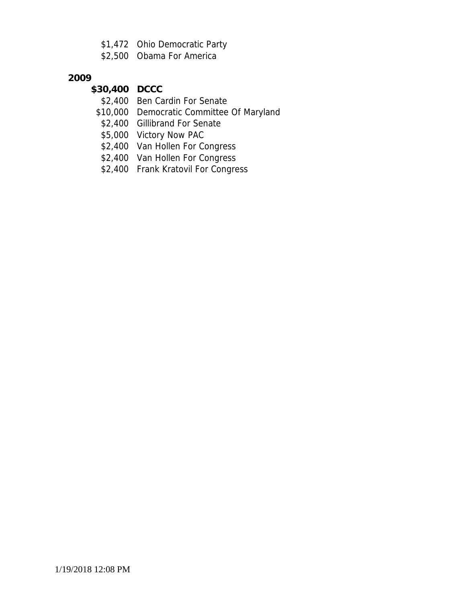- \$1,472 Ohio Democratic Party
- \$2,500 Obama For America

- **\$30,400 DCCC**
	- \$2,400 Ben Cardin For Senate
	- \$10,000 Democratic Committee Of Maryland
	- \$2,400 Gillibrand For Senate
	- \$5,000 Victory Now PAC
	- \$2,400 Van Hollen For Congress
	- \$2,400 Van Hollen For Congress
	- \$2,400 Frank Kratovil For Congress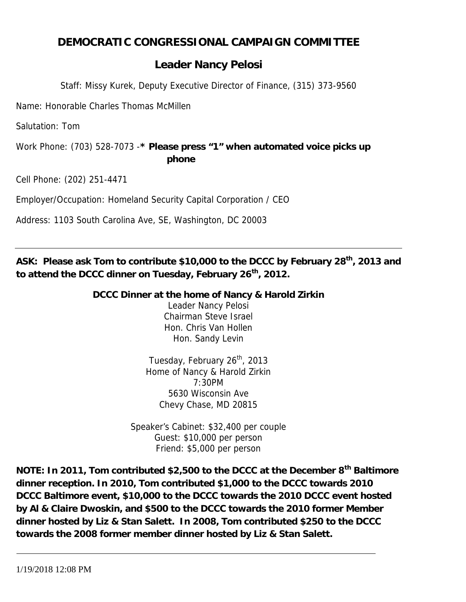# **DEMOCRATIC CONGRESSIONAL CAMPAIGN COMMITTEE**

# *Leader Nancy Pelosi*

*Staff: Missy Kurek, Deputy Executive Director of Finance, (315) 373-9560*

Name: Honorable Charles Thomas McMillen

Salutation: Tom

Work Phone: (703) 528-7073 -**\* Please press "1" when automated voice picks up phone**

Cell Phone: (202) 251-4471

Employer/Occupation: Homeland Security Capital Corporation / CEO

Address: 1103 South Carolina Ave, SE, Washington, DC 20003

**ASK: Please ask Tom to contribute \$10,000 to the DCCC by February 28th, 2013 and to attend the DCCC dinner on Tuesday, February 26th, 2012.**

> **DCCC Dinner at the home of Nancy & Harold Zirkin** Leader Nancy Pelosi Chairman Steve Israel Hon. Chris Van Hollen Hon. Sandy Levin

> > Tuesday, February 26<sup>th</sup>, 2013 Home of Nancy & Harold Zirkin 7:30PM 5630 Wisconsin Ave Chevy Chase, MD 20815

Speaker's Cabinet: \$32,400 per couple Guest: \$10,000 per person Friend: \$5,000 per person

**NOTE: In 2011, Tom contributed \$2,500 to the DCCC at the December 8th Baltimore dinner reception. In 2010, Tom contributed \$1,000 to the DCCC towards 2010 DCCC Baltimore event, \$10,000 to the DCCC towards the 2010 DCCC event hosted by Al & Claire Dwoskin, and \$500 to the DCCC towards the 2010 former Member dinner hosted by Liz & Stan Salett. In 2008, Tom contributed \$250 to the DCCC towards the 2008 former member dinner hosted by Liz & Stan Salett.**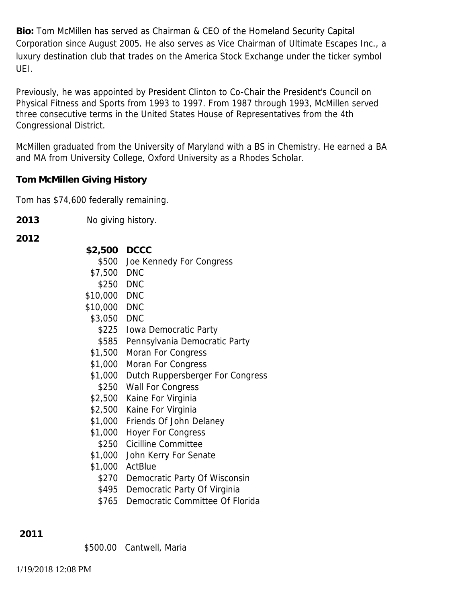**Bio:** Tom McMillen has served as Chairman & CEO of the Homeland Security Capital Corporation since August 2005. He also serves as Vice Chairman of Ultimate Escapes Inc., a luxury destination club that trades on the America Stock Exchange under the ticker symbol UEI.

Previously, he was appointed by President Clinton to Co-Chair the President's Council on Physical Fitness and Sports from 1993 to 1997. From 1987 through 1993, McMillen served three consecutive terms in the United States House of Representatives from the 4th Congressional District.

McMillen graduated from the University of Maryland with a BS in Chemistry. He earned a BA and MA from University College, Oxford University as a Rhodes Scholar.

**Tom McMillen Giving History**

Tom has \$74,600 federally remaining.

**2013** No giving history.

**2012**

| \$2,500 DCCC<br>\$7,500 DNC | \$500 Joe Kennedy For Congress           |
|-----------------------------|------------------------------------------|
| \$250 DNC                   |                                          |
| \$10,000 DNC                |                                          |
| \$10,000 DNC                |                                          |
| \$3,050 DNC                 |                                          |
|                             | \$225 Iowa Democratic Party              |
|                             | \$585 Pennsylvania Democratic Party      |
| \$1,500                     | Moran For Congress                       |
| \$1,000                     | Moran For Congress                       |
|                             | \$1,000 Dutch Ruppersberger For Congress |
|                             | \$250 Wall For Congress                  |
|                             | \$2,500 Kaine For Virginia               |
|                             | \$2,500 Kaine For Virginia               |
|                             | \$1,000 Friends Of John Delaney          |
| \$1,000                     | <b>Hoyer For Congress</b>                |
|                             | \$250 Cicilline Committee                |
| \$1,000                     | John Kerry For Senate                    |
|                             | \$1,000 ActBlue                          |
|                             | \$270 Democratic Party Of Wisconsin      |
| \$495                       | Democratic Party Of Virginia             |

\$765 Democratic Committee Of Florida

**2011**

\$500.00 Cantwell, Maria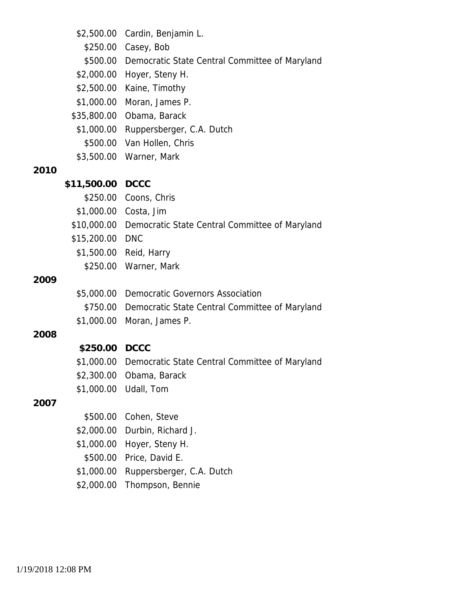|      | \$2,500.00      | Cardin, Benjamin L.                                        |
|------|-----------------|------------------------------------------------------------|
|      | \$250.00        | Casey, Bob                                                 |
|      |                 | \$500.00 Democratic State Central Committee of Maryland    |
|      |                 | \$2,000.00 Hoyer, Steny H.                                 |
|      |                 | \$2,500.00 Kaine, Timothy                                  |
|      |                 | \$1,000.00 Moran, James P.                                 |
|      |                 | \$35,800.00 Obama, Barack                                  |
|      |                 | \$1,000.00 Ruppersberger, C.A. Dutch                       |
|      |                 | \$500.00 Van Hollen, Chris                                 |
|      |                 | \$3,500.00 Warner, Mark                                    |
| 2010 |                 |                                                            |
|      | \$11,500.00     | <b>DCCC</b>                                                |
|      |                 | \$250.00 Coons, Chris                                      |
|      |                 | \$1,000.00 Costa, Jim                                      |
|      |                 | \$10,000.00 Democratic State Central Committee of Maryland |
|      | \$15,200.00 DNC |                                                            |
|      |                 | \$1,500.00 Reid, Harry                                     |
|      | \$250.00        | Warner, Mark                                               |
| 2009 |                 |                                                            |
|      | \$5,000.00      | Democratic Governors Association                           |
|      | \$750.00        | Democratic State Central Committee of Maryland             |
|      | \$1,000.00      | Moran, James P.                                            |
| 2008 |                 |                                                            |
|      | \$250.00 DCCC   |                                                            |
|      |                 | \$1,000.00 Democratic State Central Committee of Maryland  |
|      | \$2,300.00      | Obama, Barack                                              |
|      | \$1,000.00      | Udall, Tom                                                 |
| 2007 |                 |                                                            |
|      | \$500.00        | Cohen, Steve                                               |
|      | \$2,000.00      | Durbin, Richard J.                                         |
|      | \$1,000.00      | Hoyer, Steny H.                                            |
|      | \$500.00        | Price, David E.                                            |
|      | \$1,000.00      | Ruppersberger, C.A. Dutch                                  |
|      |                 |                                                            |

\$2,000.00 Thompson, Bennie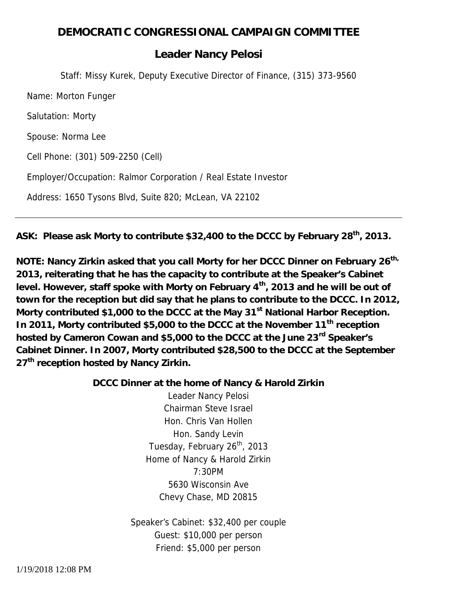# **DEMOCRATIC CONGRESSIONAL CAMPAIGN COMMITTEE**

## *Leader Nancy Pelosi*

*Staff: Missy Kurek, Deputy Executive Director of Finance, (315) 373-9560* Name: Morton Funger Salutation: Morty Spouse: Norma Lee Cell Phone: (301) 509-2250 (Cell) Employer/Occupation: Ralmor Corporation / Real Estate Investor Address: 1650 Tysons Blvd, Suite 820; McLean, VA 22102

**ASK: Please ask Morty to contribute \$32,400 to the DCCC by February 28th, 2013.**

**NOTE: Nancy Zirkin asked that you call Morty for her DCCC Dinner on February 26th, 2013, reiterating that he has the capacity to contribute at the Speaker's Cabinet level. However, staff spoke with Morty on February 4th, 2013 and he will be out of town for the reception but did say that he plans to contribute to the DCCC. In 2012, Morty contributed \$1,000 to the DCCC at the May 31st National Harbor Reception. In 2011, Morty contributed \$5,000 to the DCCC at the November 11th reception hosted by Cameron Cowan and \$5,000 to the DCCC at the June 23rd Speaker's Cabinet Dinner. In 2007, Morty contributed \$28,500 to the DCCC at the September 27th reception hosted by Nancy Zirkin.**

> **DCCC Dinner at the home of Nancy & Harold Zirkin** Leader Nancy Pelosi Chairman Steve Israel Hon. Chris Van Hollen Hon. Sandy Levin Tuesday, February 26<sup>th</sup>, 2013 Home of Nancy & Harold Zirkin 7:30PM 5630 Wisconsin Ave Chevy Chase, MD 20815

> > Speaker's Cabinet: \$32,400 per couple Guest: \$10,000 per person Friend: \$5,000 per person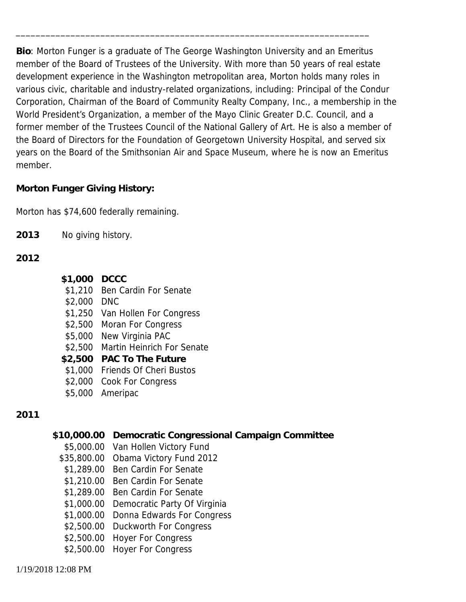**Bio**: Morton Funger is a graduate of The George Washington University and an Emeritus member of the Board of Trustees of the University. With more than 50 years of real estate development experience in the Washington metropolitan area, Morton holds many roles in various civic, charitable and industry-related organizations, including: Principal of the Condur Corporation, Chairman of the Board of Community Realty Company, Inc., a membership in the World President's Organization, a member of the Mayo Clinic Greater D.C. Council, and a former member of the Trustees Council of the National Gallery of Art. He is also a member of the Board of Directors for the Foundation of Georgetown University Hospital, and served six years on the Board of the Smithsonian Air and Space Museum, where he is now an Emeritus member.

\_\_\_\_\_\_\_\_\_\_\_\_\_\_\_\_\_\_\_\_\_\_\_\_\_\_\_\_\_\_\_\_\_\_\_\_\_\_\_\_\_\_\_\_\_\_\_\_\_\_\_\_\_\_\_\_\_\_\_\_\_\_\_\_\_\_\_\_\_\_\_

**Morton Funger Giving History:**

Morton has \$74,600 federally remaining.

**2013** No giving history.

**2012**

- **\$1,000 DCCC**
- \$1,210 Ben Cardin For Senate
- \$2,000 DNC
- \$1,250 Van Hollen For Congress
- \$2,500 Moran For Congress
- \$5,000 New Virginia PAC
- \$2,500 Martin Heinrich For Senate
- **\$2,500 PAC To The Future**
- \$1,000 Friends Of Cheri Bustos
- \$2,000 Cook For Congress
- \$5,000 Ameripac

- **\$10,000.00 Democratic Congressional Campaign Committee**
	- \$5,000.00 Van Hollen Victory Fund
	- \$35,800.00 Obama Victory Fund 2012
	- \$1,289.00 Ben Cardin For Senate
	- \$1,210.00 Ben Cardin For Senate
	- \$1,289.00 Ben Cardin For Senate
	- \$1,000.00 Democratic Party Of Virginia
	- \$1,000.00 Donna Edwards For Congress
	- \$2,500.00 Duckworth For Congress
	- \$2,500.00 Hoyer For Congress
	- \$2,500.00 Hoyer For Congress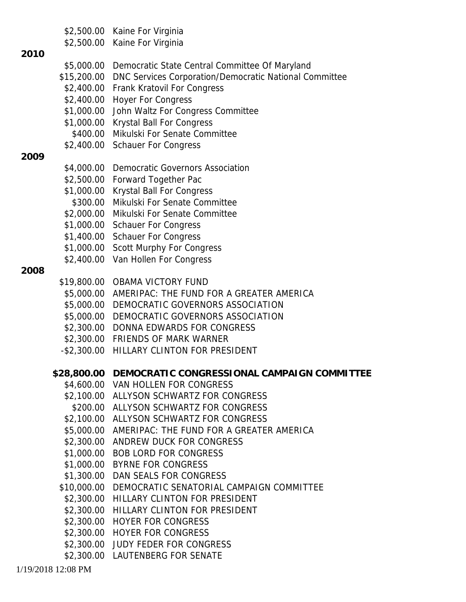\$2,500.00 Kaine For Virginia

#### **2010**

- \$5,000.00 Democratic State Central Committee Of Maryland
- \$15,200.00 DNC Services Corporation/Democratic National Committee
- \$2,400.00 Frank Kratovil For Congress
- \$2,400.00 Hoyer For Congress
- \$1,000.00 John Waltz For Congress Committee
- \$1,000.00 Krystal Ball For Congress
- \$400.00 Mikulski For Senate Committee
- \$2,400.00 Schauer For Congress

## **2009**

- \$4,000.00 Democratic Governors Association
- \$2,500.00 Forward Together Pac
- \$1,000.00 Krystal Ball For Congress
- \$300.00 Mikulski For Senate Committee
- \$2,000.00 Mikulski For Senate Committee
- \$1,000.00 Schauer For Congress
- \$1,400.00 Schauer For Congress
- \$1,000.00 Scott Murphy For Congress
- \$2,400.00 Van Hollen For Congress

- \$19,800.00 OBAMA VICTORY FUND
- \$5,000.00 AMERIPAC: THE FUND FOR A GREATER AMERICA
- \$5,000.00 DEMOCRATIC GOVERNORS ASSOCIATION
- \$5,000.00 DEMOCRATIC GOVERNORS ASSOCIATION
- \$2,300.00 DONNA EDWARDS FOR CONGRESS
- \$2,300.00 FRIENDS OF MARK WARNER
- -\$2,300.00 HILLARY CLINTON FOR PRESIDENT
- **\$28,800.00 DEMOCRATIC CONGRESSIONAL CAMPAIGN COMMITTEE**
	- \$4,600.00 VAN HOLLEN FOR CONGRESS
	- \$2,100.00 ALLYSON SCHWARTZ FOR CONGRESS
	- \$200.00 ALLYSON SCHWARTZ FOR CONGRESS
	- \$2,100.00 ALLYSON SCHWARTZ FOR CONGRESS
	- \$5,000.00 AMERIPAC: THE FUND FOR A GREATER AMERICA
	- \$2,300.00 ANDREW DUCK FOR CONGRESS
	- \$1,000.00 BOB LORD FOR CONGRESS
	- \$1,000.00 BYRNE FOR CONGRESS
	- \$1,300.00 DAN SEALS FOR CONGRESS
	- \$10,000.00 DEMOCRATIC SENATORIAL CAMPAIGN COMMITTEE
	- \$2,300.00 HILLARY CLINTON FOR PRESIDENT
	- \$2,300.00 HILLARY CLINTON FOR PRESIDENT
	- \$2,300.00 HOYER FOR CONGRESS
	- \$2,300.00 HOYER FOR CONGRESS
	- \$2,300.00 JUDY FEDER FOR CONGRESS
	- \$2,300.00 LAUTENBERG FOR SENATE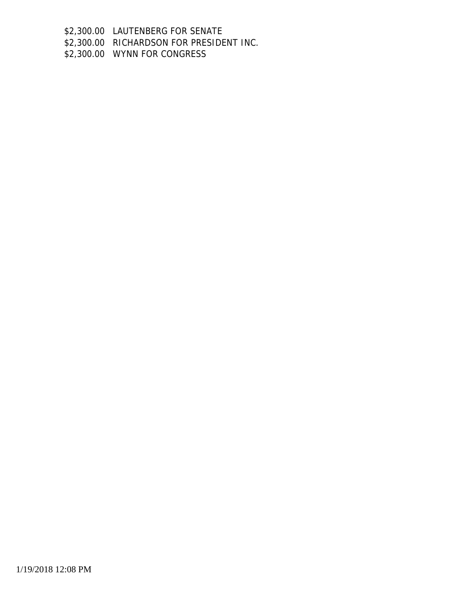\$2,300.00 LAUTENBERG FOR SENATE

\$2,300.00 RICHARDSON FOR PRESIDENT INC.

\$2,300.00 WYNN FOR CONGRESS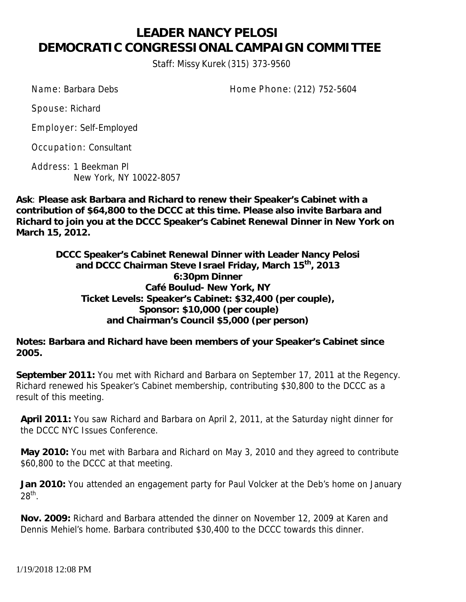# **LEADER NANCY PELOSI DEMOCRATIC CONGRESSIONAL CAMPAIGN COMMITTEE**

Staff: Missy Kurek (315) 373-9560

Name: Barbara Debs Home Phone: (212) 752-5604

Spouse: Richard

Employer: Self-Employed

Occupation: Consultant

Address: 1 Beekman Pl New York, NY 10022-8057

**Ask**: **Please ask Barbara and Richard to renew their Speaker's Cabinet with a contribution of \$64,800 to the DCCC at this time. Please also invite Barbara and Richard to join you at the DCCC Speaker's Cabinet Renewal Dinner in New York on March 15, 2012.**

> **DCCC Speaker's Cabinet Renewal Dinner with Leader Nancy Pelosi and DCCC Chairman Steve Israel Friday, March 15th , 2013 6:30pm Dinner Café Boulud- New York, NY Ticket Levels: Speaker's Cabinet: \$32,400 (per couple), Sponsor: \$10,000 (per couple) and Chairman's Council \$5,000 (per person)**

**Notes: Barbara and Richard have been members of your Speaker's Cabinet since 2005.**

**September 2011:** You met with Richard and Barbara on September 17, 2011 at the Regency. Richard renewed his Speaker's Cabinet membership, contributing \$30,800 to the DCCC as a result of this meeting.

**April 2011:** You saw Richard and Barbara on April 2, 2011, at the Saturday night dinner for the DCCC NYC Issues Conference.

**May 2010:** You met with Barbara and Richard on May 3, 2010 and they agreed to contribute \$60,800 to the DCCC at that meeting.

**Jan 2010:** You attended an engagement party for Paul Volcker at the Deb's home on January  $28^\mathsf{th}$ .

**Nov. 2009:** Richard and Barbara attended the dinner on November 12, 2009 at Karen and Dennis Mehiel's home. Barbara contributed \$30,400 to the DCCC towards this dinner.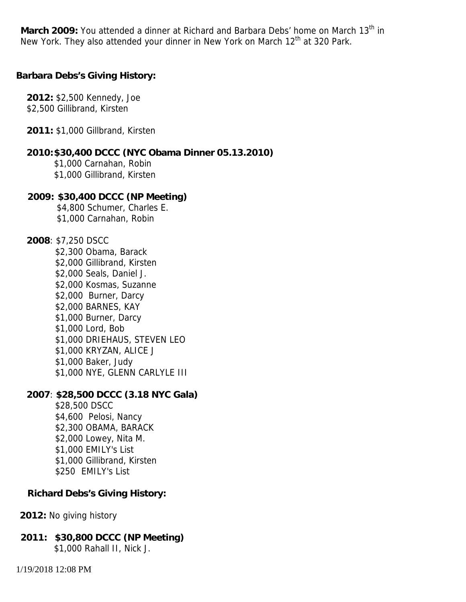March 2009: You attended a dinner at Richard and Barbara Debs' home on March 13<sup>th</sup> in New York. They also attended your dinner in New York on March 12<sup>th</sup> at 320 Park.

**Barbara Debs's Giving History:**

**2012:** \$2,500 Kennedy, Joe \$2,500 Gillibrand, Kirsten

**2011:** \$1,000 Gillbrand, Kirsten

**2010:\$30,400 DCCC (NYC Obama Dinner 05.13.2010)** \$1,000 Carnahan, Robin \$1,000 Gillibrand, Kirsten

**2009: \$30,400 DCCC (NP Meeting)** \$4,800 Schumer, Charles E. \$1,000 Carnahan, Robin

**2008**: \$7,250 DSCC \$2,300 Obama, Barack \$2,000 Gillibrand, Kirsten \$2,000 Seals, Daniel J. \$2,000 Kosmas, Suzanne \$2,000 Burner, Darcy \$2,000 BARNES, KAY \$1,000 Burner, Darcy \$1,000 Lord, Bob \$1,000 DRIEHAUS, STEVEN LEO \$1,000 KRYZAN, ALICE J \$1,000 Baker, Judy \$1,000 NYE, GLENN CARLYLE III

**2007**: **\$28,500 DCCC (3.18 NYC Gala)** \$28,500 DSCC \$4,600 Pelosi, Nancy \$2,300 OBAMA, BARACK \$2,000 Lowey, Nita M. \$1,000 EMILY's List \$1,000 Gillibrand, Kirsten \$250 EMILY's List

**Richard Debs's Giving History:**

**2012:** No giving history

**2011: \$30,800 DCCC (NP Meeting)** \$1,000 Rahall II, Nick J.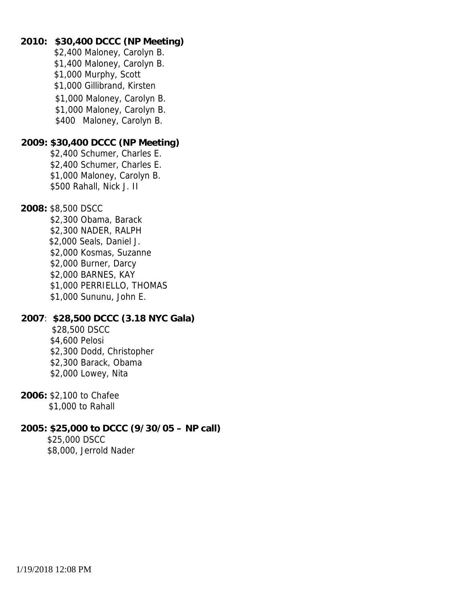**2010: \$30,400 DCCC (NP Meeting)** \$2,400 Maloney, Carolyn B. \$1,400 Maloney, Carolyn B. \$1,000 Murphy, Scott \$1,000 Gillibrand, Kirsten \$1,000 Maloney, Carolyn B. \$1,000 Maloney, Carolyn B. \$400 Maloney, Carolyn B. **2009: \$30,400 DCCC (NP Meeting)** \$2,400 Schumer, Charles E. \$2,400 Schumer, Charles E. \$1,000 Maloney, Carolyn B. \$500 Rahall, Nick J. II **2008:** \$8,500 DSCC \$2,300 Obama, Barack \$2,300 NADER, RALPH \$2,000 Seals, Daniel J. \$2,000 Kosmas, Suzanne \$2,000 Burner, Darcy \$2,000 BARNES, KAY \$1,000 PERRIELLO, THOMAS \$1,000 Sununu, John E. **2007**: **\$28,500 DCCC (3.18 NYC Gala)** \$28,500 DSCC \$4,600 Pelosi \$2,300 Dodd, Christopher \$2,300 Barack, Obama \$2,000 Lowey, Nita **2006:** \$2,100 to Chafee \$1,000 to Rahall

**2005: \$25,000 to DCCC (9/30/05 – NP call)** \$25,000 DSCC \$8,000, Jerrold Nader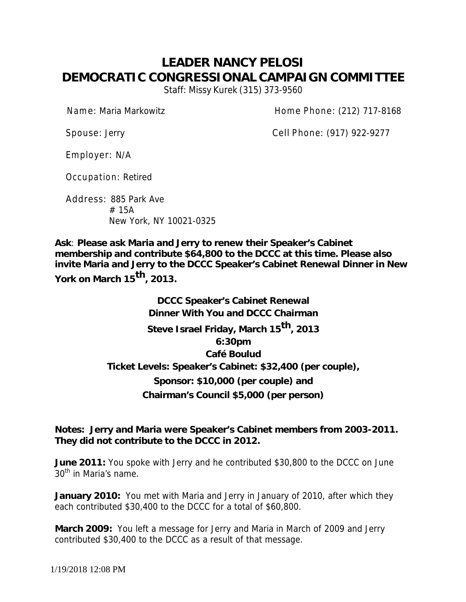# **LEADER NANCY PELOSI DEMOCRATIC CONGRESSIONAL CAMPAIGN COMMITTEE** Staff: Missy Kurek (315) 373-9560

Name: Maria Markowitz **Name: According to According Home Phone: (212) 717-8168** 

Spouse: Jerry Cell Phone: (917) 922-9277

Employer: N/A

Occupation: Retired

Address: 885 Park Ave # 15A New York, NY 10021-0325

**Ask**: **Please ask Maria and Jerry to renew their Speaker's Cabinet membership and contribute \$64,800 to the DCCC at this time. Please also invite Maria and Jerry to the DCCC Speaker's Cabinet Renewal Dinner in New York on March <sup>15</sup>th, 2013.**

> **DCCC Speaker's Cabinet Renewal Dinner With You and DCCC Chairman Steve Israel Friday, March 15 th, 2013 6:30pm Café Boulud Ticket Levels: Speaker's Cabinet: \$32,400 (per couple), Sponsor: \$10,000 (per couple) and Chairman's Council \$5,000 (per person)**

**Notes: Jerry and Maria were Speaker's Cabinet members from 2003-2011. They did not contribute to the DCCC in 2012.**

**June 2011:** You spoke with Jerry and he contributed \$30,800 to the DCCC on June 30<sup>th</sup> in Maria's name.

**January 2010:** You met with Maria and Jerry in January of 2010, after which they each contributed \$30,400 to the DCCC for a total of \$60,800.

**March 2009:** You left a message for Jerry and Maria in March of 2009 and Jerry contributed \$30,400 to the DCCC as a result of that message.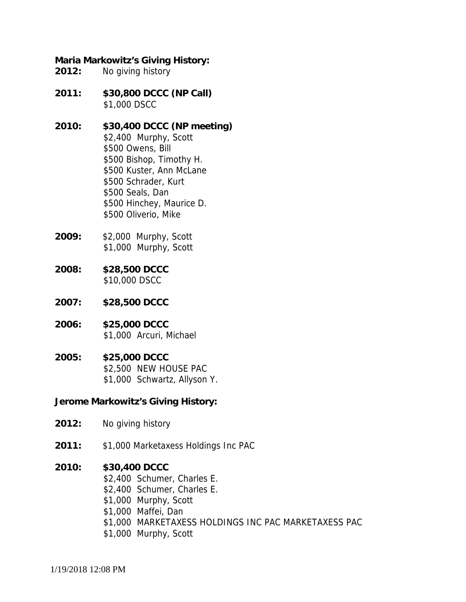**Maria Markowitz's Giving History: 2012:** No giving history

- **2011: \$30,800 DCCC (NP Call)** \$1,000 DSCC
- **2010: \$30,400 DCCC (NP meeting)** \$2,400 Murphy, Scott \$500 Owens, Bill \$500 Bishop, Timothy H. \$500 Kuster, Ann McLane \$500 Schrader, Kurt \$500 Seals, Dan \$500 Hinchey, Maurice D. \$500 Oliverio, Mike
- **2009:** \$2,000 Murphy, Scott \$1,000 Murphy, Scott
- **2008: \$28,500 DCCC** \$10,000 DSCC
- **2007: \$28,500 DCCC**
- **2006: \$25,000 DCCC** \$1,000 Arcuri, Michael
- **2005: \$25,000 DCCC** \$2,500 NEW HOUSE PAC \$1,000 Schwartz, Allyson Y.

**Jerome Markowitz's Giving History:**

- **2012:** No giving history
- **2011:** \$1,000 Marketaxess Holdings Inc PAC
- **2010: \$30,400 DCCC**
	- \$2,400 Schumer, Charles E.
	- \$2,400 Schumer, Charles E.
	- \$1,000 Murphy, Scott
	- \$1,000 Maffei, Dan
	- \$1,000 MARKETAXESS HOLDINGS INC PAC MARKETAXESS PAC
	- \$1,000 Murphy, Scott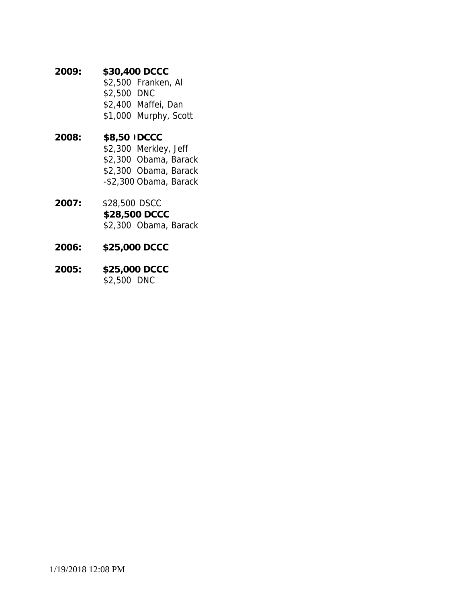**2009: \$30,400 DCCC** \$2,500 Franken, Al \$2,500 DNC \$2,400 Maffei, Dan \$1,000 Murphy, Scott **2008: \$8,500 DCCC** \$2,300 Merkley, Jeff \$2,300 Obama, Barack \$2,300 Obama, Barack

**2007:** \$28,500 DSCC **\$28,500 DCCC** \$2,300 Obama, Barack

-\$2,300 Obama, Barack

- **2006: \$25,000 DCCC**
- **2005: \$25,000 DCCC** \$2,500 DNC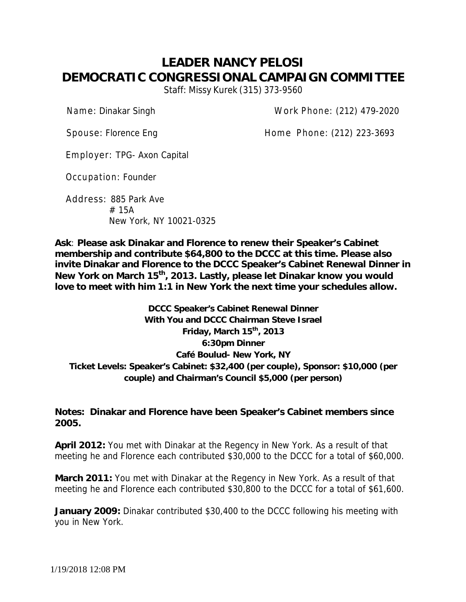# **LEADER NANCY PELOSI DEMOCRATIC CONGRESSIONAL CAMPAIGN COMMITTEE** Staff: Missy Kurek (315) 373-9560

Name: Dinakar Singh Work Phone: (212) 479-2020

Spouse: Florence Eng discussed by Home Phone: (212) 223-3693

Employer: TPG- Axon Capital

Occupation: Founder

Address: 885 Park Ave # 15A New York, NY 10021-0325

**Ask**: **Please ask Dinakar and Florence to renew their Speaker's Cabinet membership and contribute \$64,800 to the DCCC at this time. Please also invite Dinakar and Florence to the DCCC Speaker's Cabinet Renewal Dinner in New York on March 15 th , 2013. Lastly, please let Dinakar know you would love to meet with him 1:1 in New York the next time your schedules allow.**

**DCCC Speaker's Cabinet Renewal Dinner With You and DCCC Chairman Steve Israel Friday, March 15 th , 2013 6:30pm Dinner Café Boulud- New York, NY Ticket Levels: Speaker's Cabinet: \$32,400 (per couple), Sponsor: \$10,000 (per couple) and Chairman's Council \$5,000 (per person)**

**Notes: Dinakar and Florence have been Speaker's Cabinet members since 2005.**

**April 2012:** You met with Dinakar at the Regency in New York. As a result of that meeting he and Florence each contributed \$30,000 to the DCCC for a total of \$60,000.

**March 2011:** You met with Dinakar at the Regency in New York. As a result of that meeting he and Florence each contributed \$30,800 to the DCCC for a total of \$61,600.

**January 2009:** Dinakar contributed \$30,400 to the DCCC following his meeting with you in New York.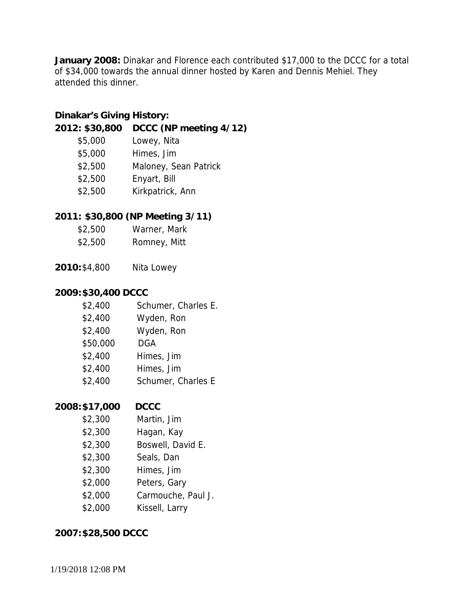**January 2008:** Dinakar and Florence each contributed \$17,000 to the DCCC for a total of \$34,000 towards the annual dinner hosted by Karen and Dennis Mehiel. They attended this dinner.

**Dinakar's Giving History:**

- **2012: \$30,800 DCCC (NP meeting 4/12)**
	- \$5,000 Lowey, Nita
	- \$5,000 Himes, Jim
	- \$2,500 Maloney, Sean Patrick
	- \$2,500 Enyart, Bill
	- \$2,500 Kirkpatrick, Ann
- **2011: \$30,800 (NP Meeting 3/11)**
	- \$2,500 Warner, Mark
	- \$2,500 Romney, Mitt
- **2010:**\$4,800 Nita Lowey

## **2009:\$30,400 DCCC**

- \$2,400 Schumer, Charles E.
- \$2,400 Wyden, Ron
- \$2,400 Wyden, Ron
- \$50,000 DGA
- \$2,400 Himes, Jim
- \$2,400 Himes, Jim
- \$2,400 Schumer, Charles E

## **2008:\$17,000 DCCC**

- \$2,300 Martin, Jim
- \$2,300 Hagan, Kay
- \$2,300 Boswell, David E.
- \$2,300 Seals, Dan
- \$2,300 Himes, Jim
- \$2,000 Peters, Gary
- \$2,000 Carmouche, Paul J.
- \$2,000 Kissell, Larry

**2007:\$28,500 DCCC**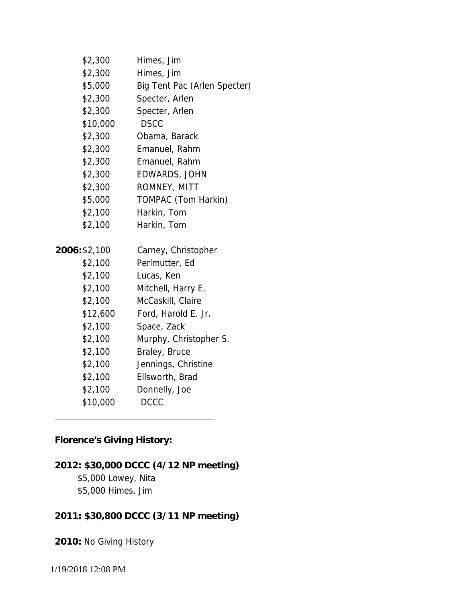| \$2,300       | Himes, Jim                   |
|---------------|------------------------------|
| \$2,300       | Himes, Jim                   |
| \$5,000       | Big Tent Pac (Arlen Specter) |
| \$2,300       | Specter, Arlen               |
| \$2,300       | Specter, Arlen               |
| \$10,000      | <b>DSCC</b>                  |
| \$2,300       | Obama, Barack                |
| \$2,300       | Emanuel, Rahm                |
| \$2,300       | Emanuel, Rahm                |
| \$2,300       | EDWARDS, JOHN                |
| \$2,300       | ROMNEY, MITT                 |
| \$5,000       | TOMPAC (Tom Harkin)          |
| \$2,100       | Harkin, Tom                  |
| \$2,100       | Harkin, Tom                  |
|               |                              |
| 2006: \$2,100 | Carney, Christopher          |
| \$2,100       | Perlmutter, Ed               |
| \$2,100       | Lucas, Ken                   |
| \$2,100       | Mitchell, Harry E.           |
| \$2,100       | McCaskill, Claire            |
| \$12,600      | Ford, Harold E. Jr.          |
| \$2,100       | Space, Zack                  |
| \$2,100       | Murphy, Christopher S.       |
| \$2,100       | Braley, Bruce                |
| \$2,100       | Jennings, Christine          |
| \$2,100       | Ellsworth, Brad              |
| \$2,100       | Donnelly, Joe                |
| \$10,000      | <b>DCCC</b>                  |

**Florence's Giving History:**

**2012: \$30,000 DCCC (4/12 NP meeting)** \$5,000 Lowey, Nita \$5,000 Himes, Jim

**2011: \$30,800 DCCC (3/11 NP meeting)**

**2010:** No Giving History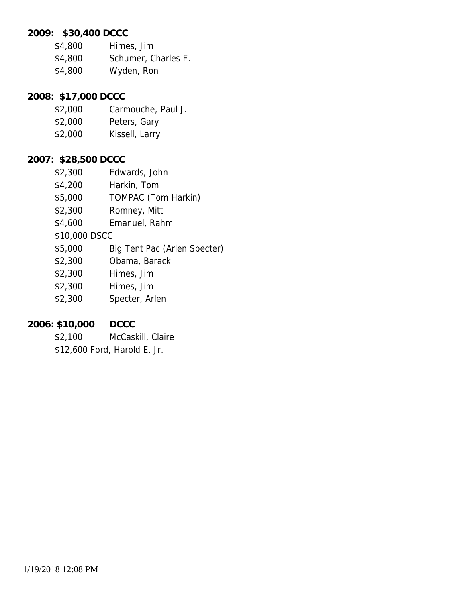**2009: \$30,400 DCCC**

- \$4,800 Himes, Jim
- \$4,800 Schumer, Charles E.
- \$4,800 Wyden, Ron

**2008: \$17,000 DCCC**

- \$2,000 Carmouche, Paul J.
- \$2,000 Peters, Gary
- \$2,000 Kissell, Larry

#### **2007: \$28,500 DCCC**

- \$2,300 Edwards, John
- \$4,200 Harkin, Tom
- \$5,000 TOMPAC (Tom Harkin)
- \$2,300 Romney, Mitt
- \$4,600 Emanuel, Rahm
- \$10,000 DSCC
- \$5,000 Big Tent Pac (Arlen Specter)
- \$2,300 Obama, Barack
- \$2,300 Himes, Jim
- \$2,300 Himes, Jim
- \$2,300 Specter, Arlen
- **2006: \$10,000 DCCC**
	- \$2,100 McCaskill, Claire
	- \$12,600 Ford, Harold E. Jr.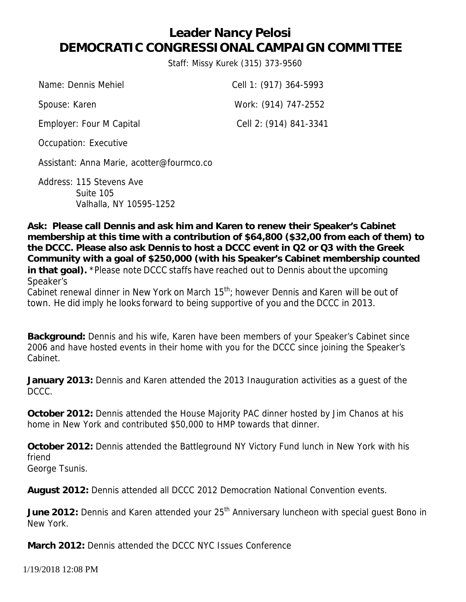# **Leader Nancy Pelosi DEMOCRATIC CONGRESSIONAL CAMPAIGN COMMITTEE**

Staff: Missy Kurek (315) 373-9560

| Name: Dennis Mehiel      | Cell 1: (917) 364-5993 |
|--------------------------|------------------------|
| Spouse: Karen            | Work: (914) 747-2552   |
| Employer: Four M Capital | Cell 2: (914) 841-3341 |

Occupation: Executive

Assistant: Anna Marie, acotter@fourmco.co

Address: 115 Stevens Ave Suite 105 Valhalla, NY 10595-1252

**Ask: Please call Dennis and ask him and Karen to renew their Speaker's Cabinet membership at this time with a contribution of \$64,800 (\$32,00 from each of them) to the DCCC. Please also ask Dennis to host a DCCC event in Q2 or Q3 with the Greek Community with a goal of \$250,000 (with his Speaker's Cabinet membership counted in that goal).** \*Please note DCCC staffs have reached out to Dennis about the upcoming Speaker's

Cabinet renewal dinner in New York on March 15<sup>th</sup>; however Dennis and Karen will be out of town. He did imply he looks forward to being supportive of you and the DCCC in 2013.

**Background:** Dennis and his wife, Karen have been members of your Speaker's Cabinet since 2006 and have hosted events in their home with you for the DCCC since joining the Speaker's Cabinet.

**January 2013:** Dennis and Karen attended the 2013 Inauguration activities as a guest of the DCCC.

**October 2012:** Dennis attended the House Majority PAC dinner hosted by Jim Chanos at his home in New York and contributed \$50,000 to HMP towards that dinner.

**October 2012:** Dennis attended the Battleground NY Victory Fund lunch in New York with his friend George Tsunis.

**August 2012:** Dennis attended all DCCC 2012 Democration National Convention events.

June 2012: Dennis and Karen attended your 25<sup>th</sup> Anniversary luncheon with special guest Bono in New York.

**March 2012:** Dennis attended the DCCC NYC Issues Conference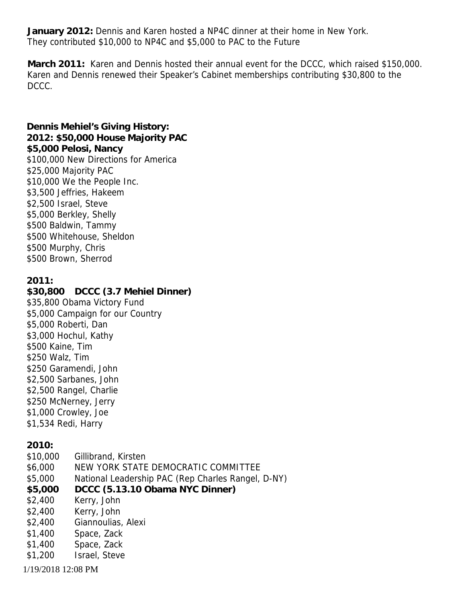**January 2012:** Dennis and Karen hosted a NP4C dinner at their home in New York. They contributed \$10,000 to NP4C and \$5,000 to PAC to the Future

**March 2011:** Karen and Dennis hosted their annual event for the DCCC, which raised \$150,000. Karen and Dennis renewed their Speaker's Cabinet memberships contributing \$30,800 to the DCCC.

1/19/2018 12:08 PM **Dennis Mehiel's Giving History: 2012: \$50,000 House Majority PAC \$5,000 Pelosi, Nancy** \$100,000 New Directions for America \$25,000 Majority PAC \$10,000 We the People Inc. \$3,500 Jeffries, Hakeem \$2,500 Israel, Steve \$5,000 Berkley, Shelly \$500 Baldwin, Tammy \$500 Whitehouse, Sheldon \$500 Murphy, Chris \$500 Brown, Sherrod **2011: \$30,800 DCCC (3.7 Mehiel Dinner)** \$35,800 Obama Victory Fund \$5,000 Campaign for our Country \$5,000 Roberti, Dan \$3,000 Hochul, Kathy \$500 Kaine, Tim \$250 Walz, Tim \$250 Garamendi, John \$2,500 Sarbanes, John \$2,500 Rangel, Charlie \$250 McNerney, Jerry \$1,000 Crowley, Joe \$1,534 Redi, Harry **2010:** \$10,000 Gillibrand, Kirsten \$6,000 NEW YORK STATE DEMOCRATIC COMMITTEE \$5,000 National Leadership PAC (Rep Charles Rangel, D-NY) **\$5,000 DCCC (5.13.10 Obama NYC Dinner)** \$2,400 Kerry, John \$2,400 Kerry, John \$2,400 Giannoulias, Alexi \$1,400 Space, Zack \$1,400 Space, Zack \$1,200 Israel, Steve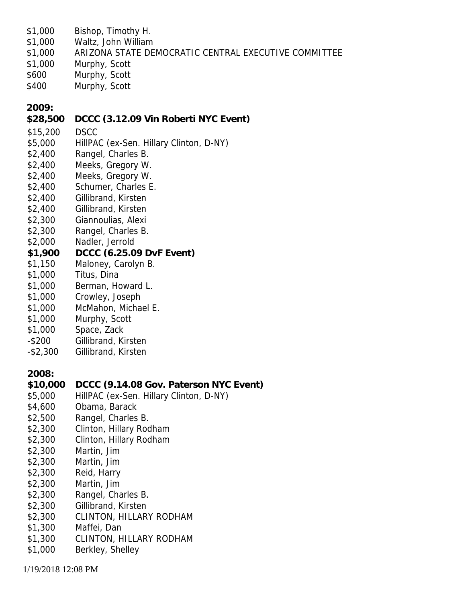- \$1,000 Bishop, Timothy H.
- \$1,000 Waltz, John William
- \$1,000 ARIZONA STATE DEMOCRATIC CENTRAL EXECUTIVE COMMITTEE
- \$1,000 Murphy, Scott
- \$600 Murphy, Scott
- \$400 Murphy, Scott

**2009:**

- **\$28,500 DCCC (3.12.09 Vin Roberti NYC Event)**
- \$15,200 DSCC
- \$5,000 HillPAC (ex-Sen. Hillary Clinton, D-NY)
- \$2,400 Rangel, Charles B.
- \$2,400 Meeks, Gregory W.
- \$2,400 Meeks, Gregory W.
- \$2,400 Schumer, Charles E.
- \$2,400 Gillibrand, Kirsten
- \$2,400 Gillibrand, Kirsten
- \$2,300 Giannoulias, Alexi
- \$2,300 Rangel, Charles B.
- \$2,000 Nadler, Jerrold
- **\$1,900 DCCC (6.25.09 DvF Event)**
- \$1,150 Maloney, Carolyn B.
- \$1,000 Titus, Dina
- \$1,000 Berman, Howard L.
- \$1,000 Crowley, Joseph
- \$1,000 McMahon, Michael E.
- \$1,000 Murphy, Scott
- \$1,000 Space, Zack
- -\$200 Gillibrand, Kirsten
- -\$2,300 Gillibrand, Kirsten

**2008:**

- **\$10,000 DCCC (9.14.08 Gov. Paterson NYC Event)**
- \$5,000 HillPAC (ex-Sen. Hillary Clinton, D-NY)
- \$4,600 Obama, Barack
- \$2,500 Rangel, Charles B.
- \$2,300 Clinton, Hillary Rodham
- \$2,300 Clinton, Hillary Rodham
- \$2,300 Martin, Jim
- \$2,300 Martin, Jim
- \$2,300 Reid, Harry
- \$2,300 Martin, Jim
- \$2,300 Rangel, Charles B.
- \$2,300 Gillibrand, Kirsten
- \$2,300 CLINTON, HILLARY RODHAM
- \$1,300 Maffei, Dan
- \$1,300 CLINTON, HILLARY RODHAM
- \$1,000 Berkley, Shelley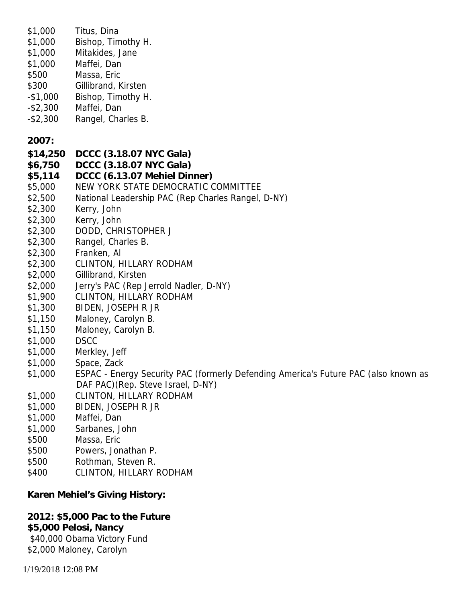| \$1,000<br>\$1,000<br>\$1,000<br>\$1,000<br>\$500<br>\$300<br>$-$ \$1,000 | Titus, Dina<br>Bishop, Timothy H.<br>Mitakides, Jane<br>Maffei, Dan<br>Massa, Eric<br>Gillibrand, Kirsten<br>Bishop, Timothy H. |
|---------------------------------------------------------------------------|---------------------------------------------------------------------------------------------------------------------------------|
| $-$ \$2,300<br>$-$ \$2,300                                                | Maffei, Dan<br>Rangel, Charles B.                                                                                               |
| 2007:                                                                     |                                                                                                                                 |
| \$14,250                                                                  | DCCC (3.18.07 NYC Gala)                                                                                                         |
| \$6,750                                                                   | DCCC (3.18.07 NYC Gala)                                                                                                         |
| \$5,114                                                                   | DCCC (6.13.07 Mehiel Dinner)                                                                                                    |
| \$5,000                                                                   | NEW YORK STATE DEMOCRATIC COMMITTEE                                                                                             |
| \$2,500                                                                   | National Leadership PAC (Rep Charles Rangel, D-NY)                                                                              |
| \$2,300                                                                   | Kerry, John                                                                                                                     |
| \$2,300                                                                   | Kerry, John                                                                                                                     |
| \$2,300                                                                   | DODD, CHRISTOPHER J                                                                                                             |
| \$2,300                                                                   | Rangel, Charles B.                                                                                                              |
| \$2,300                                                                   | Franken, Al                                                                                                                     |
| \$2,300                                                                   | CLINTON, HILLARY RODHAM                                                                                                         |
| \$2,000                                                                   | Gillibrand, Kirsten                                                                                                             |
| \$2,000                                                                   | Jerry's PAC (Rep Jerrold Nadler, D-NY)                                                                                          |
| \$1,900                                                                   | CLINTON, HILLARY RODHAM                                                                                                         |
| \$1,300                                                                   | BIDEN, JOSEPH R JR                                                                                                              |
| \$1,150<br>\$1,150                                                        | Maloney, Carolyn B.                                                                                                             |
| \$1,000                                                                   | Maloney, Carolyn B.<br><b>DSCC</b>                                                                                              |
| \$1,000                                                                   | Merkley, Jeff                                                                                                                   |
| \$1,000                                                                   | Space, Zack                                                                                                                     |
| \$1,000                                                                   | ESPAC - Energy Security PAC (formerly Defending America's Future PAC (also known as                                             |
|                                                                           | DAF PAC) (Rep. Steve Israel, D-NY)                                                                                              |
| \$1,000                                                                   | CLINTON, HILLARY RODHAM                                                                                                         |
| \$1,000                                                                   | BIDEN, JOSEPH R JR                                                                                                              |
| \$1,000                                                                   | Maffei, Dan                                                                                                                     |
| \$1,000                                                                   | Sarbanes, John                                                                                                                  |
| \$500                                                                     | Massa, Eric                                                                                                                     |
| \$500                                                                     | Powers, Jonathan P.                                                                                                             |
| \$500                                                                     | Rothman, Steven R.                                                                                                              |
|                                                                           |                                                                                                                                 |

\$400 CLINTON, HILLARY RODHAM

**Karen Mehiel's Giving History:**

**2012: \$5,000 Pac to the Future \$5,000 Pelosi, Nancy** \$40,000 Obama Victory Fund \$2,000 Maloney, Carolyn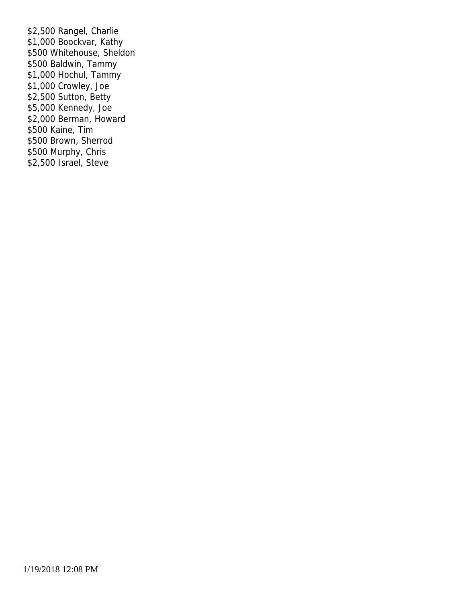\$2,500 Rangel, Charlie \$1,000 Boockvar, Kathy \$500 Whitehouse, Sheldon \$500 Baldwin, Tammy \$1,000 Hochul, Tammy \$1,000 Crowley, Joe \$2,500 Sutton, Betty \$5,000 Kennedy, Joe \$2,000 Berman, Howard \$500 Kaine, Tim \$500 Brown, Sherrod \$500 Murphy, Chris \$2,500 Israel, Steve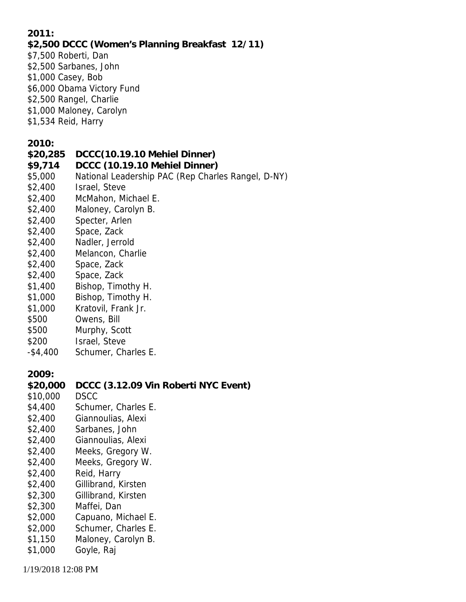**2011:**

- **\$2,500 DCCC (Women's Planning Breakfast 12/11)**
- \$7,500 Roberti, Dan
- \$2,500 Sarbanes, John
- \$1,000 Casey, Bob
- \$6,000 Obama Victory Fund
- \$2,500 Rangel, Charlie
- \$1,000 Maloney, Carolyn
- \$1,534 Reid, Harry

**2010:**

- **\$20,285 DCCC(10.19.10 Mehiel Dinner)**
- **\$9,714 DCCC (10.19.10 Mehiel Dinner)**
- \$5,000 National Leadership PAC (Rep Charles Rangel, D-NY)
- \$2,400 Israel, Steve
- \$2,400 McMahon, Michael E.
- \$2,400 Maloney, Carolyn B.
- \$2,400 Specter, Arlen
- \$2,400 Space, Zack
- \$2,400 Nadler, Jerrold
- \$2,400 Melancon, Charlie
- \$2,400 Space, Zack
- \$2,400 Space, Zack
- \$1,400 Bishop, Timothy H.
- \$1,000 Bishop, Timothy H.
- \$1,000 Kratovil, Frank Jr.
- \$500 Owens, Bill
- \$500 Murphy, Scott
- \$200 Israel, Steve
- -\$4,400 Schumer, Charles E.

**2009:**

- **\$20,000 DCCC (3.12.09 Vin Roberti NYC Event)**
- \$10,000 DSCC
- \$4,400 Schumer, Charles E.
- \$2,400 Giannoulias, Alexi
- \$2,400 Sarbanes, John
- \$2,400 Giannoulias, Alexi
- \$2,400 Meeks, Gregory W.
- \$2,400 Meeks, Gregory W.
- \$2,400 Reid, Harry
- \$2,400 Gillibrand, Kirsten
- \$2,300 Gillibrand, Kirsten
- \$2,300 Maffei, Dan
- \$2,000 Capuano, Michael E.
- \$2,000 Schumer, Charles E.
- \$1,150 Maloney, Carolyn B.
- \$1,000 Goyle, Raj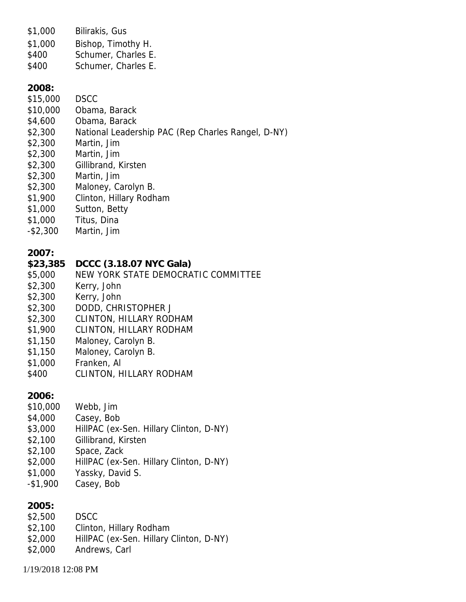\$1,000 Bilirakis, Gus

\$1,000 Bishop, Timothy H.

- \$400 Schumer, Charles E.
- \$400 Schumer, Charles E.

**2008:**

- \$15,000 DSCC
- \$10,000 Obama, Barack
- \$4,600 Obama, Barack
- \$2,300 National Leadership PAC (Rep Charles Rangel, D-NY)
- \$2,300 Martin, Jim
- \$2,300 Martin, Jim
- \$2,300 Gillibrand, Kirsten
- \$2,300 Martin, Jim
- \$2,300 Maloney, Carolyn B.
- \$1,900 Clinton, Hillary Rodham
- \$1,000 Sutton, Betty
- \$1,000 Titus, Dina
- -\$2,300 Martin, Jim

**2007:**

- **\$23,385 DCCC (3.18.07 NYC Gala)**
- \$5,000 NEW YORK STATE DEMOCRATIC COMMITTEE
- \$2,300 Kerry, John
- \$2,300 Kerry, John
- \$2,300 DODD, CHRISTOPHER J
- \$2,300 CLINTON, HILLARY RODHAM
- \$1,900 CLINTON, HILLARY RODHAM
- \$1,150 Maloney, Carolyn B.
- \$1,150 Maloney, Carolyn B.
- \$1,000 Franken, Al
- \$400 CLINTON, HILLARY RODHAM

**2006:**

- \$10,000 Webb, Jim
- \$4,000 Casey, Bob
- \$3,000 HillPAC (ex-Sen. Hillary Clinton, D-NY)
- \$2,100 Gillibrand, Kirsten
- \$2,100 Space, Zack
- \$2,000 HillPAC (ex-Sen. Hillary Clinton, D-NY)
- \$1,000 Yassky, David S.
- -\$1,900 Casey, Bob

**2005:**

- \$2,500 DSCC
- \$2,100 Clinton, Hillary Rodham
- \$2,000 HillPAC (ex-Sen. Hillary Clinton, D-NY)
- \$2,000 Andrews, Carl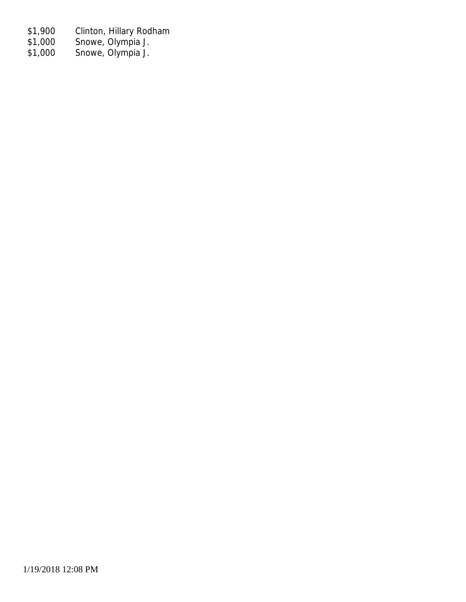- \$1,900 Clinton, Hillary Rodham
- \$1,000 Snowe, Olympia J.
- \$1,000 Snowe, Olympia J.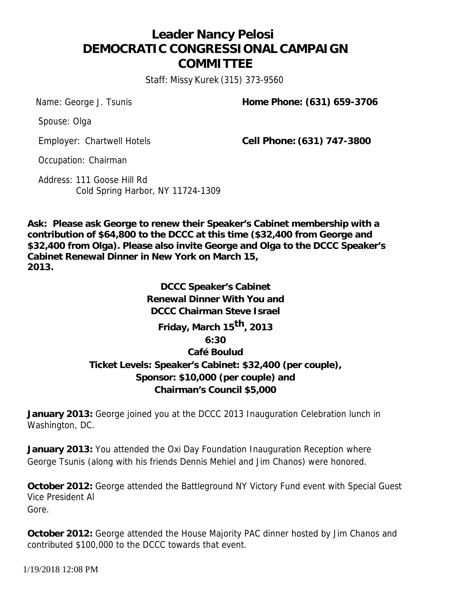# **Leader Nancy Pelosi DEMOCRATIC CONGRESSIONAL CAMPAIGN COMMITTEE**

Staff: Missy Kurek (315) 373-9560

Name: George J. Tsunis **Home Phone: (631) 659-3706** 

Spouse: Olga

Employer: Chartwell Hotels **Cell Phone: (631) 747-3800**

Occupation: Chairman

Address: 111 Goose Hill Rd Cold Spring Harbor, NY 11724-1309

**Ask: Please ask George to renew their Speaker's Cabinet membership with a contribution of \$64,800 to the DCCC at this time (\$32,400 from George and \$32,400 from Olga). Please also invite George and Olga to the DCCC Speaker's Cabinet Renewal Dinner in New York on March 15, 2013.**

> **DCCC Speaker's Cabinet Renewal Dinner With You and DCCC Chairman Steve Israel Friday, March 15 th, 2013 6:30 Café Boulud Ticket Levels: Speaker's Cabinet: \$32,400 (per couple), Sponsor: \$10,000 (per couple) and Chairman's Council \$5,000**

**January 2013:** George joined you at the DCCC 2013 Inauguration Celebration lunch in Washington, DC.

**January 2013:** You attended the Oxi Day Foundation Inauguration Reception where George Tsunis (along with his friends Dennis Mehiel and Jim Chanos) were honored.

**October 2012:** George attended the Battleground NY Victory Fund event with Special Guest Vice President Al Gore.

**October 2012:** George attended the House Majority PAC dinner hosted by Jim Chanos and contributed \$100,000 to the DCCC towards that event.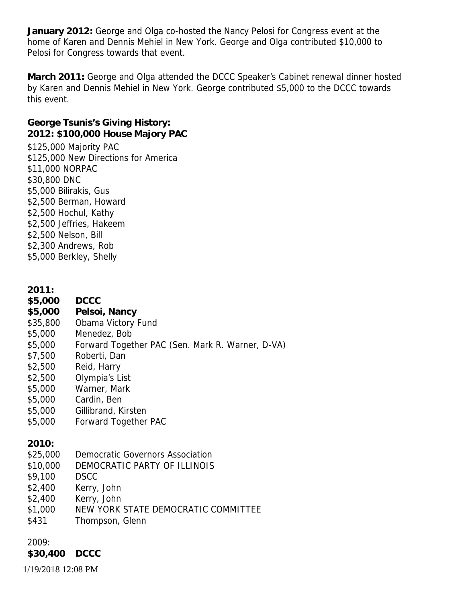**January 2012:** George and Olga co-hosted the Nancy Pelosi for Congress event at the home of Karen and Dennis Mehiel in New York. George and Olga contributed \$10,000 to Pelosi for Congress towards that event.

**March 2011:** George and Olga attended the DCCC Speaker's Cabinet renewal dinner hosted by Karen and Dennis Mehiel in New York. George contributed \$5,000 to the DCCC towards this event.

**George Tsunis's Giving History: 2012: \$100,000 House Majory PAC** \$125,000 Majority PAC \$125,000 New Directions for America \$11,000 NORPAC \$30,800 DNC \$5,000 Bilirakis, Gus \$2,500 Berman, Howard \$2,500 Hochul, Kathy \$2,500 Jeffries, Hakeem \$2,500 Nelson, Bill \$2,300 Andrews, Rob \$5,000 Berkley, Shelly

**2011:**

- **\$5,000 DCCC**
- **\$5,000 Pelsoi, Nancy**
- \$35,800 Obama Victory Fund
- \$5,000 Menedez, Bob
- \$5,000 Forward Together PAC (Sen. Mark R. Warner, D-VA)
- \$7,500 Roberti, Dan
- \$2,500 Reid, Harry
- \$2,500 Olympia's List
- \$5,000 Warner, Mark
- \$5,000 Cardin, Ben
- \$5,000 Gillibrand, Kirsten
- \$5,000 Forward Together PAC

**2010:**

- \$25,000 Democratic Governors Association
- \$10,000 DEMOCRATIC PARTY OF ILLINOIS
- \$9,100 DSCC
- \$2,400 Kerry, John
- \$2,400 Kerry, John
- \$1,000 NEW YORK STATE DEMOCRATIC COMMITTEE
- \$431 Thompson, Glenn

2009:

**\$30,400 DCCC**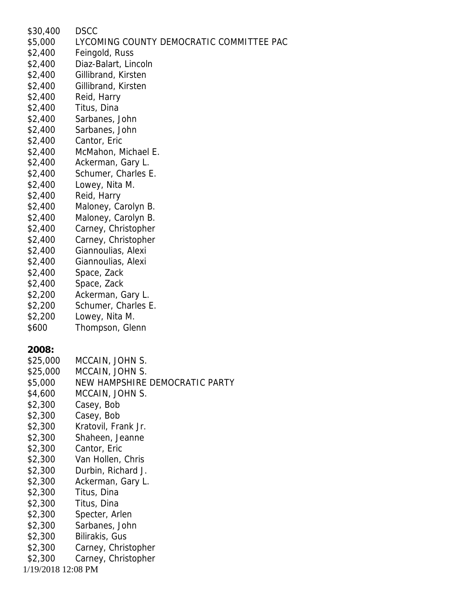| \$30,400           | DSCC                                     |
|--------------------|------------------------------------------|
| \$5,000            | LYCOMING COUNTY DEMOCRATIC COMMITTEE PAC |
| \$2,400            | Feingold, Russ                           |
| \$2,400            | Diaz-Balart, Lincoln                     |
| \$2,400            | Gillibrand, Kirsten                      |
| \$2,400            | Gillibrand, Kirsten                      |
| \$2,400            | Reid, Harry                              |
| \$2,400            | Titus, Dina                              |
| \$2,400            | Sarbanes, John                           |
| \$2,400            | Sarbanes, John                           |
| \$2,400            | Cantor, Eric                             |
| \$2,400            | McMahon, Michael E.                      |
| \$2,400            | Ackerman, Gary L.                        |
| \$2,400            | Schumer, Charles E.                      |
| \$2,400            | Lowey, Nita M.                           |
| \$2,400            | Reid, Harry                              |
| \$2,400            | Maloney, Carolyn B.                      |
| \$2,400            | Maloney, Carolyn B.                      |
| \$2,400            | Carney, Christopher                      |
| \$2,400            | Carney, Christopher                      |
| \$2,400            | Giannoulias, Alexi                       |
| \$2,400            | Giannoulias, Alexi                       |
| \$2,400            |                                          |
|                    | Space, Zack                              |
| \$2,400            | Space, Zack                              |
| \$2,200            | Ackerman, Gary L.                        |
| \$2,200            | Schumer, Charles E.                      |
| \$2,200            | Lowey, Nita M.                           |
| \$600              | Thompson, Glenn                          |
|                    |                                          |
| 2008:              |                                          |
| \$25,000           | MCCAIN, JOHN S.                          |
| \$25,000           | MCCAIN, JOHN S.                          |
| \$5,000            | NEW HAMPSHIRE DEMOCRATIC PARTY           |
| \$4,600            | MCCAIN, JOHN S.                          |
| \$2,300            | Casey, Bob                               |
| \$2,300            | Casey, Bob                               |
| \$2,300            | Kratovil, Frank Jr.                      |
| \$2,300            | Shaheen, Jeanne                          |
| \$2,300            | Cantor, Eric                             |
| \$2,300            | Van Hollen, Chris                        |
| \$2,300            | Durbin, Richard J.                       |
| \$2,300            | Ackerman, Gary L.                        |
| \$2,300            | Titus, Dina                              |
| \$2,300            | Titus, Dina                              |
| \$2,300            | Specter, Arlen                           |
| \$2,300            | Sarbanes, John                           |
| \$2,300            | Bilirakis, Gus                           |
| \$2,300            | Carney, Christopher                      |
| \$2,300            | Carney, Christopher                      |
| 1/19/2018 12:08 PM |                                          |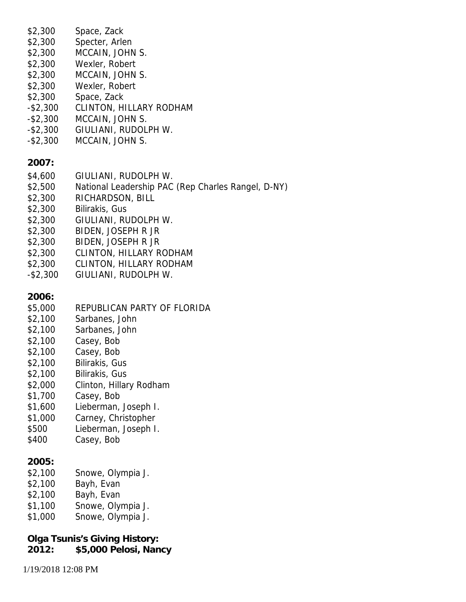| \$2,300<br>\$2,300<br>\$2,300<br>\$2,300<br>\$2,300<br>\$2,300<br>\$2,300<br>$-$ \$2,300<br>$-$ \$2,300<br>$-$ \$2,300<br>$-$ \$2,300            | Space, Zack<br>Specter, Arlen<br>MCCAIN, JOHN S.<br>Wexler, Robert<br>MCCAIN, JOHN S.<br>Wexler, Robert<br>Space, Zack<br><b>CLINTON, HILLARY RODHAM</b><br>MCCAIN, JOHN S.<br>GIULIANI, RUDOLPH W.<br>MCCAIN, JOHN S.                                                           |
|--------------------------------------------------------------------------------------------------------------------------------------------------|----------------------------------------------------------------------------------------------------------------------------------------------------------------------------------------------------------------------------------------------------------------------------------|
| 2007:<br>\$4,600<br>\$2,500<br>\$2,300<br>\$2,300<br>\$2,300<br>\$2,300<br>\$2,300<br>\$2,300<br>\$2,300<br>$-$ \$2,300                          | GIULIANI, RUDOLPH W.<br>National Leadership PAC (Rep Charles Rangel, D-NY)<br>RICHARDSON, BILL<br>Bilirakis, Gus<br>GIULIANI, RUDOLPH W.<br>BIDEN, JOSEPH R JR<br><b>BIDEN, JOSEPH R JR</b><br>CLINTON, HILLARY RODHAM<br><b>CLINTON, HILLARY RODHAM</b><br>GIULIANI, RUDOLPH W. |
| 2006:<br>\$5,000<br>\$2,100<br>\$2,100<br>\$2,100<br>\$2,100<br>\$2,100<br>\$2,100<br>\$2,000<br>\$1,700<br>\$1,600<br>\$1,000<br>\$500<br>\$400 | REPUBLICAN PARTY OF FLORIDA<br>Sarbanes, John<br>Sarbanes, John<br>Casey, Bob<br>Casey, Bob<br>Bilirakis, Gus<br>Bilirakis, Gus<br>Clinton, Hillary Rodham<br>Casey, Bob<br>Lieberman, Joseph I.<br>Carney, Christopher<br>Lieberman, Joseph I.<br>Casey, Bob                    |
| 2005:<br>\$2,100<br>\$2,100<br>\$2,100<br>\$1,100<br>\$1,000                                                                                     | Snowe, Olympia J.<br>Bayh, Evan<br>Bayh, Evan<br>Snowe, Olympia J.<br>Snowe, Olympia J.                                                                                                                                                                                          |
|                                                                                                                                                  |                                                                                                                                                                                                                                                                                  |

**Olga Tsunis's Giving History: 2012: \$5,000 Pelosi, Nancy**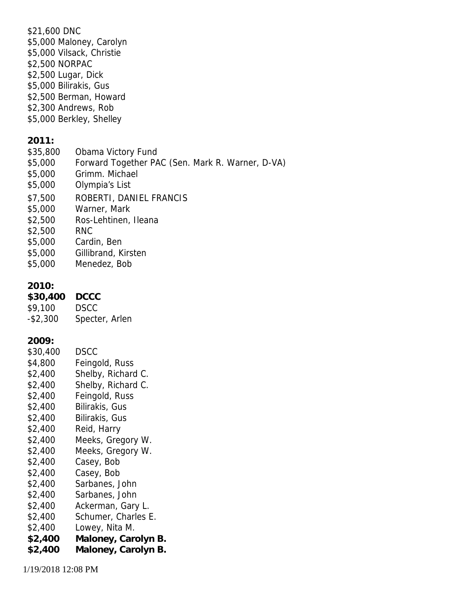\$21,600 DNC \$5,000 Maloney, Carolyn \$5,000 Vilsack, Christie \$2,500 NORPAC \$2,500 Lugar, Dick \$5,000 Bilirakis, Gus \$2,500 Berman, Howard \$2,300 Andrews, Rob \$5,000 Berkley, Shelley **2011:** \$35,800 Obama Victory Fund \$5,000 Forward Together PAC (Sen. Mark R. Warner, D-VA) \$5,000 Grimm. Michael \$5,000 Olympia's List \$7,500 ROBERTI, DANIEL FRANCIS \$5,000 Warner, Mark \$2,500 Ros-Lehtinen, Ileana \$2,500 RNC \$5,000 Cardin, Ben \$5,000 Gillibrand, Kirsten \$5,000 Menedez, Bob **2010: \$30,400 DCCC** \$9,100 DSCC -\$2,300 Specter, Arlen **2009:** \$30,400 DSCC \$4,800 Feingold, Russ \$2,400 Shelby, Richard C. \$2,400 Shelby, Richard C. \$2,400 Feingold, Russ \$2,400 Bilirakis, Gus \$2,400 Bilirakis, Gus \$2,400 Reid, Harry \$2,400 Meeks, Gregory W. \$2,400 Meeks, Gregory W. \$2,400 Casey, Bob \$2,400 Casey, Bob \$2,400 Sarbanes, John \$2,400 Sarbanes, John \$2,400 Ackerman, Gary L. \$2,400 Schumer, Charles E. \$2,400 Lowey, Nita M. **\$2,400 Maloney, Carolyn B. \$2,400 Maloney, Carolyn B.**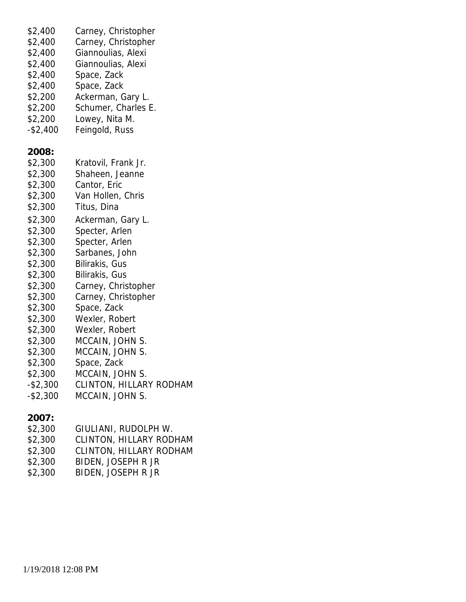| \$2,400     | Carney, Christopher     |
|-------------|-------------------------|
| \$2,400     | Carney, Christopher     |
| \$2,400     | Giannoulias, Alexi      |
| \$2,400     | Giannoulias, Alexi      |
| \$2,400     | Space, Zack             |
| \$2,400     | Space, Zack             |
| \$2,200     | Ackerman, Gary L.       |
| \$2,200     | Schumer, Charles E.     |
| \$2,200     | Lowey, Nita M.          |
| $-$2,400$   | Feingold, Russ          |
| 2008:       |                         |
| \$2,300     | Kratovil, Frank Jr.     |
| \$2,300     | Shaheen, Jeanne         |
| \$2,300     | Cantor, Eric            |
| \$2,300     | Van Hollen, Chris       |
| \$2,300     | Titus, Dina             |
| \$2,300     | Ackerman, Gary L.       |
| \$2,300     | Specter, Arlen          |
| \$2,300     | Specter, Arlen          |
| \$2,300     | Sarbanes, John          |
| \$2,300     | Bilirakis, Gus          |
| \$2,300     | Bilirakis, Gus          |
| \$2,300     | Carney, Christopher     |
| \$2,300     | Carney, Christopher     |
| \$2,300     | Space, Zack             |
| \$2,300     | Wexler, Robert          |
| \$2,300     | Wexler, Robert          |
| \$2,300     | MCCAIN, JOHN S.         |
| \$2,300     | MCCAIN, JOHN S.         |
| \$2,300     | Space, Zack             |
| \$2,300     | MCCAIN, JOHN S.         |
| $-$ \$2,300 | CLINTON, HILLARY RODHAM |
| $-$ \$2,300 | MCCAIN, JOHN S.         |
| 2007:       |                         |
| \$2,300     | GIULIANI, RUDOLPH W.    |

- \$2,300 CLINTON, HILLARY RODHAM \$2,300 CLINTON, HILLARY RODHAM<br>\$2,300 BIDEN, JOSEPH R JR
- BIDEN, JOSEPH R JR
- \$2,300 BIDEN, JOSEPH R JR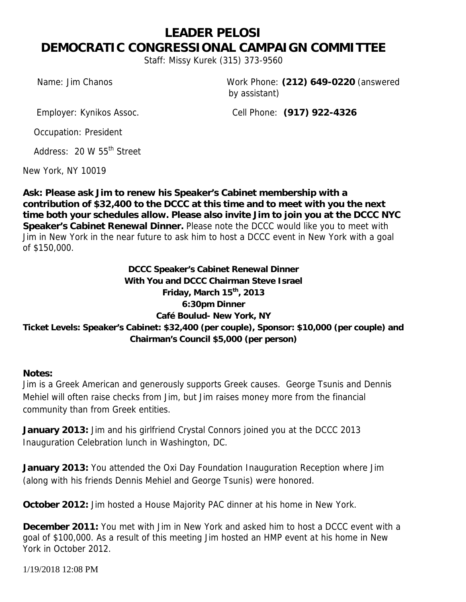# **LEADER PELOSI DEMOCRATIC CONGRESSIONAL CAMPAIGN COMMITTEE**

*Staff: Missy Kurek (315) 373-9560*

*Name:* Jim Chanos *Work Phone:* **(212) 649-0220** (answered by assistant)

*Employer:* Kynikos Assoc. *Cell Phone:* **(917) 922-4326**

*Occupation:* President

*Address:* 20 W 55th Street

New York, NY 10019

**Ask: Please ask Jim to renew his Speaker's Cabinet membership with a contribution of \$32,400 to the DCCC at this time and to meet with you the next time both your schedules allow. Please also invite Jim to join you at the DCCC NYC Speaker's Cabinet Renewal Dinner.** *Please note the DCCC would like you to meet with Jim in New York in the near future to ask him to host a DCCC event in New York with a goal of \$150,000.*

**DCCC Speaker's Cabinet Renewal Dinner With You and DCCC Chairman Steve Israel Friday, March 15th, 2013 6:30pm Dinner Café Boulud- New York, NY Ticket Levels: Speaker's Cabinet: \$32,400 (per couple), Sponsor: \$10,000 (per couple) and Chairman's Council \$5,000 (per person)**

**Notes:**

Jim is a Greek American and generously supports Greek causes. George Tsunis and Dennis Mehiel will often raise checks from Jim, but Jim raises money more from the financial community than from Greek entities.

**January 2013:** Jim and his girlfriend Crystal Connors joined you at the DCCC 2013 Inauguration Celebration lunch in Washington, DC.

**January 2013:** You attended the Oxi Day Foundation Inauguration Reception where Jim (along with his friends Dennis Mehiel and George Tsunis) were honored.

**October 2012:** Jim hosted a House Majority PAC dinner at his home in New York.

**December 2011:** You met with Jim in New York and asked him to host a DCCC event with a goal of \$100,000. As a result of this meeting Jim hosted an HMP event at his home in New York in October 2012.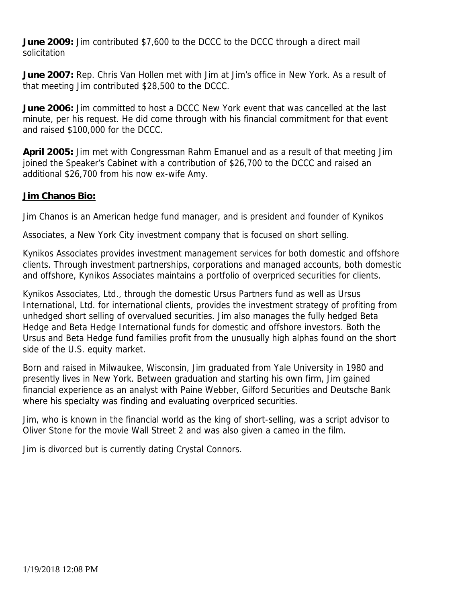**June 2009:** Jim contributed \$7,600 to the DCCC to the DCCC through a direct mail solicitation

**June 2007:** Rep. Chris Van Hollen met with Jim at Jim's office in New York. As a result of that meeting Jim contributed \$28,500 to the DCCC.

**June 2006:** Jim committed to host a DCCC New York event that was cancelled at the last minute, per his request. He did come through with his financial commitment for that event and raised \$100,000 for the DCCC.

**April 2005:** Jim met with Congressman Rahm Emanuel and as a result of that meeting Jim joined the Speaker's Cabinet with a contribution of \$26,700 to the DCCC and raised an additional \$26,700 from his now ex-wife Amy.

#### **Jim Chanos Bio:**

Jim Chanos is an American hedge fund manager, and is president and founder of Kynikos

Associates, a New York City investment company that is focused on short selling.

Kynikos Associates provides investment management services for both domestic and offshore clients. Through investment partnerships, corporations and managed accounts, both domestic and offshore, Kynikos Associates maintains a portfolio of overpriced securities for clients.

Kynikos Associates, Ltd., through the domestic Ursus Partners fund as well as Ursus International, Ltd. for international clients, provides the investment strategy of profiting from unhedged short selling of overvalued securities. Jim also manages the fully hedged Beta Hedge and Beta Hedge International funds for domestic and offshore investors. Both the Ursus and Beta Hedge fund families profit from the unusually high alphas found on the short side of the U.S. equity market.

Born and raised in Milwaukee, Wisconsin, Jim graduated from Yale University in 1980 and presently lives in New York. Between graduation and starting his own firm, Jim gained financial experience as an analyst with Paine Webber, Gilford Securities and Deutsche Bank where his specialty was finding and evaluating overpriced securities.

Jim, who is known in the financial world as the king of short-selling, was a script advisor to Oliver Stone for the movie *Wall Street 2* and was also given a cameo in the film.

Jim is divorced but is currently dating Crystal Connors.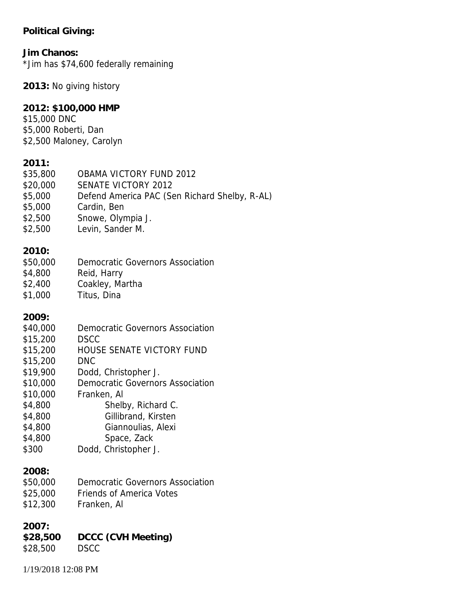### **Political Giving:**

| Jim Chanos:<br>*Jim has \$74,600 federally remaining                                                                                           |                                                                                                                                                                                                                                                                                        |  |  |
|------------------------------------------------------------------------------------------------------------------------------------------------|----------------------------------------------------------------------------------------------------------------------------------------------------------------------------------------------------------------------------------------------------------------------------------------|--|--|
|                                                                                                                                                | 2013: No giving history                                                                                                                                                                                                                                                                |  |  |
| 2012: \$100,000 HMP<br>\$15,000 DNC<br>\$5,000 Roberti, Dan<br>\$2,500 Maloney, Carolyn                                                        |                                                                                                                                                                                                                                                                                        |  |  |
| 2011:<br>\$35,800<br>\$20,000<br>\$5,000<br>\$5,000<br>\$2,500<br>\$2,500                                                                      | OBAMA VICTORY FUND 2012<br><b>SENATE VICTORY 2012</b><br>Defend America PAC (Sen Richard Shelby, R-AL)<br>Cardin, Ben<br>Snowe, Olympia J.<br>Levin, Sander M.                                                                                                                         |  |  |
| 2010:<br>\$50,000<br>\$4,800<br>\$2,400<br>\$1,000                                                                                             | <b>Democratic Governors Association</b><br>Reid, Harry<br>Coakley, Martha<br>Titus, Dina                                                                                                                                                                                               |  |  |
| 2009:<br>\$40,000<br>\$15,200<br>\$15,200<br>\$15,200<br>\$19,900<br>\$10,000<br>\$10,000<br>\$4,800<br>\$4,800<br>\$4,800<br>\$4,800<br>\$300 | Democratic Governors Association<br><b>DSCC</b><br>HOUSE SENATE VICTORY FUND<br><b>DNC</b><br>Dodd, Christopher J.<br><b>Democratic Governors Association</b><br>Franken, Al<br>Shelby, Richard C.<br>Gillibrand, Kirsten<br>Giannoulias, Alexi<br>Space, Zack<br>Dodd, Christopher J. |  |  |
| 2008:<br>\$50,000<br>\$25,000<br>\$12,300                                                                                                      | Democratic Governors Association<br><b>Friends of America Votes</b><br>Franken, Al                                                                                                                                                                                                     |  |  |
| 2007:<br>\$28,500<br>\$28,500                                                                                                                  | DCCC (CVH Meeting)<br><b>DSCC</b>                                                                                                                                                                                                                                                      |  |  |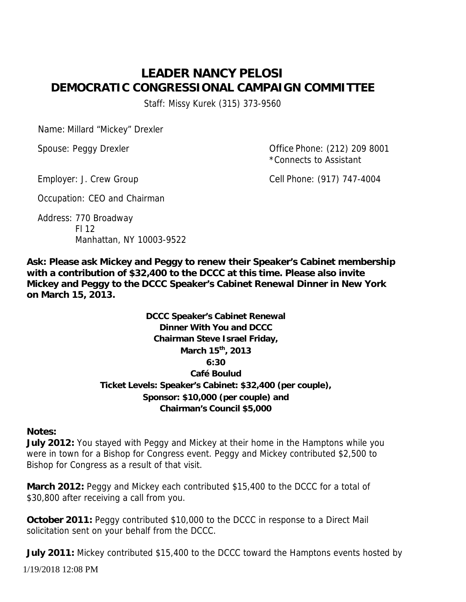# **LEADER NANCY PELOSI DEMOCRATIC CONGRESSIONAL CAMPAIGN COMMITTEE** Staff: Missy Kurek (315) 373-9560

Name: Millard "Mickey" Drexler

Spouse: Peggy Drexler **Conservation Conservation** Office Phone: (212) 209 8001 \*Connects to Assistant

Employer: J. Crew Group **Cell Phone: (917) 747-4004** 

Occupation: CEO and Chairman

Address: 770 Broadway Fl 12 Manhattan, NY 10003-9522

**Ask: Please ask Mickey and Peggy to renew their Speaker's Cabinet membership with a contribution of \$32,400 to the DCCC at this time. Please also invite Mickey and Peggy to the DCCC Speaker's Cabinet Renewal Dinner in New York on March 15, 2013.**

> **DCCC Speaker's Cabinet Renewal Dinner With You and DCCC Chairman Steve Israel Friday, March 15 th , 2013 6:30 Café Boulud Ticket Levels: Speaker's Cabinet: \$32,400 (per couple), Sponsor: \$10,000 (per couple) and Chairman's Council \$5,000**

**Notes:**

**July 2012:** You stayed with Peggy and Mickey at their home in the Hamptons while you were in town for a Bishop for Congress event. Peggy and Mickey contributed \$2,500 to Bishop for Congress as a result of that visit.

**March 2012:** Peggy and Mickey each contributed \$15,400 to the DCCC for a total of \$30,800 after receiving a call from you.

**October 2011:** Peggy contributed \$10,000 to the DCCC in response to a Direct Mail solicitation sent on your behalf from the DCCC.

**July 2011:** Mickey contributed \$15,400 to the DCCC toward the Hamptons events hosted by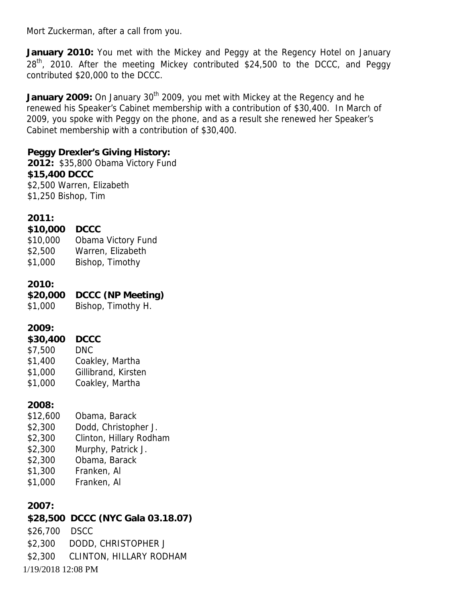Mort Zuckerman, after a call from you.

**January 2010:** You met with the Mickey and Peggy at the Regency Hotel on January 28<sup>th</sup>, 2010. After the meeting Mickey contributed \$24,500 to the DCCC, and Peggy contributed \$20,000 to the DCCC.

January 2009: On January 30<sup>th</sup> 2009, you met with Mickey at the Regency and he renewed his Speaker's Cabinet membership with a contribution of \$30,400. In March of 2009, you spoke with Peggy on the phone, and as a result she renewed her Speaker's Cabinet membership with a contribution of \$30,400.

**Peggy Drexler's Giving History: 2012:** \$35,800 Obama Victory Fund **\$15,400 DCCC** \$2,500 Warren, Elizabeth \$1,250 Bishop, Tim

**2011:**

| \$10,000 DCCC |                    |
|---------------|--------------------|
| \$10,000      | Obama Victory Fund |
| \$2,500       | Warren, Elizabeth  |

\$1,000 Bishop, Timothy

**2010:**

**\$20,000 DCCC (NP Meeting)** \$1,000 Bishop, Timothy H.

**2009:**

| \$30,400 DCCC |                     |
|---------------|---------------------|
| \$7,500       | <b>DNC</b>          |
| \$1,400       | Coakley, Martha     |
| \$1,000       | Gillibrand, Kirsten |
| \$1,000       | Coakley, Martha     |

**2008:**

- \$12,600 Obama, Barack
- \$2,300 Dodd, Christopher J.
- \$2,300 Clinton, Hillary Rodham
- \$2,300 Murphy, Patrick J.
- \$2,300 Obama, Barack
- \$1,300 Franken, Al
- \$1,000 Franken, Al

**2007:**

1/19/2018 12:08 PM **\$28,500 DCCC (NYC Gala 03.18.07)** \$26,700 DSCC \$2,300 DODD, CHRISTOPHER J \$2,300 CLINTON, HILLARY RODHAM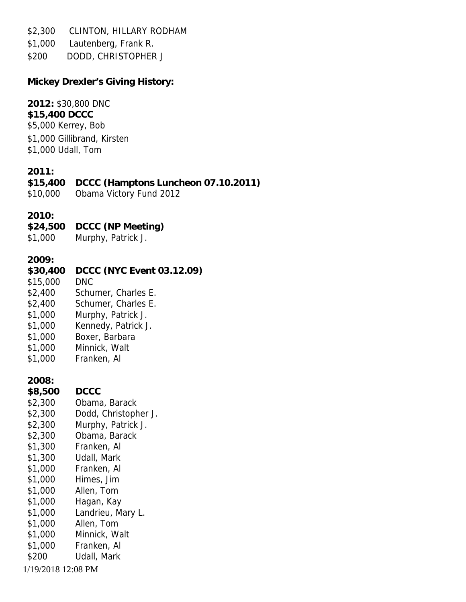\$2,300 CLINTON, HILLARY RODHAM

- \$1,000 Lautenberg, Frank R.
- \$200 DODD, CHRISTOPHER J

**Mickey Drexler's Giving History:**

| 2012: \$30,800 DNC<br>\$15,400 DCCC<br>\$5,000 Kerrey, Bob<br>\$1,000 Gillibrand, Kirsten<br>\$1,000 Udall, Tom                                                                     |                                                                                                                                                                                                                                                                      |
|-------------------------------------------------------------------------------------------------------------------------------------------------------------------------------------|----------------------------------------------------------------------------------------------------------------------------------------------------------------------------------------------------------------------------------------------------------------------|
| 2011:<br>\$15,400<br>\$10,000                                                                                                                                                       | DCCC (Hamptons Luncheon 07.10.2011)<br>Obama Victory Fund 2012                                                                                                                                                                                                       |
| 2010:<br>\$24,500<br>\$1,000                                                                                                                                                        | DCCC (NP Meeting)<br>Murphy, Patrick J.                                                                                                                                                                                                                              |
| 2009:<br>\$30,400<br>\$15,000<br>\$2,400<br>\$2,400<br>\$1,000<br>\$1,000<br>\$1,000<br>\$1,000<br>\$1,000                                                                          | DCCC (NYC Event 03.12.09)<br><b>DNC</b><br>Schumer, Charles E.<br>Schumer, Charles E.<br>Murphy, Patrick J.<br>Kennedy, Patrick J.<br>Boxer, Barbara<br>Minnick, Walt<br>Franken, Al                                                                                 |
| 2008:<br>\$8,500<br>\$2,300<br>\$2,300<br>\$2,300<br>\$2,300<br>\$1,300<br>\$1,300<br>\$1,000<br>\$1,000<br>\$1,000<br>\$1,000<br>\$1,000<br>\$1,000<br>\$1,000<br>\$1,000<br>\$200 | <b>DCCC</b><br>Obama, Barack<br>Dodd, Christopher J.<br>Murphy, Patrick J.<br>Obama, Barack<br>Franken, Al<br>Udall, Mark<br>Franken, Al<br>Himes, Jim<br>Allen, Tom<br>Hagan, Kay<br>Landrieu, Mary L.<br>Allen, Tom<br>Minnick, Walt<br>Franken, Al<br>Udall, Mark |
| 1/19/2018 12:08 PM                                                                                                                                                                  |                                                                                                                                                                                                                                                                      |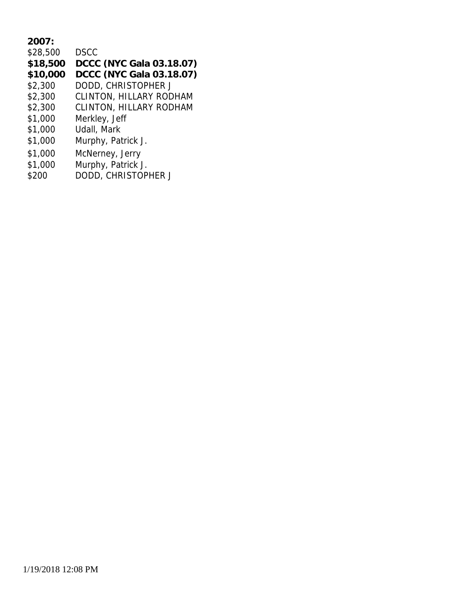| 2007:    |                                |
|----------|--------------------------------|
| \$28,500 | <b>DSCC</b>                    |
| \$18,500 | DCCC (NYC Gala 03.18.07)       |
| \$10,000 | DCCC (NYC Gala 03.18.07)       |
| \$2,300  | DODD, CHRISTOPHER J            |
| \$2,300  | <b>CLINTON, HILLARY RODHAM</b> |
| \$2,300  | <b>CLINTON, HILLARY RODHAM</b> |
| \$1,000  | Merkley, Jeff                  |
| \$1,000  | Udall, Mark                    |
| \$1,000  | Murphy, Patrick J.             |
| \$1,000  | McNerney, Jerry                |
| \$1,000  | Murphy, Patrick J.             |
| \$200    | DODD, CHRISTOPHER J            |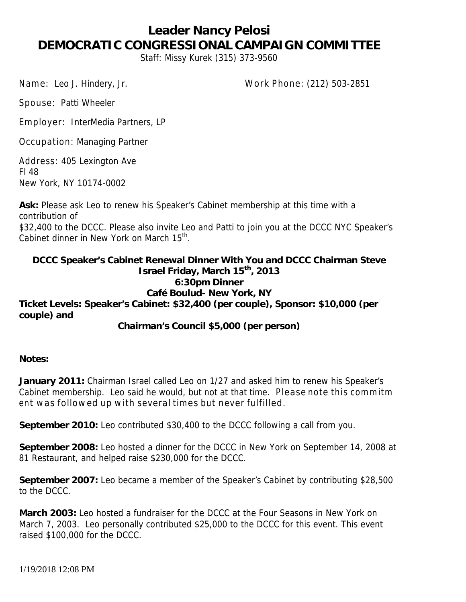#### **Leader Nancy Pelosi DEMOCRATIC CONGRESSIONAL CAMPAIGN COMMITTEE** Staff: Missy Kurek (315) 373-9560

Name: Leo J. Hindery, Jr. Work Phone: (212) 503-2851

Spouse: Patti Wheeler

Employer: InterMedia Partners, LP

Occupation: Managing Partner

Address: 405 Lexington Ave Fl 48 New York, NY 10174-0002

**Ask:** Please ask Leo to renew his Speaker's Cabinet membership at this time with a contribution of \$32,400 to the DCCC. Please also invite Leo and Patti to join you at the DCCC NYC Speaker's Cabinet dinner in New York on March 15<sup>th</sup>.

**DCCC Speaker's Cabinet Renewal Dinner With You and DCCC Chairman Steve Israel Friday, March 15th , 2013 6:30pm Dinner Café Boulud- New York, NY Ticket Levels: Speaker's Cabinet: \$32,400 (per couple), Sponsor: \$10,000 (per couple) and**

**Chairman's Council \$5,000 (per person)**

**Notes:**

**January 2011:** Chairman Israel called Leo on 1/27 and asked him to renew his Speaker's Cabinet membership. Leo said he would, but not at that time. Please note this comm itm ent was followed up with several times but never fulfilled.

**September 2010:** Leo contributed \$30,400 to the DCCC following a call from you.

**September 2008:** Leo hosted a dinner for the DCCC in New York on September 14, 2008 at 81 Restaurant, and helped raise \$230,000 for the DCCC.

**September 2007:** Leo became a member of the Speaker's Cabinet by contributing \$28,500 to the DCCC.

**March 2003:** Leo hosted a fundraiser for the DCCC at the Four Seasons in New York on March 7, 2003. Leo personally contributed \$25,000 to the DCCC for this event. This event raised \$100,000 for the DCCC.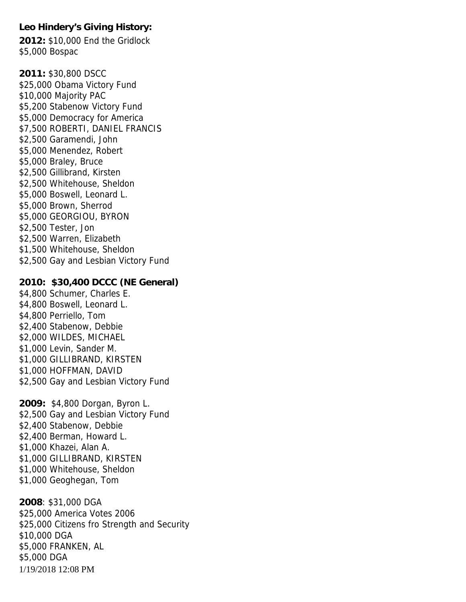**Leo Hindery's Giving History: 2012:** \$10,000 End the Gridlock \$5,000 Bospac

**2011:** \$30,800 DSCC \$25,000 Obama Victory Fund \$10,000 Majority PAC \$5,200 Stabenow Victory Fund \$5,000 Democracy for America \$7,500 ROBERTI, DANIEL FRANCIS \$2,500 Garamendi, John \$5,000 Menendez, Robert \$5,000 Braley, Bruce \$2,500 Gillibrand, Kirsten \$2,500 Whitehouse, Sheldon \$5,000 Boswell, Leonard L. \$5,000 Brown, Sherrod \$5,000 GEORGIOU, BYRON \$2,500 Tester, Jon \$2,500 Warren, Elizabeth \$1,500 Whitehouse, Sheldon \$2,500 Gay and Lesbian Victory Fund **2010: \$30,400 DCCC (NE General)** \$4,800 Schumer, Charles E. \$4,800 Boswell, Leonard L. \$4,800 Perriello, Tom \$2,400 Stabenow, Debbie \$2,000 WILDES, MICHAEL \$1,000 Levin, Sander M. \$1,000 GILLIBRAND, KIRSTEN \$1,000 HOFFMAN, DAVID \$2,500 Gay and Lesbian Victory Fund **2009:** \$4,800 Dorgan, Byron L. \$2,500 Gay and Lesbian Victory Fund

\$2,400 Stabenow, Debbie \$2,400 Berman, Howard L. \$1,000 Khazei, Alan A. \$1,000 GILLIBRAND, KIRSTEN \$1,000 Whitehouse, Sheldon \$1,000 Geoghegan, Tom

1/19/2018 12:08 PM **2008**: \$31,000 DGA \$25,000 America Votes 2006 \$25,000 Citizens fro Strength and Security \$10,000 DGA \$5,000 FRANKEN, AL \$5,000 DGA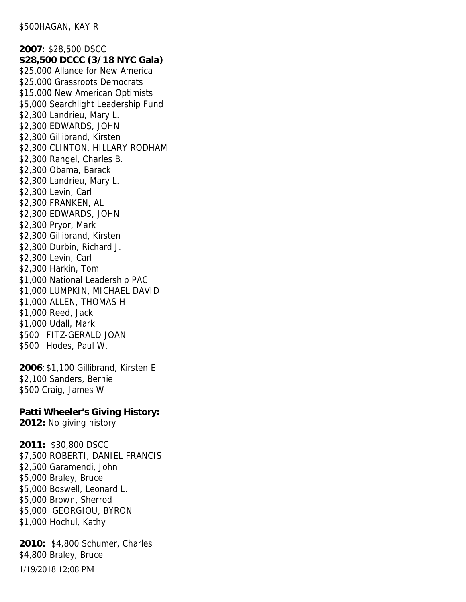**2007**: \$28,500 DSCC **\$28,500 DCCC (3/18 NYC Gala)** \$25,000 Allance for New America \$25,000 Grassroots Democrats \$15,000 New American Optimists \$5,000 Searchlight Leadership Fund \$2,300 Landrieu, Mary L. \$2,300 EDWARDS, JOHN \$2,300 Gillibrand, Kirsten \$2,300 CLINTON, HILLARY RODHAM \$2,300 Rangel, Charles B. \$2,300 Obama, Barack \$2,300 Landrieu, Mary L. \$2,300 Levin, Carl \$2,300 FRANKEN, AL \$2,300 EDWARDS, JOHN \$2,300 Pryor, Mark \$2,300 Gillibrand, Kirsten \$2,300 Durbin, Richard J. \$2,300 Levin, Carl \$2,300 Harkin, Tom \$1,000 National Leadership PAC \$1,000 LUMPKIN, MICHAEL DAVID \$1,000 ALLEN, THOMAS H \$1,000 Reed, Jack \$1,000 Udall, Mark \$500 FITZ-GERALD JOAN \$500 Hodes, Paul W.

**2006**:\$1,100 Gillibrand, Kirsten E \$2,100 Sanders, Bernie \$500 Craig, James W

**Patti Wheeler's Giving History: 2012:** No giving history

**2011:** \$30,800 DSCC \$7,500 ROBERTI, DANIEL FRANCIS \$2,500 Garamendi, John \$5,000 Braley, Bruce \$5,000 Boswell, Leonard L. \$5,000 Brown, Sherrod \$5,000 GEORGIOU, BYRON \$1,000 Hochul, Kathy

1/19/2018 12:08 PM **2010:** \$4,800 Schumer, Charles \$4,800 Braley, Bruce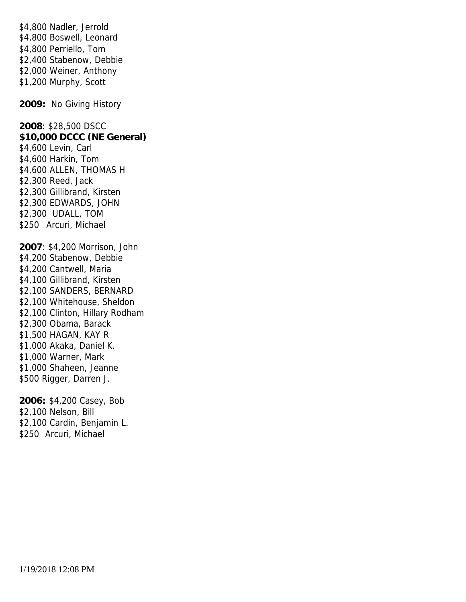\$4,800 Nadler, Jerrold \$4,800 Boswell, Leonard \$4,800 Perriello, Tom \$2,400 Stabenow, Debbie \$2,000 Weiner, Anthony \$1,200 Murphy, Scott

**2009:** No Giving History

**2008**: \$28,500 DSCC **\$10,000 DCCC (NE General)** \$4,600 Levin, Carl \$4,600 Harkin, Tom \$4,600 ALLEN, THOMAS H \$2,300 Reed, Jack \$2,300 Gillibrand, Kirsten \$2,300 EDWARDS, JOHN \$2,300 UDALL, TOM \$250 Arcuri, Michael

**2007**: \$4,200 Morrison, John \$4,200 Stabenow, Debbie \$4,200 Cantwell, Maria \$4,100 Gillibrand, Kirsten \$2,100 SANDERS, BERNARD \$2,100 Whitehouse, Sheldon \$2,100 Clinton, Hillary Rodham \$2,300 Obama, Barack \$1,500 HAGAN, KAY R \$1,000 Akaka, Daniel K. \$1,000 Warner, Mark \$1,000 Shaheen, Jeanne \$500 Rigger, Darren J.

**2006:** \$4,200 Casey, Bob \$2,100 Nelson, Bill \$2,100 Cardin, Benjamin L. \$250 Arcuri, Michael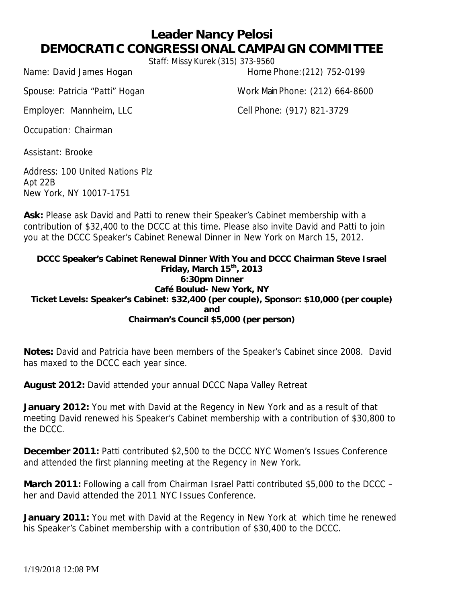### **Leader Nancy Pelosi DEMOCRATIC CONGRESSIONAL CAMPAIGN COMMITTEE**

Staff: Missy Kurek (315) 373-9560

Name: David James Hogan Home Phone: (212) 752-0199

Spouse: Patricia "Patti" Hogan Work MainPhone: (212) 664-8600

Employer: Mannheim, LLC Cell Phone: (917) 821-3729

Occupation: Chairman

Assistant: Brooke

Address: 100 United Nations Plz Apt 22B New York, NY 10017-1751

**Ask:** Please ask David and Patti to renew their Speaker's Cabinet membership with a contribution of \$32,400 to the DCCC at this time. Please also invite David and Patti to join you at the DCCC Speaker's Cabinet Renewal Dinner in New York on March 15, 2012.

**DCCC Speaker's Cabinet Renewal Dinner With You and DCCC Chairman Steve Israel Friday, March 15 th , 2013 6:30pm Dinner Café Boulud- New York, NY Ticket Levels: Speaker's Cabinet: \$32,400 (per couple), Sponsor: \$10,000 (per couple) and Chairman's Council \$5,000 (per person)**

**Notes:** David and Patricia have been members of the Speaker's Cabinet since 2008. David has maxed to the DCCC each year since.

**August 2012:** David attended your annual DCCC Napa Valley Retreat

**January 2012:** You met with David at the Regency in New York and as a result of that meeting David renewed his Speaker's Cabinet membership with a contribution of \$30,800 to the DCCC.

**December 2011:** Patti contributed \$2,500 to the DCCC NYC Women's Issues Conference and attended the first planning meeting at the Regency in New York.

**March 2011:** Following a call from Chairman Israel Patti contributed \$5,000 to the DCCC – her and David attended the 2011 NYC Issues Conference.

**January 2011:** You met with David at the Regency in New York at which time he renewed his Speaker's Cabinet membership with a contribution of \$30,400 to the DCCC.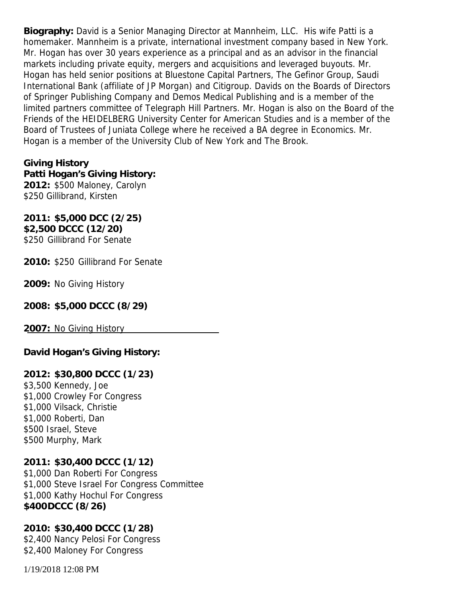**Biography:** David is a Senior Managing Director at Mannheim, LLC. His wife Patti is a homemaker. Mannheim is a private, international investment company based in New York. Mr. Hogan has over 30 years experience as a principal and as an advisor in the financial markets including private equity, mergers and acquisitions and leveraged buyouts. Mr. Hogan has held senior positions at Bluestone Capital Partners, The Gefinor Group, Saudi International Bank (affiliate of JP Morgan) and Citigroup. Davids on the Boards of Directors of Springer Publishing Company and Demos Medical Publishing and is a member of the limited partners committee of Telegraph Hill Partners. Mr. Hogan is also on the Board of the Friends of the HEIDELBERG University Center for American Studies and is a member of the Board of Trustees of Juniata College where he received a BA degree in Economics. Mr. Hogan is a member of the University Club of New York and The Brook.

**Giving History Patti Hogan's Giving History: 2012:** \$500 Maloney, Carolyn \$250 Gillibrand, Kirsten

**2011: \$5,000 DCC (2/25) \$2,500 DCCC (12/20)** \$250 Gillibrand For Senate

**2010:** \$250 Gillibrand For Senate

**2009:** No Giving History

**2008: \$5,000 DCCC (8/29)**

**2007:** No Giving History

**David Hogan's Giving History:**

**2012: \$30,800 DCCC (1/23)** \$3,500 Kennedy, Joe \$1,000 Crowley For Congress \$1,000 Vilsack, Christie \$1,000 Roberti, Dan \$500 Israel, Steve \$500 Murphy, Mark

**2011: \$30,400 DCCC (1/12)** \$1,000 Dan Roberti For Congress \$1,000 Steve Israel For Congress Committee \$1,000 Kathy Hochul For Congress **\$400DCCC (8/26)**

**2010: \$30,400 DCCC (1/28)** \$2,400 Nancy Pelosi For Congress \$2,400 Maloney For Congress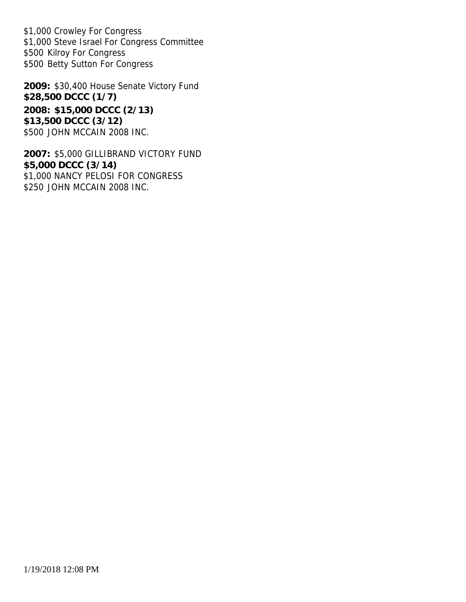\$1,000 Crowley For Congress \$1,000 Steve Israel For Congress Committee \$500 Kilroy For Congress \$500 Betty Sutton For Congress

**2009:** \$30,400 House Senate Victory Fund **\$28,500 DCCC (1/7) 2008: \$15,000 DCCC (2/13) \$13,500 DCCC (3/12)** \$500 JOHN MCCAIN 2008 INC.

**2007:** \$5,000 GILLIBRAND VICTORY FUND **\$5,000 DCCC (3/14)** \$1,000 NANCY PELOSI FOR CONGRESS \$250 JOHN MCCAIN 2008 INC.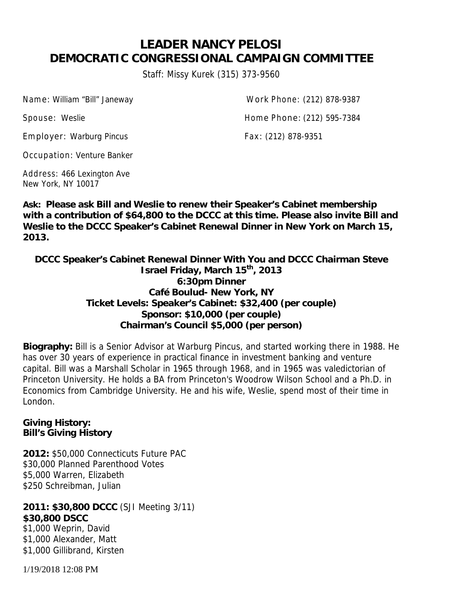# **LEADER NANCY PELOSI DEMOCRATIC CONGRESSIONAL CAMPAIGN COMMITTEE**

Staff: Missy Kurek (315) 373-9560

Name: William "Bill" Janeway Work Phone: (212) 878-9387

Employer: Warburg Pincus Fax: (212) 878-9351

Spouse: Weslie **Home Phone: (212)** 595-7384

Occupation: Venture Banker

Address: 466 Lexington Ave New York, NY 10017

**Ask: Please ask Bill and Weslie to renew their Speaker's Cabinet membership with a contribution of \$64,800 to the DCCC at this time. Please also invite Bill and Weslie to the DCCC Speaker's Cabinet Renewal Dinner in New York on March 15, 2013.**

**DCCC Speaker's Cabinet Renewal Dinner With You and DCCC Chairman Steve Israel Friday, March 15th , 2013 6:30pm Dinner Café Boulud- New York, NY Ticket Levels: Speaker's Cabinet: \$32,400 (per couple) Sponsor: \$10,000 (per couple) Chairman's Council \$5,000 (per person)**

**Biography:** Bill is a Senior Advisor at Warburg Pincus, and started working there in 1988. He has over 30 years of experience in practical finance in investment banking and venture capital. Bill was a Marshall Scholar in 1965 through 1968, and in 1965 was valedictorian of Princeton University. He holds a BA from Princeton's Woodrow Wilson School and a Ph.D. in Economics from Cambridge University. He and his wife, Weslie, spend most of their time in London.

**Giving History: Bill's Giving History**

**2012:** \$50,000 Connecticuts Future PAC \$30,000 Planned Parenthood Votes \$5,000 Warren, Elizabeth \$250 Schreibman, Julian

**2011: \$30,800 DCCC** (SJI Meeting 3/11) **\$30,800 DSCC** \$1,000 Weprin, David \$1,000 Alexander, Matt \$1,000 Gillibrand, Kirsten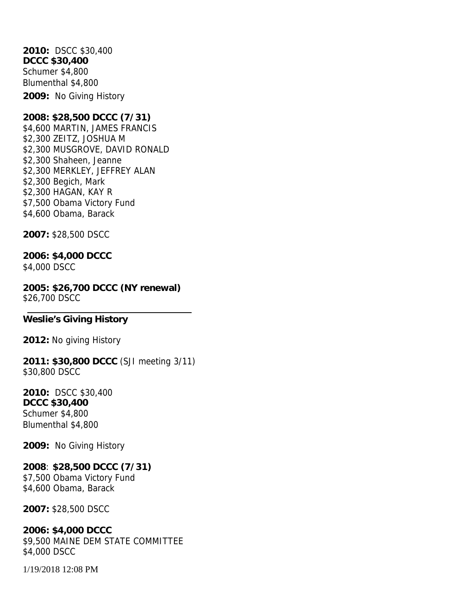**2010:** DSCC \$30,400 **DCCC \$30,400** Schumer \$4,800 Blumenthal \$4,800 **2009:** No Giving History

**2008: \$28,500 DCCC (7/31)** \$4,600 MARTIN, JAMES FRANCIS \$2,300 ZEITZ, JOSHUA M \$2,300 MUSGROVE, DAVID RONALD \$2,300 Shaheen, Jeanne \$2,300 MERKLEY, JEFFREY ALAN \$2,300 Begich, Mark \$2,300 HAGAN, KAY R \$7,500 Obama Victory Fund \$4,600 Obama, Barack

**2007:** \$28,500 DSCC

**2006: \$4,000 DCCC** \$4,000 DSCC

**2005: \$26,700 DCCC (NY renewal)** \$26,700 DSCC

**Weslie's Giving History**

**2012:** No giving History

**2011: \$30,800 DCCC** (SJI meeting 3/11) \$30,800 DSCC

**2010:** DSCC \$30,400 **DCCC \$30,400** Schumer \$4,800 Blumenthal \$4,800

**2009:** No Giving History

**2008**: **\$28,500 DCCC (7/31)** \$7,500 Obama Victory Fund \$4,600 Obama, Barack

**2007:** \$28,500 DSCC

**2006: \$4,000 DCCC** \$9,500 MAINE DEM STATE COMMITTEE \$4,000 DSCC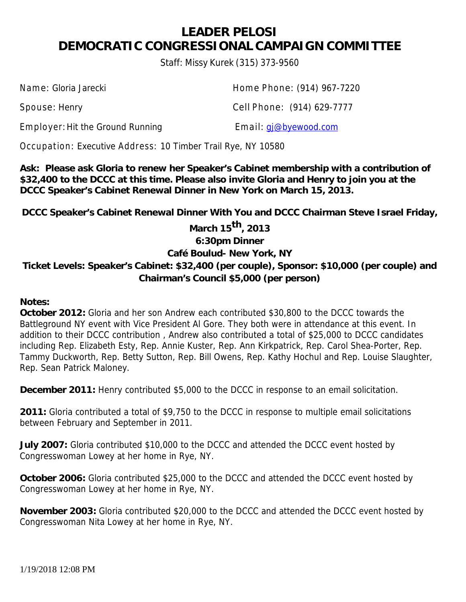### **LEADER PELOSI DEMOCRATIC CONGRESSIONAL CAMPAIGN COMMITTEE**

Staff: Missy Kurek (315) 373-9560

Employer: Hit the Ground Running Email: gi@byewood.com

Name: Gloria Jarecki **Home Phone: (914)** 967-7220

Spouse: Henry Cell Phone: (914) 629-7777

Occupation: Executive Address: 10 Timber Trail Rye, NY 10580

**Ask: Please ask Gloria to renew her Speaker's Cabinet membership with a contribution of \$32,400 to the DCCC at this time. Please also invite Gloria and Henry to join you at the DCCC Speaker's Cabinet Renewal Dinner in New York on March 15, 2013.**

**DCCC Speaker's Cabinet Renewal Dinner With You and DCCC Chairman Steve Israel Friday,**

**March 15 th, 2013 6:30pm Dinner Café Boulud- New York, NY**

**Ticket Levels: Speaker's Cabinet: \$32,400 (per couple), Sponsor: \$10,000 (per couple) and Chairman's Council \$5,000 (per person)**

**Notes:**

**October 2012:** Gloria and her son Andrew each contributed \$30,800 to the DCCC towards the Battleground NY event with Vice President Al Gore. They both were in attendance at this event. In addition to their DCCC contribution , Andrew also contributed a total of \$25,000 to DCCC candidates including Rep. Elizabeth Esty, Rep. Annie Kuster, Rep. Ann Kirkpatrick, Rep. Carol Shea-Porter, Rep. Tammy Duckworth, Rep. Betty Sutton, Rep. Bill Owens, Rep. Kathy Hochul and Rep. Louise Slaughter, Rep. Sean Patrick Maloney.

**December 2011:** Henry contributed \$5,000 to the DCCC in response to an email solicitation.

**2011:** Gloria contributed a total of \$9,750 to the DCCC in response to multiple email solicitations between February and September in 2011.

**July 2007:** Gloria contributed \$10,000 to the DCCC and attended the DCCC event hosted by Congresswoman Lowey at her home in Rye, NY.

**October 2006:** Gloria contributed \$25,000 to the DCCC and attended the DCCC event hosted by Congresswoman Lowey at her home in Rye, NY.

**November 2003:** Gloria contributed \$20,000 to the DCCC and attended the DCCC event hosted by Congresswoman Nita Lowey at her home in Rye, NY.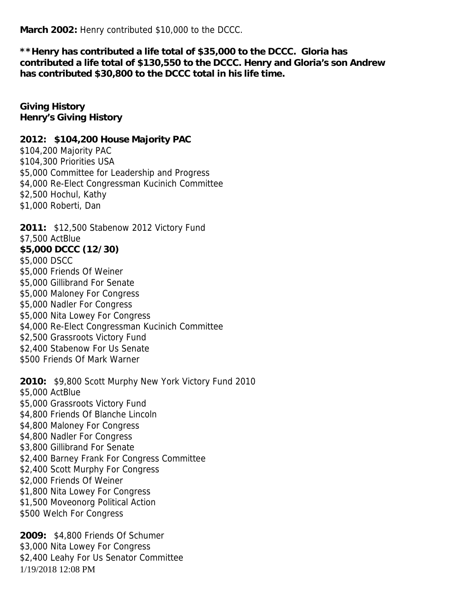**March 2002:** Henry contributed \$10,000 to the DCCC.

**\*\*Henry has contributed a life total of \$35,000 to the DCCC. Gloria has contributed a life total of \$130,550 to the DCCC. Henry and Gloria's son Andrew has contributed \$30,800 to the DCCC total in his life time.**

**Giving History Henry's Giving History**

**2012: \$104,200 House Majority PAC** \$104,200 Majority PAC \$104,300 Priorities USA \$5,000 Committee for Leadership and Progress \$4,000 Re-Elect Congressman Kucinich Committee \$2,500 Hochul, Kathy \$1,000 Roberti, Dan

**2011:** \$12,500 Stabenow 2012 Victory Fund \$7,500 ActBlue **\$5,000 DCCC (12/30)** \$5,000 DSCC \$5,000 Friends Of Weiner \$5,000 Gillibrand For Senate \$5,000 Maloney For Congress \$5,000 Nadler For Congress \$5,000 Nita Lowey For Congress \$4,000 Re-Elect Congressman Kucinich Committee \$2,500 Grassroots Victory Fund \$2,400 Stabenow For Us Senate \$500 Friends Of Mark Warner

**2010:** \$9,800 Scott Murphy New York Victory Fund 2010 \$5,000 ActBlue \$5,000 Grassroots Victory Fund \$4,800 Friends Of Blanche Lincoln \$4,800 Maloney For Congress \$4,800 Nadler For Congress \$3,800 Gillibrand For Senate \$2,400 Barney Frank For Congress Committee \$2,400 Scott Murphy For Congress \$2,000 Friends Of Weiner \$1,800 Nita Lowey For Congress \$1,500 Moveonorg Political Action \$500 Welch For Congress

1/19/2018 12:08 PM **2009:** \$4,800 Friends Of Schumer \$3,000 Nita Lowey For Congress \$2,400 Leahy For Us Senator Committee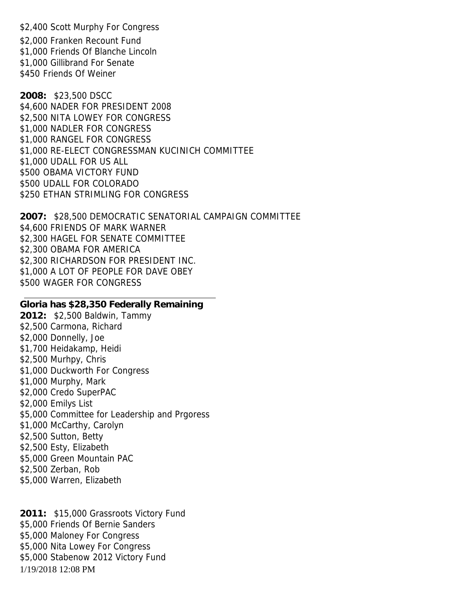\$2,400 Scott Murphy For Congress \$2,000 Franken Recount Fund \$1,000 Friends Of Blanche Lincoln \$1,000 Gillibrand For Senate \$450 Friends Of Weiner

**2008:** \$23,500 DSCC \$4,600 NADER FOR PRESIDENT 2008 \$2,500 NITA LOWEY FOR CONGRESS \$1,000 NADLER FOR CONGRESS \$1,000 RANGEL FOR CONGRESS \$1,000 RE-ELECT CONGRESSMAN KUCINICH COMMITTEE \$1,000 UDALL FOR US ALL \$500 OBAMA VICTORY FUND \$500 UDALL FOR COLORADO \$250 ETHAN STRIMLING FOR CONGRESS

**2007:** \$28,500 DEMOCRATIC SENATORIAL CAMPAIGN COMMITTEE \$4,600 FRIENDS OF MARK WARNER \$2,300 HAGEL FOR SENATE COMMITTEE \$2,300 OBAMA FOR AMERICA \$2,300 RICHARDSON FOR PRESIDENT INC. \$1,000 A LOT OF PEOPLE FOR DAVE OBEY \$500 WAGER FOR CONGRESS

**Gloria has \$28,350 Federally Remaining 2012:** \$2,500 Baldwin, Tammy \$2,500 Carmona, Richard \$2,000 Donnelly, Joe \$1,700 Heidakamp, Heidi \$2,500 Murhpy, Chris \$1,000 Duckworth For Congress \$1,000 Murphy, Mark \$2,000 Credo SuperPAC \$2,000 Emilys List \$5,000 Committee for Leadership and Prgoress \$1,000 McCarthy, Carolyn \$2,500 Sutton, Betty \$2,500 Esty, Elizabeth \$5,000 Green Mountain PAC \$2,500 Zerban, Rob \$5,000 Warren, Elizabeth

1/19/2018 12:08 PM **2011:** \$15,000 Grassroots Victory Fund \$5,000 Friends Of Bernie Sanders \$5,000 Maloney For Congress \$5,000 Nita Lowey For Congress \$5,000 Stabenow 2012 Victory Fund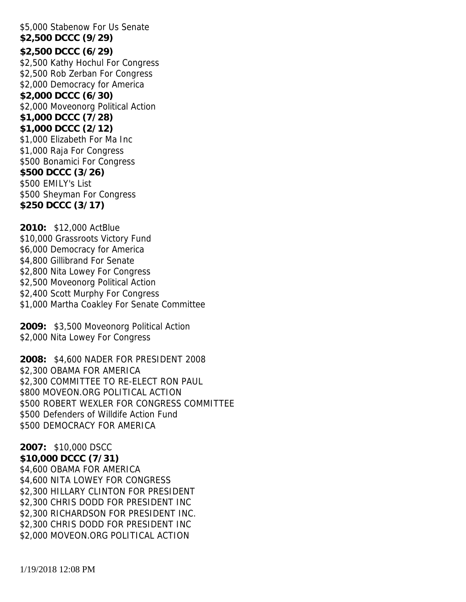\$5,000 Stabenow For Us Senate **\$2,500 DCCC (9/29) \$2,500 DCCC (6/29)** \$2,500 Kathy Hochul For Congress \$2,500 Rob Zerban For Congress \$2,000 Democracy for America **\$2,000 DCCC (6/30)** \$2,000 Moveonorg Political Action **\$1,000 DCCC (7/28) \$1,000 DCCC (2/12)** \$1,000 Elizabeth For Ma Inc \$1,000 Raja For Congress \$500 Bonamici For Congress **\$500 DCCC (3/26)** \$500 EMILY's List \$500 Sheyman For Congress **\$250 DCCC (3/17)**

**2010:** \$12,000 ActBlue \$10,000 Grassroots Victory Fund \$6,000 Democracy for America \$4,800 Gillibrand For Senate \$2,800 Nita Lowey For Congress \$2,500 Moveonorg Political Action \$2,400 Scott Murphy For Congress \$1,000 Martha Coakley For Senate Committee

**2009:** \$3,500 Moveonorg Political Action \$2,000 Nita Lowey For Congress

**2008:** \$4,600 NADER FOR PRESIDENT 2008 \$2,300 OBAMA FOR AMERICA \$2,300 COMMITTEE TO RE-ELECT RON PAUL \$800 MOVEON.ORG POLITICAL ACTION \$500 ROBERT WEXLER FOR CONGRESS COMMITTEE \$500 Defenders of Willdife Action Fund \$500 DEMOCRACY FOR AMERICA

**2007:** \$10,000 DSCC **\$10,000 DCCC (7/31)** \$4,600 OBAMA FOR AMERICA \$4,600 NITA LOWEY FOR CONGRESS \$2,300 HILLARY CLINTON FOR PRESIDENT \$2,300 CHRIS DODD FOR PRESIDENT INC \$2,300 RICHARDSON FOR PRESIDENT INC. \$2,300 CHRIS DODD FOR PRESIDENT INC \$2,000 MOVEON.ORG POLITICAL ACTION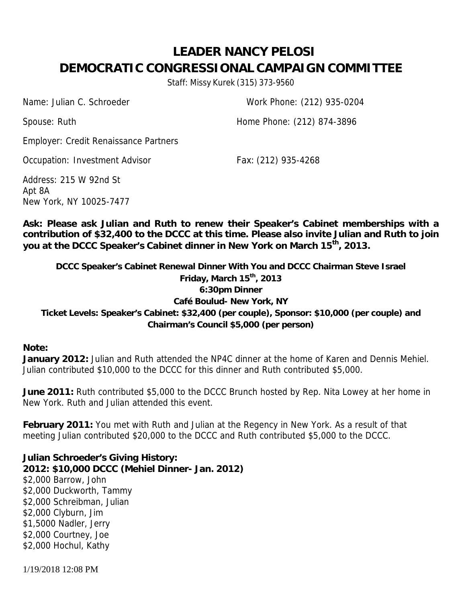# **LEADER NANCY PELOSI DEMOCRATIC CONGRESSIONAL CAMPAIGN COMMITTEE**

Staff: Missy Kurek (315) 373-9560

Name: Julian C. Schroeder Work Phone: (212) 935-0204

Spouse: Ruth **Home Phone: (212) 874-3896** 

Employer: Credit Renaissance Partners

Occupation: Investment Advisor Fax: (212) 935-4268

Address: 215 W 92nd St Apt 8A New York, NY 10025-7477

**Ask: Please ask Julian and Ruth to renew their Speaker's Cabinet memberships with a contribution of \$32,400 to the DCCC at this time. Please also invite Julian and Ruth to join you at the DCCC Speaker's Cabinet dinner in New York on March 15th , 2013.**

**DCCC Speaker's Cabinet Renewal Dinner With You and DCCC Chairman Steve Israel Friday, March 15 th , 2013 6:30pm Dinner Café Boulud- New York, NY Ticket Levels: Speaker's Cabinet: \$32,400 (per couple), Sponsor: \$10,000 (per couple) and Chairman's Council \$5,000 (per person)**

**Note:**

**January 2012:** Julian and Ruth attended the NP4C dinner at the home of Karen and Dennis Mehiel. Julian contributed \$10,000 to the DCCC for this dinner and Ruth contributed \$5,000.

**June 2011:** Ruth contributed \$5,000 to the DCCC Brunch hosted by Rep. Nita Lowey at her home in New York. Ruth and Julian attended this event.

**February 2011:** You met with Ruth and Julian at the Regency in New York. As a result of that meeting Julian contributed \$20,000 to the DCCC and Ruth contributed \$5,000 to the DCCC.

**Julian Schroeder's Giving History: 2012: \$10,000 DCCC (Mehiel Dinner- Jan. 2012)** \$2,000 Barrow, John \$2,000 Duckworth, Tammy \$2,000 Schreibman, Julian \$2,000 Clyburn, Jim \$1,5000 Nadler, Jerry \$2,000 Courtney, Joe \$2,000 Hochul, Kathy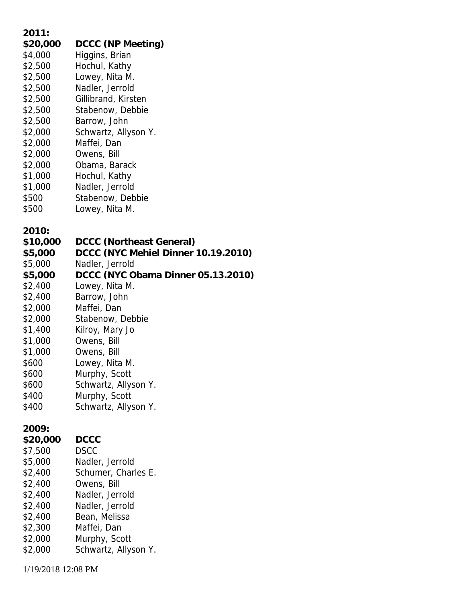| 2011:    |                                     |
|----------|-------------------------------------|
| \$20,000 | DCCC (NP Meeting)                   |
| \$4,000  | Higgins, Brian                      |
| \$2,500  | Hochul, Kathy                       |
| \$2,500  | Lowey, Nita M.                      |
| \$2,500  | Nadler, Jerrold                     |
| \$2,500  | Gillibrand, Kirsten                 |
| \$2,500  | Stabenow, Debbie                    |
| \$2,500  | Barrow, John                        |
| \$2,000  | Schwartz, Allyson Y.                |
| \$2,000  | Maffei, Dan                         |
| \$2,000  | Owens, Bill                         |
| \$2,000  | Obama, Barack                       |
| \$1,000  | Hochul, Kathy                       |
| \$1,000  | Nadler, Jerrold                     |
| \$500    | Stabenow, Debbie                    |
| \$500    | Lowey, Nita M.                      |
|          |                                     |
| 2010:    |                                     |
| \$10,000 | DCCC (Northeast General)            |
| \$5,000  | DCCC (NYC Mehiel Dinner 10.19.2010) |
| \$5,000  | Nadler, Jerrold                     |
| \$5,000  | DCCC (NYC Obama Dinner 05.13.2010)  |
| \$2,400  | Lowey, Nita M.                      |
| \$2,400  | Barrow, John                        |
| \$2,000  | Maffei, Dan                         |
| \$2,000  | Stabenow, Debbie                    |
| \$1,400  | Kilroy, Mary Jo                     |
| \$1,000  | Owens, Bill                         |
| \$1,000  | Owens, Bill                         |
| \$600    | Lowey, Nita M.                      |
| \$600    | Murphy, Scott                       |
| \$600    | Schwartz, Allyson Y.                |
| \$400    | Murphy, Scott                       |
| \$400    | Schwartz, Allyson Y.                |
|          |                                     |
| 2009:    |                                     |
| \$20,000 | <b>DCCC</b>                         |
| \$7,500  | <b>DSCC</b>                         |
| \$5,000  | Nadler, Jerrold                     |
| \$2,400  | Schumer, Charles E.                 |
| \$2,400  | Owens, Bill                         |
| \$2,400  | Nadler, Jerrold                     |
| \$2,400  | Nadler, Jerrold                     |
| \$2,400  | Bean, Melissa                       |
| \$2,300  | Maffei, Dan                         |
| \$2,000  | Murphy, Scott                       |
| \$2,000  | Schwartz, Allyson Y.                |
|          |                                     |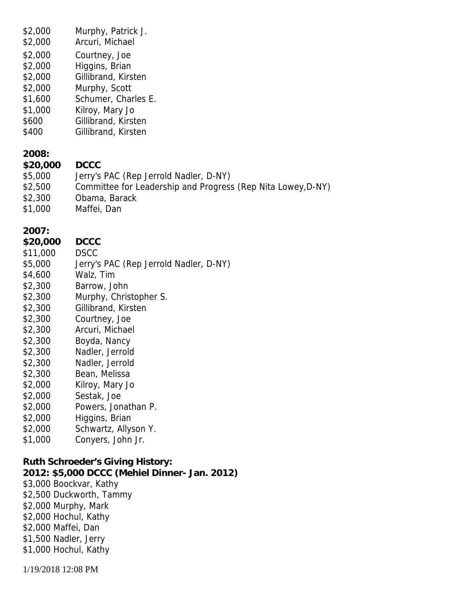| \$2,000<br>\$2,000<br>\$2,000<br>\$2,000<br>\$2,000<br>\$2,000<br>\$1,600<br>\$1,000<br>\$600<br>\$400                                                                                                                                                             | Murphy, Patrick J.<br>Arcuri, Michael<br>Courtney, Joe<br>Higgins, Brian<br>Gillibrand, Kirsten<br>Murphy, Scott<br>Schumer, Charles E.<br>Kilroy, Mary Jo<br>Gillibrand, Kirsten<br>Gillibrand, Kirsten                                                                                                                                                                              |
|--------------------------------------------------------------------------------------------------------------------------------------------------------------------------------------------------------------------------------------------------------------------|---------------------------------------------------------------------------------------------------------------------------------------------------------------------------------------------------------------------------------------------------------------------------------------------------------------------------------------------------------------------------------------|
| 2008:<br>\$20,000<br>\$5,000<br>\$2,500<br>\$2,300<br>\$1,000                                                                                                                                                                                                      | <b>DCCC</b><br>Jerry's PAC (Rep Jerrold Nadler, D-NY)<br>Committee for Leadership and Progress (Rep Nita Lowey, D-NY)<br>Obama, Barack<br>Maffei, Dan                                                                                                                                                                                                                                 |
| 2007:<br>\$20,000<br>\$11,000<br>\$5,000<br>\$4,600<br>\$2,300<br>\$2,300<br>\$2,300<br>\$2,300<br>\$2,300<br>\$2,300<br>\$2,300<br>\$2,300<br>\$2,300<br>\$2,000<br>\$2,000<br>\$2,000<br>\$2,000<br>\$2,000<br>\$1,000                                           | <b>DCCC</b><br><b>DSCC</b><br>Jerry's PAC (Rep Jerrold Nadler, D-NY)<br>Walz, Tim<br>Barrow, John<br>Murphy, Christopher S.<br>Gillibrand, Kirsten<br>Courtney, Joe<br>Arcuri, Michael<br>Boyda, Nancy<br>Nadler, Jerrold<br>Nadler, Jerrold<br>Bean, Melissa<br>Kilroy, Mary Jo<br>Sestak, Joe<br>Powers, Jonathan P.<br>Higgins, Brian<br>Schwartz, Allyson Y.<br>Conyers, John Jr. |
| Ruth Schroeder's Giving History:<br>2012: \$5,000 DCCC (Mehiel Dinner- Jan. 2012)<br>\$3,000 Boockvar, Kathy<br>\$2,500 Duckworth, Tammy<br>\$2,000 Murphy, Mark<br>\$2,000 Hochul, Kathy<br>\$2,000 Maffei, Dan<br>\$1,500 Nadler, Jerry<br>\$1,000 Hochul, Kathy |                                                                                                                                                                                                                                                                                                                                                                                       |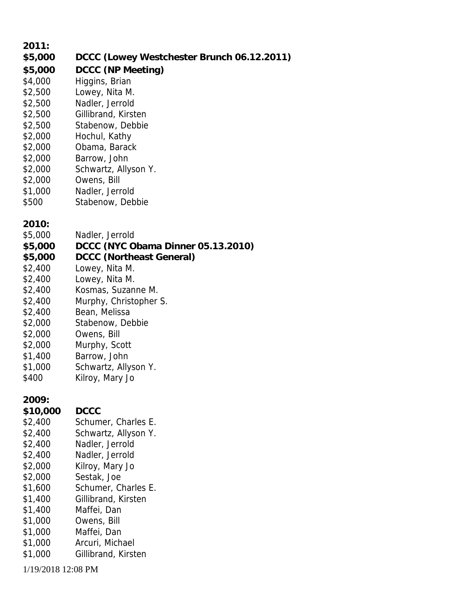| 2011:              |                                            |
|--------------------|--------------------------------------------|
| \$5,000            | DCCC (Lowey Westchester Brunch 06.12.2011) |
| \$5,000            | DCCC (NP Meeting)                          |
| \$4,000            | Higgins, Brian                             |
| \$2,500            | Lowey, Nita M.                             |
| \$2,500            | Nadler, Jerrold                            |
| \$2,500            | Gillibrand, Kirsten                        |
| \$2,500            | Stabenow, Debbie                           |
| \$2,000            | Hochul, Kathy                              |
| \$2,000            | Obama, Barack                              |
| \$2,000            | Barrow, John                               |
| \$2,000            | Schwartz, Allyson Y.                       |
| \$2,000            | Owens, Bill                                |
| \$1,000            | Nadler, Jerrold                            |
| \$500              | Stabenow, Debbie                           |
|                    |                                            |
| 2010:<br>\$5,000   | Nadler, Jerrold                            |
| \$5,000            | DCCC (NYC Obama Dinner 05.13.2010)         |
| \$5,000            | DCCC (Northeast General)                   |
| \$2,400            | Lowey, Nita M.                             |
| \$2,400            | Lowey, Nita M.                             |
| \$2,400            | Kosmas, Suzanne M.                         |
| \$2,400            | Murphy, Christopher S.                     |
| \$2,400            | Bean, Melissa                              |
| \$2,000            | Stabenow, Debbie                           |
| \$2,000            | Owens, Bill                                |
| \$2,000            | Murphy, Scott                              |
| \$1,400            | Barrow, John                               |
| \$1,000            | Schwartz, Allyson Y.                       |
| \$400              | Kilroy, Mary Jo                            |
| 2009:              |                                            |
| \$10,000           | <b>DCCC</b>                                |
| \$2,400            | Schumer, Charles E.                        |
| \$2,400            | Schwartz, Allyson Y.                       |
| \$2,400            | Nadler, Jerrold                            |
| \$2,400            | Nadler, Jerrold                            |
| \$2,000            | Kilroy, Mary Jo                            |
| \$2,000            | Sestak, Joe                                |
| \$1,600            | Schumer, Charles E.                        |
| \$1,400            | Gillibrand, Kirsten                        |
| \$1,400            | Maffei, Dan                                |
| \$1,000            | Owens, Bill                                |
| \$1,000            | Maffei, Dan                                |
| \$1,000            | Arcuri, Michael                            |
| \$1,000            | Gillibrand, Kirsten                        |
| 1/19/2018 12:08 PM |                                            |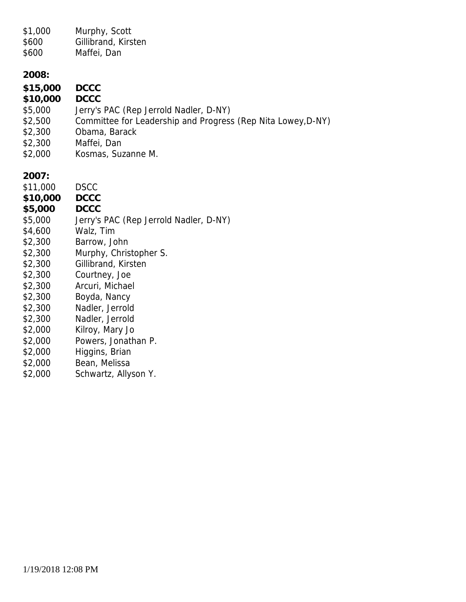| \$1,000<br>\$600<br>\$600                                                                                                                                                                                     | Murphy, Scott<br>Gillibrand, Kirsten<br>Maffei, Dan                                                                                                                                                                                                                                                                                                              |
|---------------------------------------------------------------------------------------------------------------------------------------------------------------------------------------------------------------|------------------------------------------------------------------------------------------------------------------------------------------------------------------------------------------------------------------------------------------------------------------------------------------------------------------------------------------------------------------|
| 2008:<br>\$15,000<br>\$10,000<br>\$5,000<br>\$2,500<br>\$2,300<br>\$2,300<br>\$2,000                                                                                                                          | <b>DCCC</b><br><b>DCCC</b><br>Jerry's PAC (Rep Jerrold Nadler, D-NY)<br>Committee for Leadership and Progress (Rep Nita Lowey, D-NY)<br>Obama, Barack<br>Maffei, Dan<br>Kosmas, Suzanne M.                                                                                                                                                                       |
| 2007:<br>\$11,000<br>\$10,000<br>\$5,000<br>\$5,000<br>\$4,600<br>\$2,300<br>\$2,300<br>\$2,300<br>\$2,300<br>\$2,300<br>\$2,300<br>\$2,300<br>\$2,300<br>\$2,000<br>\$2,000<br>\$2,000<br>\$2,000<br>\$2,000 | <b>DSCC</b><br><b>DCCC</b><br><b>DCCC</b><br>Jerry's PAC (Rep Jerrold Nadler, D-NY)<br>Walz, Tim<br>Barrow, John<br>Murphy, Christopher S.<br>Gillibrand, Kirsten<br>Courtney, Joe<br>Arcuri, Michael<br>Boyda, Nancy<br>Nadler, Jerrold<br>Nadler, Jerrold<br>Kilroy, Mary Jo<br>Powers, Jonathan P.<br>Higgins, Brian<br>Bean, Melissa<br>Schwartz, Allyson Y. |
|                                                                                                                                                                                                               |                                                                                                                                                                                                                                                                                                                                                                  |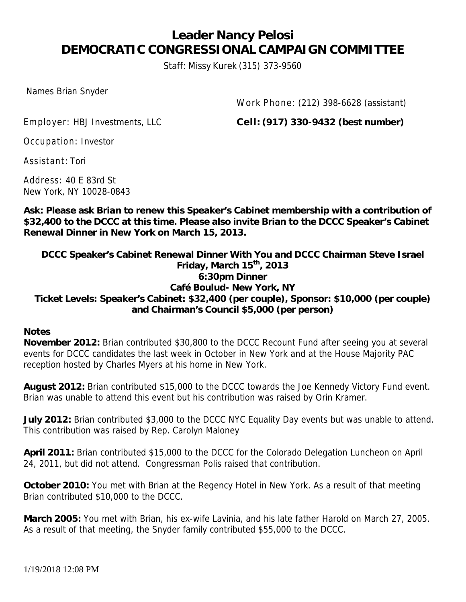### **Leader Nancy Pelosi DEMOCRATIC CONGRESSIONAL CAMPAIGN COMMITTEE**

Staff: Missy Kurek (315) 373-9560

Names Brian Snyder

Work Phone: (212) 398-6628 (assistant)

Employer: HBJ Investments, LLC **Cell: (917) 330-9432 (best number)**

Occupation: Investor

Assistant: Tori

Address: 40 E 83rd St New York, NY 10028-0843

**Ask: Please ask Brian to renew this Speaker's Cabinet membership with a contribution of \$32,400 to the DCCC at this time. Please also invite Brian to the DCCC Speaker's Cabinet Renewal Dinner in New York on March 15, 2013.**

**DCCC Speaker's Cabinet Renewal Dinner With You and DCCC Chairman Steve Israel Friday, March 15th , 2013 6:30pm Dinner Café Boulud- New York, NY Ticket Levels: Speaker's Cabinet: \$32,400 (per couple), Sponsor: \$10,000 (per couple) and Chairman's Council \$5,000 (per person)**

**Notes**

**November 2012:** Brian contributed \$30,800 to the DCCC Recount Fund after seeing you at several events for DCCC candidates the last week in October in New York and at the House Majority PAC reception hosted by Charles Myers at his home in New York.

**August 2012:** Brian contributed \$15,000 to the DCCC towards the Joe Kennedy Victory Fund event. Brian was unable to attend this event but his contribution was raised by Orin Kramer.

**July 2012:** Brian contributed \$3,000 to the DCCC NYC Equality Day events but was unable to attend. This contribution was raised by Rep. Carolyn Maloney

**April 2011:** Brian contributed \$15,000 to the DCCC for the Colorado Delegation Luncheon on April 24, 2011, but did not attend. Congressman Polis raised that contribution.

**October 2010:** You met with Brian at the Regency Hotel in New York. As a result of that meeting Brian contributed \$10,000 to the DCCC.

**March 2005:** You met with Brian, his ex-wife Lavinia, and his late father Harold on March 27, 2005. As a result of that meeting, the Snyder family contributed \$55,000 to the DCCC.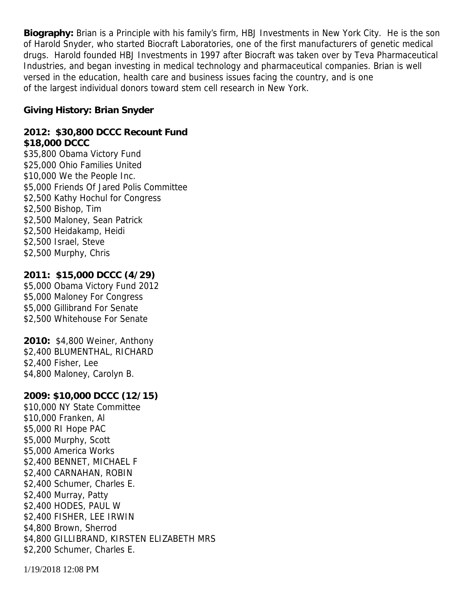**Biography:** Brian is a Principle with his family's firm, HBJ Investments in New York City. He is the son of Harold Snyder, who started Biocraft Laboratories, one of the first manufacturers of genetic medical drugs. Harold founded HBJ Investments in 1997 after Biocraft was taken over by Teva Pharmaceutical Industries, and began investing in medical technology and pharmaceutical companies. Brian is well versed in the education, health care and business issues facing the country, and is one of the largest individual donors toward stem cell research in New York.

**Giving History: Brian Snyder**

**2012: \$30,800 DCCC Recount Fund \$18,000 DCCC** \$35,800 Obama Victory Fund \$25,000 Ohio Families United \$10,000 We the People Inc. \$5,000 Friends Of Jared Polis Committee \$2,500 Kathy Hochul for Congress \$2,500 Bishop, Tim \$2,500 Maloney, Sean Patrick \$2,500 Heidakamp, Heidi \$2,500 Israel, Steve \$2,500 Murphy, Chris

**2011: \$15,000 DCCC (4/29)** \$5,000 Obama Victory Fund 2012 \$5,000 Maloney For Congress \$5,000 Gillibrand For Senate \$2,500 Whitehouse For Senate

**2010:** \$4,800 Weiner, Anthony \$2,400 BLUMENTHAL, RICHARD \$2,400 Fisher, Lee \$4,800 Maloney, Carolyn B.

**2009: \$10,000 DCCC (12/15)** \$10,000 NY State Committee \$10,000 Franken, Al \$5,000 RI Hope PAC \$5,000 Murphy, Scott \$5,000 America Works \$2,400 BENNET, MICHAEL F \$2,400 CARNAHAN, ROBIN \$2,400 Schumer, Charles E. \$2,400 Murray, Patty \$2,400 HODES, PAUL W \$2,400 FISHER, LEE IRWIN \$4,800 Brown, Sherrod \$4,800 GILLIBRAND, KIRSTEN ELIZABETH MRS \$2,200 Schumer, Charles E.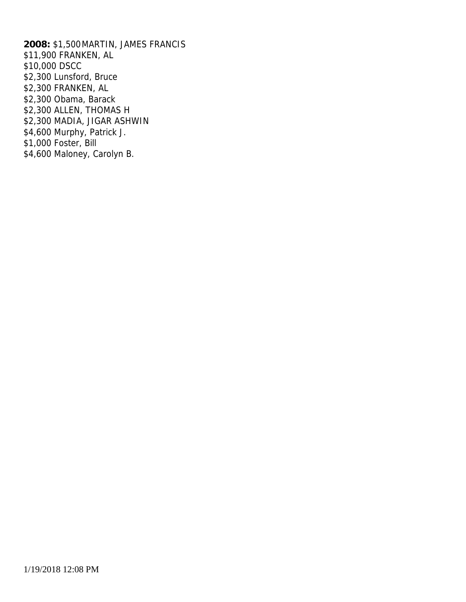**2008:** \$1,500MARTIN, JAMES FRANCIS \$11,900 FRANKEN, AL \$10,000 DSCC \$2,300 Lunsford, Bruce \$2,300 FRANKEN, AL \$2,300 Obama, Barack \$2,300 ALLEN, THOMAS H \$2,300 MADIA, JIGAR ASHWIN \$4,600 Murphy, Patrick J. \$1,000 Foster, Bill \$4,600 Maloney, Carolyn B.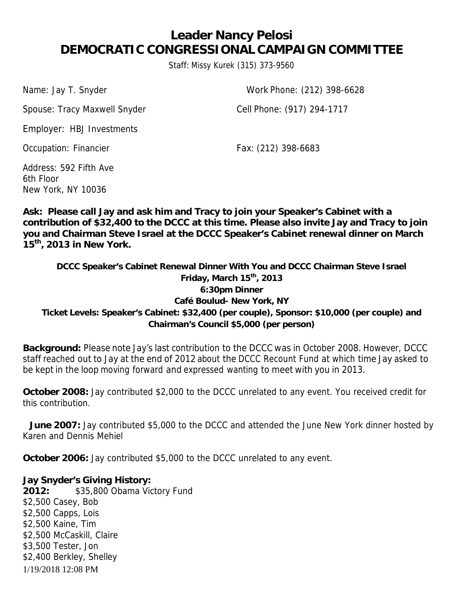## **Leader Nancy Pelosi DEMOCRATIC CONGRESSIONAL CAMPAIGN COMMITTEE**

Staff: Missy Kurek (315) 373-9560

Spouse: Tracy Maxwell Snyder Cell Phone: (917) 294-1717

Name: Jay T. Snyder Work Phone: (212) 398-6628

Employer: HBJ Investments

Occupation: Financier Fax: (212) 398-6683

Address: 592 Fifth Ave 6th Floor New York, NY 10036

**Ask: Please call Jay and ask him and Tracy to join your Speaker's Cabinet with a contribution of \$32,400 to the DCCC at this time. Please also invite Jay and Tracy to join you and Chairman Steve Israel at the DCCC Speaker's Cabinet renewal dinner on March 15 th , 2013 in New York.**

**DCCC Speaker's Cabinet Renewal Dinner With You and DCCC Chairman Steve Israel Friday, March 15 th , 2013 6:30pm Dinner Café Boulud- New York, NY Ticket Levels: Speaker's Cabinet: \$32,400 (per couple), Sponsor: \$10,000 (per couple) and Chairman's Council \$5,000 (per person)**

**Background:** Please note Jay's last contribution to the DCCC was in October 2008. However, DCCC staff reached out to Jay at the end of 2012 about the DCCC Recount Fund at which time Jay asked to be kept in the loop moving forward and expressed wanting to meet with you in 2013.

**October 2008:** Jay contributed \$2,000 to the DCCC unrelated to any event. You received credit for this contribution.

**June 2007:** Jay contributed \$5,000 to the DCCC and attended the June New York dinner hosted by Karen and Dennis Mehiel

**October 2006:** Jay contributed \$5,000 to the DCCC unrelated to any event.

1/19/2018 12:08 PM **Jay Snyder's Giving History: 2012:** \$35,800 Obama Victory Fund \$2,500 Casey, Bob \$2,500 Capps, Lois \$2,500 Kaine, Tim \$2,500 McCaskill, Claire \$3,500 Tester, Jon \$2,400 Berkley, Shelley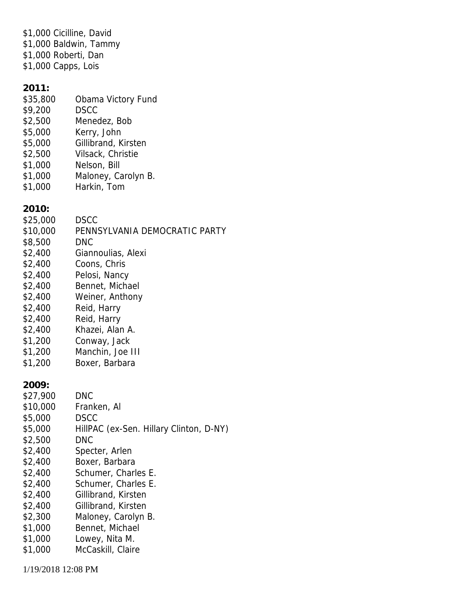\$1,000 Cicilline, David \$1,000 Baldwin, Tammy \$1,000 Roberti, Dan \$1,000 Capps, Lois

**2011:**

- \$35,800 Obama Victory Fund
- \$9,200 DSCC
- \$2,500 Menedez, Bob
- \$5,000 Kerry, John
- \$5,000 Gillibrand, Kirsten
- \$2,500 Vilsack, Christie
- \$1,000 Nelson, Bill
- \$1,000 Maloney, Carolyn B.
- \$1,000 Harkin, Tom

**2010:**

- \$25,000 DSCC
- \$10,000 PENNSYLVANIA DEMOCRATIC PARTY
- \$8,500 DNC
- \$2,400 Giannoulias, Alexi
- \$2,400 Coons, Chris
- \$2,400 Pelosi, Nancy
- \$2,400 Bennet, Michael
- \$2,400 Weiner, Anthony
- \$2,400 Reid, Harry
- \$2,400 Reid, Harry
- \$2,400 Khazei, Alan A.
- \$1,200 Conway, Jack
- \$1,200 Manchin, Joe III \$1,200 Boxer, Barbara

**2009:**

- \$27,900 DNC
- \$10,000 Franken, Al
- \$5,000 DSCC
- \$5,000 HillPAC (ex-Sen. Hillary Clinton, D-NY)
- \$2,500 DNC
- \$2,400 Specter, Arlen
- \$2,400 Boxer, Barbara
- \$2,400 Schumer, Charles E.
- \$2,400 Schumer, Charles E.
- \$2,400 Gillibrand, Kirsten
- \$2,400 Gillibrand, Kirsten
- \$2,300 Maloney, Carolyn B.
- \$1,000 Bennet, Michael
- \$1,000 Lowey, Nita M.
- \$1,000 McCaskill, Claire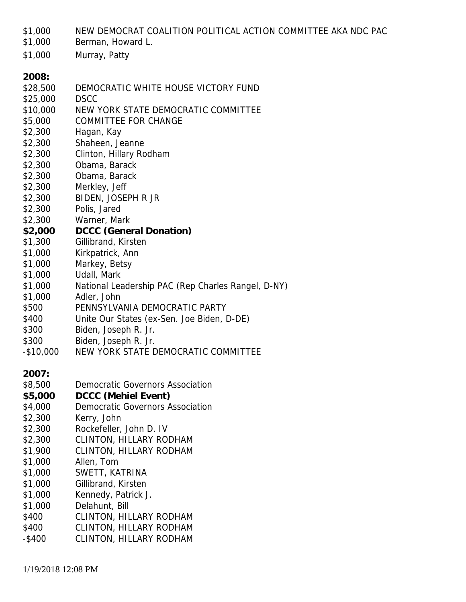\$1,000 NEW DEMOCRAT COALITION POLITICAL ACTION COMMITTEE AKA NDC PAC

\$1,000 Berman, Howard L.

- \$1,000 Murray, Patty
- **2008:**
- \$28,500 DEMOCRATIC WHITE HOUSE VICTORY FUND
- \$25,000 DSCC
- \$10,000 NEW YORK STATE DEMOCRATIC COMMITTEE
- \$5,000 COMMITTEE FOR CHANGE
- \$2,300 Hagan, Kay
- \$2,300 Shaheen, Jeanne
- \$2,300 Clinton, Hillary Rodham
- \$2,300 Obama, Barack
- \$2,300 Obama, Barack
- \$2,300 Merkley, Jeff
- \$2,300 BIDEN, JOSEPH R JR
- \$2,300 Polis, Jared
- \$2,300 Warner, Mark
- **\$2,000 DCCC (General Donation)**
- \$1,300 Gillibrand, Kirsten
- \$1,000 Kirkpatrick, Ann
- \$1,000 Markey, Betsy
- \$1,000 Udall, Mark
- \$1,000 National Leadership PAC (Rep Charles Rangel, D-NY)
- \$1,000 Adler, John
- \$500 PENNSYLVANIA DEMOCRATIC PARTY
- \$400 Unite Our States (ex-Sen. Joe Biden, D-DE)
- \$300 Biden, Joseph R. Jr.
- \$300 Biden, Joseph R. Jr.
- -\$10,000 NEW YORK STATE DEMOCRATIC COMMITTEE

**2007:**

- \$8,500 Democratic Governors Association
- **\$5,000 DCCC (Mehiel Event)**
- \$4,000 Democratic Governors Association
- \$2,300 Kerry, John
- \$2,300 Rockefeller, John D. IV
- \$2,300 CLINTON, HILLARY RODHAM
- \$1,900 CLINTON, HILLARY RODHAM
- \$1,000 Allen, Tom
- \$1,000 SWETT, KATRINA
- \$1,000 Gillibrand, Kirsten
- \$1,000 Kennedy, Patrick J.
- \$1,000 Delahunt, Bill
- \$400 CLINTON, HILLARY RODHAM
- \$400 CLINTON, HILLARY RODHAM
- -\$400 CLINTON, HILLARY RODHAM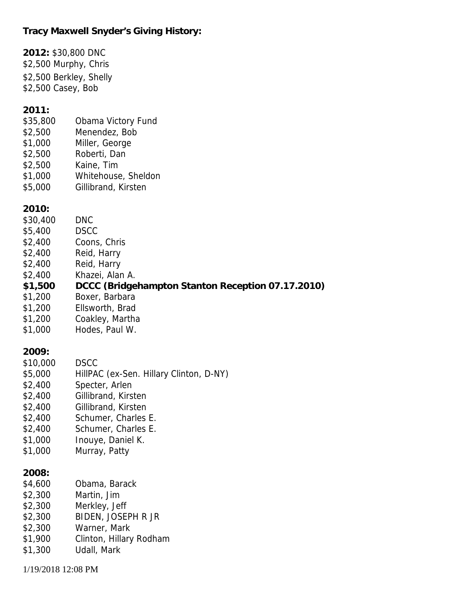**Tracy Maxwell Snyder's Giving History:**

**2012:** \$30,800 DNC \$2,500 Murphy, Chris \$2,500 Berkley, Shelly \$2,500 Casey, Bob **2011:** \$35,800 Obama Victory Fund \$2,500 Menendez, Bob \$1,000 Miller, George \$2,500 Roberti, Dan \$2,500 Kaine, Tim \$1,000 Whitehouse, Sheldon \$5,000 Gillibrand, Kirsten **2010:** \$30,400 DNC \$5,400 DSCC \$2,400 Coons, Chris \$2,400 Reid, Harry \$2,400 Reid, Harry \$2,400 Khazei, Alan A. **\$1,500 DCCC (Bridgehampton Stanton Reception 07.17.2010)** \$1,200 Boxer, Barbara \$1,200 Ellsworth, Brad \$1,200 Coakley, Martha \$1,000 Hodes, Paul W. **2009:** \$10,000 DSCC \$5,000 HillPAC (ex-Sen. Hillary Clinton, D-NY) \$2,400 Specter, Arlen \$2,400 Gillibrand, Kirsten \$2,400 Gillibrand, Kirsten \$2,400 Schumer, Charles E. \$2,400 Schumer, Charles E. \$1,000 Inouye, Daniel K. \$1,000 Murray, Patty **2008:** \$4,600 Obama, Barack \$2,300 Martin, Jim \$2,300 Merkley, Jeff \$2,300 BIDEN, JOSEPH R JR \$2,300 Warner, Mark \$1,900 Clinton, Hillary Rodham \$1,300 Udall, Mark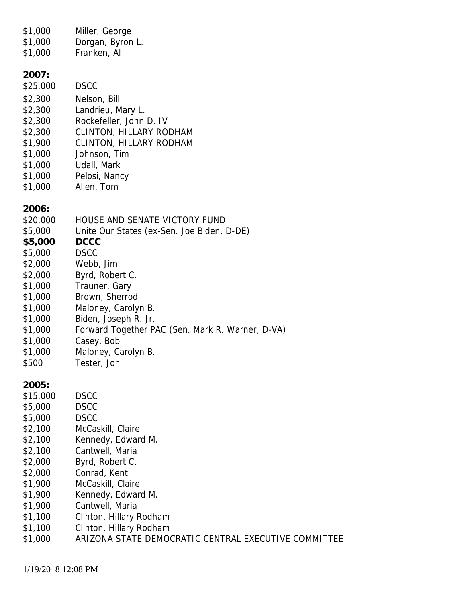| \$1,000<br>\$1,000<br>\$1,000                                                                                                                                    | Miller, George<br>Dorgan, Byron L.<br>Franken, Al                                                                                                                                                                                                                                                                                   |
|------------------------------------------------------------------------------------------------------------------------------------------------------------------|-------------------------------------------------------------------------------------------------------------------------------------------------------------------------------------------------------------------------------------------------------------------------------------------------------------------------------------|
| 2007:<br>\$25,000<br>\$2,300<br>\$2,300<br>\$2,300<br>\$2,300<br>\$1,900<br>\$1,000<br>\$1,000<br>\$1,000<br>\$1,000                                             | <b>DSCC</b><br>Nelson, Bill<br>Landrieu, Mary L.<br>Rockefeller, John D. IV<br><b>CLINTON, HILLARY RODHAM</b><br><b>CLINTON, HILLARY RODHAM</b><br>Johnson, Tim<br>Udall, Mark<br>Pelosi, Nancy<br>Allen, Tom                                                                                                                       |
| 2006:<br>\$20,000<br>\$5,000<br>\$5,000<br>\$5,000<br>\$2,000<br>\$2,000<br>\$1,000<br>\$1,000<br>\$1,000<br>\$1,000<br>\$1,000<br>\$1,000<br>\$1,000<br>\$500   | HOUSE AND SENATE VICTORY FUND<br>Unite Our States (ex-Sen. Joe Biden, D-DE)<br><b>DCCC</b><br><b>DSCC</b><br>Webb, Jim<br>Byrd, Robert C.<br>Trauner, Gary<br>Brown, Sherrod<br>Maloney, Carolyn B.<br>Biden, Joseph R. Jr.<br>Forward Together PAC (Sen. Mark R. Warner, D-VA)<br>Casey, Bob<br>Maloney, Carolyn B.<br>Tester, Jon |
| 2005:<br>\$15,000<br>\$5,000<br>\$5,000<br>\$2,100<br>\$2,100<br>\$2,100<br>\$2,000<br>\$2,000<br>\$1,900<br>\$1,900<br>\$1,900<br>\$1,100<br>\$1,100<br>\$1,000 | <b>DSCC</b><br><b>DSCC</b><br><b>DSCC</b><br>McCaskill, Claire<br>Kennedy, Edward M.<br>Cantwell, Maria<br>Byrd, Robert C.<br>Conrad, Kent<br>McCaskill, Claire<br>Kennedy, Edward M.<br>Cantwell, Maria<br>Clinton, Hillary Rodham<br>Clinton, Hillary Rodham<br>ARIZONA STATE DEMOCRATIC CENTRAL EXECUTIVE COMMITTEE              |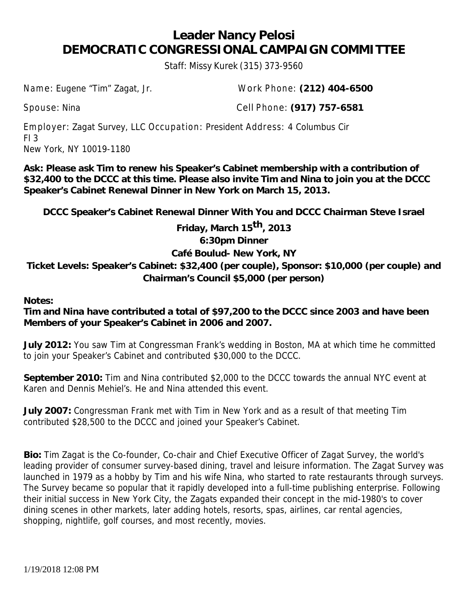### **Leader Nancy Pelosi DEMOCRATIC CONGRESSIONAL CAMPAIGN COMMITTEE**

Staff: Missy Kurek (315) 373-9560

Name: Eugene "Tim" Zagat, Jr. Work Phone: **(212) 404-6500**

Spouse: Nina Cell Phone: **(917) 757-6581**

Employer: Zagat Survey, LLC Occupation: President Address: 4 Columbus Cir  $FI$  3 New York, NY 10019-1180

**Ask: Please ask Tim to renew his Speaker's Cabinet membership with a contribution of \$32,400 to the DCCC at this time. Please also invite Tim and Nina to join you at the DCCC Speaker's Cabinet Renewal Dinner in New York on March 15, 2013.**

**DCCC Speaker's Cabinet Renewal Dinner With You and DCCC Chairman Steve Israel**

**Friday, March 15 th, 2013**

**6:30pm Dinner**

#### **Café Boulud- New York, NY**

**Ticket Levels: Speaker's Cabinet: \$32,400 (per couple), Sponsor: \$10,000 (per couple) and Chairman's Council \$5,000 (per person)**

**Notes:**

**Tim and Nina have contributed a total of \$97,200 to the DCCC since 2003 and have been Members of your Speaker's Cabinet in 2006 and 2007.**

**July 2012:** You saw Tim at Congressman Frank's wedding in Boston, MA at which time he committed to join your Speaker's Cabinet and contributed \$30,000 to the DCCC.

**September 2010:** Tim and Nina contributed \$2,000 to the DCCC towards the annual NYC event at Karen and Dennis Mehiel's. He and Nina attended this event.

**July 2007:** Congressman Frank met with Tim in New York and as a result of that meeting Tim contributed \$28,500 to the DCCC and joined your Speaker's Cabinet.

**Bio:** Tim Zagat is the Co-founder, Co-chair and Chief Executive Officer of Zagat Survey, the world's leading provider of consumer survey-based dining, travel and leisure information. The Zagat Survey was launched in 1979 as a hobby by Tim and his wife Nina, who started to rate restaurants through surveys. The Survey became so popular that it rapidly developed into a full-time publishing enterprise. Following their initial success in New York City, the Zagats expanded their concept in the mid-1980's to cover dining scenes in other markets, later adding hotels, resorts, spas, airlines, car rental agencies, shopping, nightlife, golf courses, and most recently, movies.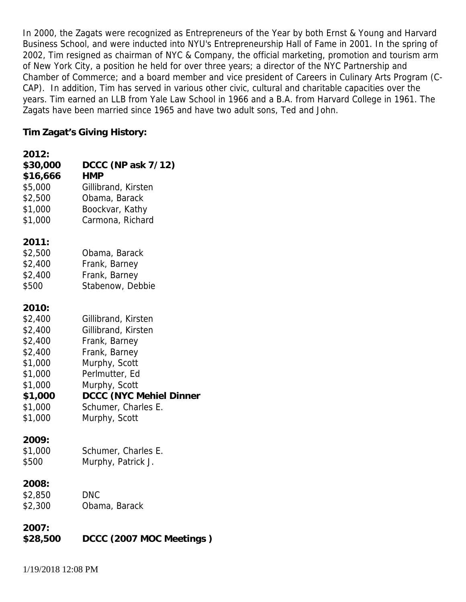In 2000, the Zagats were recognized as Entrepreneurs of the Year by both Ernst & Young and Harvard Business School, and were inducted into NYU's Entrepreneurship Hall of Fame in 2001. In the spring of 2002, Tim resigned as chairman of NYC & Company, the official marketing, promotion and tourism arm of New York City, a position he held for over three years; a director of the NYC Partnership and Chamber of Commerce; and a board member and vice president of Careers in Culinary Arts Program (C- CAP). In addition, Tim has served in various other civic, cultural and charitable capacities over the years. Tim earned an LLB from Yale Law School in 1966 and a B.A. from Harvard College in 1961. The Zagats have been married since 1965 and have two adult sons, Ted and John.

**Tim Zagat's Giving History:**

| 2012:    |                          |
|----------|--------------------------|
| \$30,000 | DCCC (NP ask 7/12)       |
| \$16,666 | <b>HMP</b>               |
| \$5,000  | Gillibrand, Kirsten      |
| \$2,500  | Obama, Barack            |
| \$1,000  | Boockvar, Kathy          |
| \$1,000  | Carmona, Richard         |
| 2011:    |                          |
| \$2,500  | Obama, Barack            |
| \$2,400  | Frank, Barney            |
| \$2,400  | Frank, Barney            |
| \$500    | Stabenow, Debbie         |
| 2010:    |                          |
| \$2,400  | Gillibrand, Kirsten      |
| \$2,400  | Gillibrand, Kirsten      |
| \$2,400  | Frank, Barney            |
| \$2,400  | Frank, Barney            |
| \$1,000  | Murphy, Scott            |
| \$1,000  | Perlmutter, Ed           |
| \$1,000  | Murphy, Scott            |
| \$1,000  | DCCC (NYC Mehiel Dinner  |
| \$1,000  | Schumer, Charles E.      |
| \$1,000  | Murphy, Scott            |
| 2009:    |                          |
| \$1,000  | Schumer, Charles E.      |
| \$500    | Murphy, Patrick J.       |
| 2008:    |                          |
| \$2,850  | <b>DNC</b>               |
| \$2,300  | Obama, Barack            |
| 2007:    |                          |
| \$28,500 | DCCC (2007 MOC Meetings) |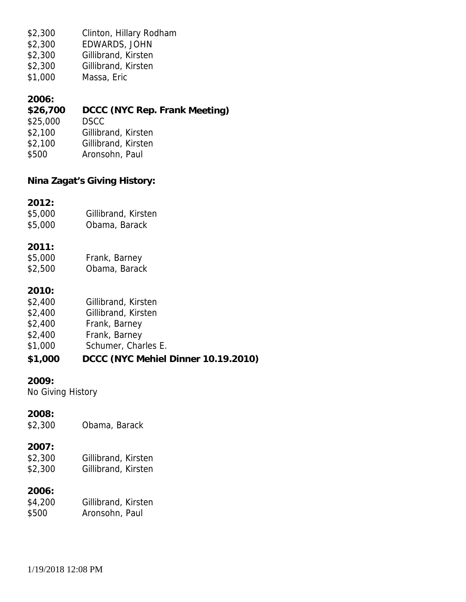\$2,300 Clinton, Hillary Rodham

- \$2,300 EDWARDS, JOHN
- \$2,300 Gillibrand, Kirsten
- \$2,300 Gillibrand, Kirsten
- \$1,000 Massa, Eric

#### **2006:**

- **\$26,700 DCCC (NYC Rep.Frank Meeting)**
- \$25,000 DSCC
- \$2,100 Gillibrand, Kirsten
- \$2,100 Gillibrand, Kirsten
- \$500 Aronsohn, Paul

**Nina Zagat's Giving History:**

**2012:**

- \$5,000 Gillibrand, Kirsten
- \$5,000 Obama, Barack

**2011:**

- \$5,000 Frank, Barney \$2,500 Obama, Barack
- **2010:**
- \$2,400 Gillibrand, Kirsten
- \$2,400 Gillibrand, Kirsten
- \$2,400 Frank, Barney
- \$2,400 Frank, Barney
- \$1,000 Schumer, Charles E.
- **\$1,000 DCCC (NYC Mehiel Dinner 10.19.2010)**

**2009:**

No Giving History

**2008:**

\$2,300 Obama, Barack

#### **2007:**

\$2,300 Gillibrand, Kirsten \$2,300 Gillibrand, Kirsten

**2006:**

\$4,200 Gillibrand, Kirsten \$500 Aronsohn, Paul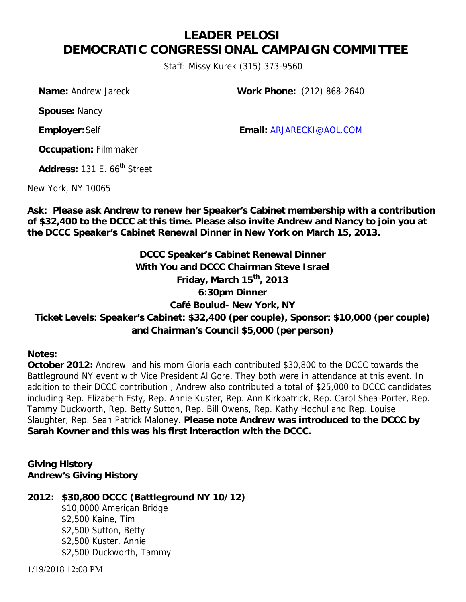### **LEADER PELOSI DEMOCRATIC CONGRESSIONAL CAMPAIGN COMMITTEE**

*Staff: Missy Kurek (315) 373-9560*

*Name:* Andrew Jarecki *Work Phone: (212) 868-2640*

*Spouse:* Nancy

*Employer:*Self *Email:* ARJARECKI@AOL.COM

*Occupation:* Filmmaker

Address: 131 F. 66<sup>th</sup> Street

New York, NY 10065

**Ask: Please ask Andrew to renew her Speaker's Cabinet membership with a contribution of \$32,400 to the DCCC at this time. Please also invite Andrew and Nancy to join you at the DCCC Speaker's Cabinet Renewal Dinner in New York on March 15, 2013.**

**DCCC Speaker's Cabinet Renewal Dinner With You and DCCC Chairman Steve Israel Friday, March 15th, 2013 6:30pm Dinner Café Boulud- New York, NY Ticket Levels: Speaker's Cabinet: \$32,400 (per couple), Sponsor: \$10,000 (per couple) and Chairman's Council \$5,000 (per person)**

**Notes:**

**October 2012:** Andrew and his mom Gloria each contributed \$30,800 to the DCCC towards the Battleground NY event with Vice President Al Gore. They both were in attendance at this event. In addition to their DCCC contribution , Andrew also contributed a total of \$25,000 to DCCC candidates including Rep. Elizabeth Esty, Rep. Annie Kuster, Rep. Ann Kirkpatrick, Rep. Carol Shea-Porter, Rep. Tammy Duckworth, Rep. Betty Sutton, Rep. Bill Owens, Rep. Kathy Hochul and Rep. Louise Slaughter, Rep. Sean Patrick Maloney. *Please note Andrew was introduced to the DCCC by Sarah Kovner and this was his first interaction with the DCCC.*

**Giving History Andrew's Giving History**

**2012: \$30,800 DCCC (Battleground NY 10/12)** \$10,0000 American Bridge \$2,500 Kaine, Tim \$2,500 Sutton, Betty \$2,500 Kuster, Annie \$2,500 Duckworth, Tammy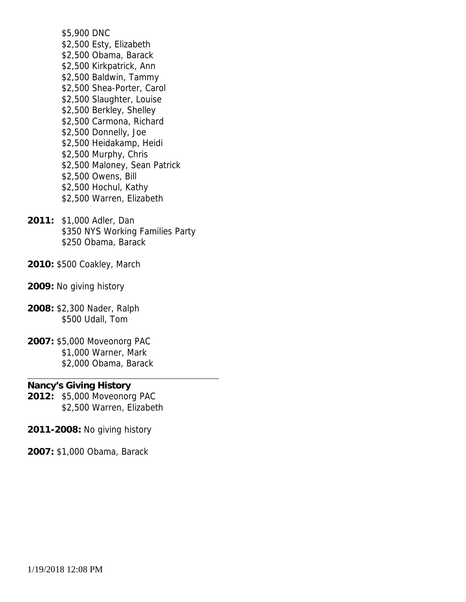\$5,900 DNC \$2,500 Esty, Elizabeth \$2,500 Obama, Barack \$2,500 Kirkpatrick, Ann \$2,500 Baldwin, Tammy \$2,500 Shea-Porter, Carol \$2,500 Slaughter, Louise \$2,500 Berkley, Shelley \$2,500 Carmona, Richard \$2,500 Donnelly, Joe \$2,500 Heidakamp, Heidi \$2,500 Murphy, Chris \$2,500 Maloney, Sean Patrick \$2,500 Owens, Bill \$2,500 Hochul, Kathy \$2,500 Warren, Elizabeth

- **2011:** \$1,000 Adler, Dan \$350 NYS Working Families Party \$250 Obama, Barack
- **2010:** \$500 Coakley, March
- **2009:** No giving history
- **2008:** \$2,300 Nader, Ralph \$500 Udall, Tom
- **2007:** \$5,000 Moveonorg PAC \$1,000 Warner, Mark \$2,000 Obama, Barack

**Nancy's Giving History 2012:** \$5,000 Moveonorg PAC \$2,500 Warren, Elizabeth

- **2011-2008:** No giving history
- **2007:** \$1,000 Obama, Barack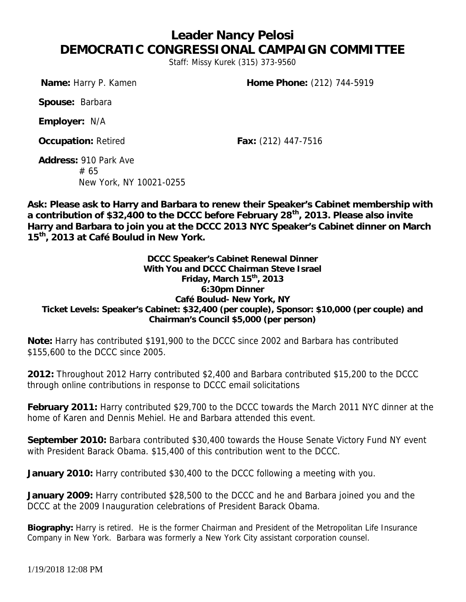## **Leader Nancy Pelosi DEMOCRATIC CONGRESSIONAL CAMPAIGN COMMITTEE**

*Staff: Missy Kurek (315) 373-9560*

*Name:* Harry P. Kamen *Home Phone:* (212) 744-5919

*Spouse:* Barbara

*Employer:* N/A

*Occupation:* Retired *Fax:* (212) 447-7516

*Address:* 910 Park Ave # 65 New York, NY 10021-0255

**Ask: Please ask to Harry and Barbara to renew their Speaker's Cabinet membership with a contribution of \$32,400 to the DCCC before February 28th, 2013. Please also invite Harry and Barbara to join you at the DCCC 2013 NYC Speaker's Cabinet dinner on March 15th, 2013 at Café Boulud in New York.**

**DCCC Speaker's Cabinet Renewal Dinner With You and DCCC Chairman Steve Israel Friday, March 15th, 2013 6:30pm Dinner Café Boulud- New York, NY Ticket Levels: Speaker's Cabinet: \$32,400 (per couple), Sponsor: \$10,000 (per couple) and Chairman's Council \$5,000 (per person)**

**Note:** Harry has contributed \$191,900 to the DCCC since 2002 and Barbara has contributed \$155,600 to the DCCC since 2005.

**2012:** Throughout 2012 Harry contributed \$2,400 and Barbara contributed \$15,200 to the DCCC through online contributions in response to DCCC email solicitations

**February 2011:** Harry contributed \$29,700 to the DCCC towards the March 2011 NYC dinner at the home of Karen and Dennis Mehiel. He and Barbara attended this event.

**September 2010:** Barbara contributed \$30,400 towards the House Senate Victory Fund NY event with President Barack Obama. \$15,400 of this contribution went to the DCCC.

**January 2010:** Harry contributed \$30,400 to the DCCC following a meeting with you.

**January 2009:** Harry contributed \$28,500 to the DCCC and he and Barbara joined you and the DCCC at the 2009 Inauguration celebrations of President Barack Obama.

**Biography:** Harry is retired. He is the former Chairman and President of the Metropolitan Life Insurance Company in New York. Barbara was formerly a New York City assistant corporation counsel.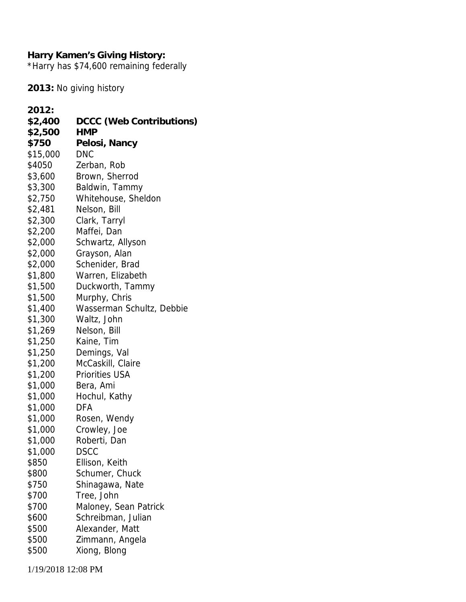**Harry Kamen's Giving History:** \*Harry has \$74,600 remaining federally

**2013:** No giving history

| 2012:    |                           |
|----------|---------------------------|
| \$2,400  | DCCC (Web Contributions)  |
| \$2,500  | HMP                       |
| \$750    | Pelosi, Nancy             |
| \$15,000 | <b>DNC</b>                |
| \$4050   | Zerban, Rob               |
| \$3,600  | Brown, Sherrod            |
| \$3,300  | Baldwin, Tammy            |
| \$2,750  | Whitehouse, Sheldon       |
| \$2,481  | Nelson, Bill              |
| \$2,300  | Clark, Tarryl             |
| \$2,200  | Maffei, Dan               |
| \$2,000  | Schwartz, Allyson         |
| \$2,000  | Grayson, Alan             |
| \$2,000  | Schenider, Brad           |
| \$1,800  | Warren, Elizabeth         |
| \$1,500  | Duckworth, Tammy          |
| \$1,500  | Murphy, Chris             |
| \$1,400  | Wasserman Schultz, Debbie |
| \$1,300  | Waltz, John               |
| \$1,269  | Nelson, Bill              |
| \$1,250  | Kaine, Tim                |
| \$1,250  | Demings, Val              |
| \$1,200  | McCaskill, Claire         |
| \$1,200  | <b>Priorities USA</b>     |
| \$1,000  | Bera, Ami                 |
| \$1,000  | Hochul, Kathy             |
| \$1,000  | DFA                       |
| \$1,000  | Rosen, Wendy              |
| \$1,000  | Crowley, Joe              |
| \$1,000  | Roberti, Dan              |
| \$1,000  | <b>DSCC</b>               |
| \$850    | Ellison, Keith            |
| \$800    | Schumer, Chuck            |
| \$750    | Shinagawa, Nate           |
| \$700    | Tree, John                |
| \$700    | Maloney, Sean Patrick     |
| \$600    | Schreibman, Julian        |
| \$500    | Alexander, Matt           |
| \$500    | Zimmann, Angela           |
| \$500    | Xiong, Blong              |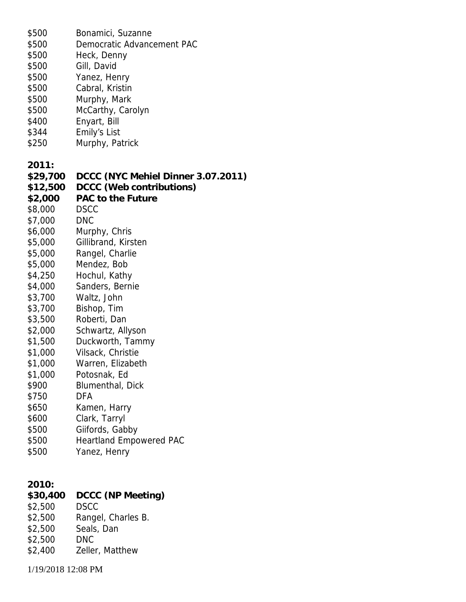| \$500    | Bonamici, Suzanne                  |
|----------|------------------------------------|
| \$500    | Democratic Advancement PAC         |
| \$500    | Heck, Denny                        |
| \$500    | Gill, David                        |
| \$500    | Yanez, Henry                       |
| \$500    | Cabral, Kristin                    |
| \$500    | Murphy, Mark                       |
| \$500    | McCarthy, Carolyn                  |
| \$400    | Enyart, Bill                       |
| \$344    | Emily's List                       |
| \$250    | Murphy, Patrick                    |
|          |                                    |
| 2011:    |                                    |
| \$29,700 | DCCC (NYC Mehiel Dinner 3.07.2011) |
| \$12,500 | DCCC (Web contributions)           |
| \$2,000  | PAC to the Future                  |
|          | <b>DSCC</b>                        |
| \$8,000  |                                    |
| \$7,000  | <b>DNC</b>                         |
| \$6,000  | Murphy, Chris                      |
| \$5,000  | Gillibrand, Kirsten                |
| \$5,000  | Rangel, Charlie                    |
| \$5,000  | Mendez, Bob                        |
| \$4,250  | Hochul, Kathy                      |
| \$4,000  | Sanders, Bernie                    |
| \$3,700  | Waltz, John                        |
| \$3,700  | Bishop, Tim                        |
| \$3,500  | Roberti, Dan                       |
| \$2,000  | Schwartz, Allyson                  |
| \$1,500  | Duckworth, Tammy                   |
| \$1,000  | Vilsack, Christie                  |
| \$1,000  | Warren, Elizabeth                  |
| \$1,000  | Potosnak, Ed                       |
| \$900    | Blumenthal, Dick                   |
| \$750    | <b>DFA</b>                         |
| \$650    | Kamen, Harry                       |
| \$600    | Clark, Tarryl                      |
| \$500    | Giifords, Gabby                    |
| \$500    | <b>Heartland Empowered PAC</b>     |
| \$500    | Yanez, Henry                       |
|          |                                    |
|          |                                    |
| 2010:    |                                    |
| \$30,400 | DCCC (NP Meeting)                  |
| \$2,500  | <b>DSCC</b>                        |
| \$2,500  | Rangel, Charles B.                 |
| \$2,500  | Seals, Dan                         |
| \$2,500  | <b>DNC</b>                         |
| \$2,400  | Zeller, Matthew                    |
|          |                                    |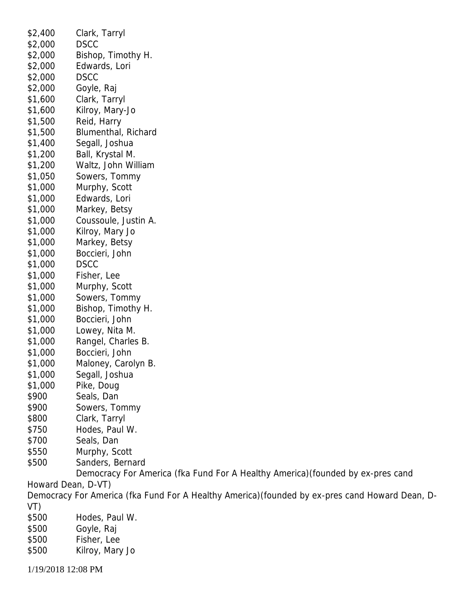\$2,400 Clark, Tarryl \$2,000 DSCC \$2,000 Bishop, Timothy H. \$2,000 Edwards, Lori \$2,000 DSCC \$2,000 Goyle, Raj \$1,600 Clark, Tarryl \$1,600 Kilroy, Mary-Jo \$1,500 Reid, Harry \$1,500 Blumenthal, Richard \$1,400 Segall, Joshua \$1,200 Ball, Krystal M. \$1,200 Waltz, John William \$1,050 Sowers, Tommy \$1,000 Murphy, Scott \$1,000 Edwards, Lori \$1,000 Markey, Betsy \$1,000 Coussoule, Justin A. \$1,000 Kilroy, Mary Jo \$1,000 Markey, Betsy \$1,000 Boccieri, John \$1,000 DSCC \$1,000 Fisher, Lee \$1,000 Murphy, Scott \$1,000 Sowers, Tommy \$1,000 Bishop, Timothy H. \$1,000 Boccieri, John \$1,000 Lowey, Nita M. \$1,000 Rangel, Charles B. \$1,000 Boccieri, John \$1,000 Maloney, Carolyn B. \$1,000 Segall, Joshua \$1,000 Pike, Doug \$900 Seals, Dan \$900 Sowers, Tommy \$800 Clark, Tarryl \$750 Hodes, Paul W. \$700 Seals, Dan \$550 Murphy, Scott \$500 Sanders, Bernard Democracy For America (fka Fund For A Healthy America)(founded by ex-pres cand Howard Dean, D-VT) Democracy For America (fka Fund For A Healthy America)(founded by ex-pres cand Howard Dean, D-VT) \$500 Hodes, Paul W. \$500 Goyle, Raj \$500 Fisher, Lee \$500 Kilroy, Mary Jo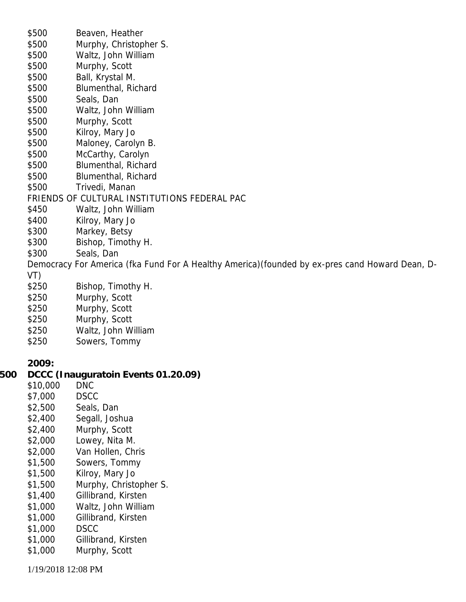|     | \$500    | Beaven, Heather                                                                                 |
|-----|----------|-------------------------------------------------------------------------------------------------|
|     | \$500    | Murphy, Christopher S.                                                                          |
|     | \$500    | Waltz, John William                                                                             |
|     | \$500    | Murphy, Scott                                                                                   |
|     | \$500    | Ball, Krystal M.                                                                                |
|     | \$500    | Blumenthal, Richard                                                                             |
|     | \$500    | Seals, Dan                                                                                      |
|     | \$500    | Waltz, John William                                                                             |
|     | \$500    | Murphy, Scott                                                                                   |
|     | \$500    | Kilroy, Mary Jo                                                                                 |
|     | \$500    | Maloney, Carolyn B.                                                                             |
|     | \$500    | McCarthy, Carolyn                                                                               |
|     | \$500    | Blumenthal, Richard                                                                             |
|     | \$500    | Blumenthal, Richard                                                                             |
|     | \$500    | Trivedi, Manan                                                                                  |
|     |          | FRIENDS OF CULTURAL INSTITUTIONS FEDERAL PAC                                                    |
|     | \$450    | Waltz, John William                                                                             |
|     | \$400    | Kilroy, Mary Jo                                                                                 |
|     | \$300    | Markey, Betsy                                                                                   |
|     | \$300    | Bishop, Timothy H.                                                                              |
|     | \$300    | Seals, Dan                                                                                      |
|     |          | Democracy For America (fka Fund For A Healthy America) (founded by ex-pres cand Howard Dean, D- |
|     | VT)      |                                                                                                 |
|     | \$250    | Bishop, Timothy H.                                                                              |
|     | \$250    | Murphy, Scott                                                                                   |
|     | \$250    | Murphy, Scott                                                                                   |
|     | \$250    | Murphy, Scott                                                                                   |
|     | \$250    | Waltz, John William                                                                             |
|     | \$250    | Sowers, Tommy                                                                                   |
|     | 2009:    |                                                                                                 |
| 500 |          | DCCC (Inauguratoin Events 01.20.09)                                                             |
|     | \$10,000 | <b>DNC</b>                                                                                      |
|     | \$7,000  | <b>DSCC</b>                                                                                     |
|     | \$2,500  | Seals, Dan                                                                                      |
|     | \$2,400  | Segall, Joshua                                                                                  |
|     | \$2,400  | Murphy, Scott                                                                                   |
|     | \$2,000  | Lowey, Nita M.                                                                                  |
|     | \$2,000  | Van Hollen, Chris                                                                               |
|     | \$1,500  | Sowers, Tommy                                                                                   |
|     | \$1,500  | Kilroy, Mary Jo                                                                                 |
|     | \$1,500  | Murphy, Christopher S.                                                                          |
|     | \$1,400  | Gillibrand, Kirsten                                                                             |
|     | \$1,000  | Waltz, John William                                                                             |
|     | \$1,000  | Gillibrand, Kirsten                                                                             |
|     | \$1,000  | <b>DSCC</b>                                                                                     |
|     | \$1,000  | Gillibrand, Kirsten                                                                             |
|     | \$1,000  | Murphy, Scott                                                                                   |
|     |          |                                                                                                 |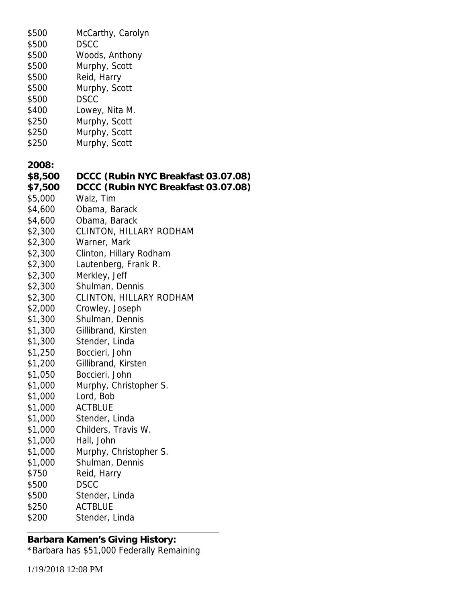| \$500   | McCarthy, Carolyn                   |
|---------|-------------------------------------|
| \$500   | <b>DSCC</b>                         |
| \$500   | Woods, Anthony                      |
| \$500   | Murphy, Scott                       |
| \$500   | Reid, Harry                         |
| \$500   | Murphy, Scott                       |
| \$500   | <b>DSCC</b>                         |
| \$400   | Lowey, Nita M.                      |
| \$250   | Murphy, Scott                       |
| \$250   | Murphy, Scott                       |
| \$250   | Murphy, Scott                       |
|         |                                     |
| 2008:   |                                     |
| \$8,500 | DCCC (Rubin NYC Breakfast 03.07.08) |
| \$7,500 | DCCC (Rubin NYC Breakfast 03.07.08) |
| \$5,000 | Walz, Tim                           |
|         |                                     |
| \$4,600 | Obama, Barack                       |
| \$4,600 | Obama, Barack                       |
| \$2,300 | <b>CLINTON, HILLARY RODHAM</b>      |
| \$2,300 | Warner, Mark                        |
| \$2,300 | Clinton, Hillary Rodham             |
| \$2,300 | Lautenberg, Frank R.                |
| \$2,300 | Merkley, Jeff                       |
| \$2,300 | Shulman, Dennis                     |
| \$2,300 | <b>CLINTON, HILLARY RODHAM</b>      |
| \$2,000 | Crowley, Joseph                     |
| \$1,300 | Shulman, Dennis                     |
| \$1,300 | Gillibrand, Kirsten                 |
| \$1,300 | Stender, Linda                      |
| \$1,250 | Boccieri, John                      |
| \$1,200 | Gillibrand, Kirsten                 |
| \$1,050 | Boccieri, John                      |
| \$1,000 | Murphy, Christopher S.              |
| \$1,000 | Lord, Bob                           |
| \$1,000 | <b>ACTBLUE</b>                      |
| \$1,000 | Stender, Linda                      |
| \$1,000 | Childers, Travis W.                 |
| \$1,000 | Hall, John                          |
| \$1,000 | Murphy, Christopher S.              |
| \$1,000 | Shulman, Dennis                     |
| \$750   | Reid, Harry                         |
| \$500   | <b>DSCC</b>                         |
| \$500   | Stender, Linda                      |
| \$250   | <b>ACTBLUE</b>                      |
| \$200   | Stender, Linda                      |
|         |                                     |

**Barbara Kamen's Giving History:** \*Barbara has \$51,000 Federally Remaining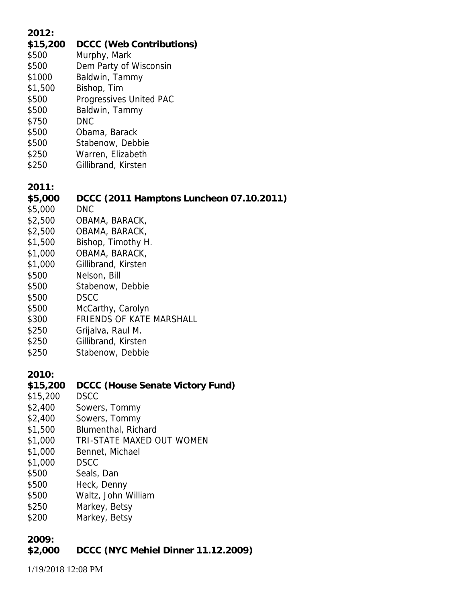| 2012:<br>\$15,200<br>\$500<br>\$500<br>\$1000<br>\$1,500<br>\$500<br>\$500<br>\$750<br>\$500<br>\$500<br>\$250<br>\$250                                    | DCCC (Web Contributions)<br>Murphy, Mark<br>Dem Party of Wisconsin<br>Baldwin, Tammy<br>Bishop, Tim<br>Progressives United PAC<br>Baldwin, Tammy<br><b>DNC</b><br>Obama, Barack<br>Stabenow, Debbie<br>Warren, Elizabeth<br>Gillibrand, Kirsten                                                                               |
|------------------------------------------------------------------------------------------------------------------------------------------------------------|-------------------------------------------------------------------------------------------------------------------------------------------------------------------------------------------------------------------------------------------------------------------------------------------------------------------------------|
| 2011:<br>\$5,000<br>\$5,000<br>\$2,500<br>\$2,500<br>\$1,500<br>\$1,000<br>\$1,000<br>\$500<br>\$500<br>\$500<br>\$500<br>\$300<br>\$250<br>\$250<br>\$250 | DCCC (2011 Hamptons Luncheon 07.10.2011)<br><b>DNC</b><br>OBAMA, BARACK,<br>OBAMA, BARACK,<br>Bishop, Timothy H.<br>OBAMA, BARACK,<br>Gillibrand, Kirsten<br>Nelson, Bill<br>Stabenow, Debbie<br><b>DSCC</b><br>McCarthy, Carolyn<br>FRIENDS OF KATE MARSHALL<br>Grijalva, Raul M.<br>Gillibrand, Kirsten<br>Stabenow, Debbie |
| 2010:<br>\$15,200<br>\$15,200<br>\$2,400<br>\$2,400<br>\$1,500<br>\$1,000<br>\$1,000<br>\$1,000<br>\$500<br>\$500<br>\$500<br>\$250<br>\$200               | DCCC (House Senate Victory Fund)<br><b>DSCC</b><br>Sowers, Tommy<br>Sowers, Tommy<br>Blumenthal, Richard<br>TRI-STATE MAXED OUT WOMEN<br>Bennet, Michael<br><b>DSCC</b><br>Seals, Dan<br>Heck, Denny<br>Waltz, John William<br>Markey, Betsy<br>Markey, Betsy                                                                 |
| 2009:<br>\$2,000                                                                                                                                           | DCCC (NYC Mehiel Dinner 11.12.2009)                                                                                                                                                                                                                                                                                           |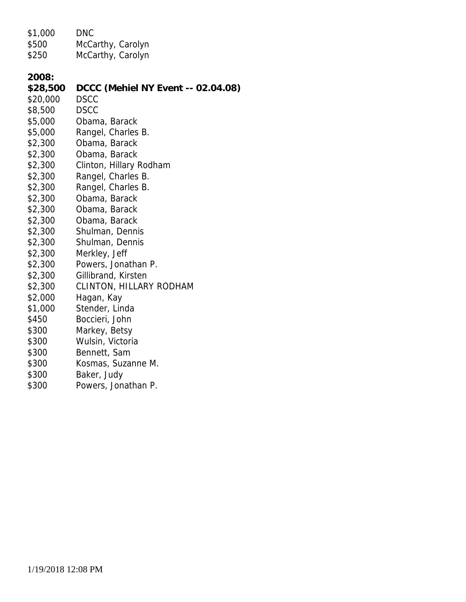| \$1,000  | <b>DNC</b>                         |
|----------|------------------------------------|
| \$500    | McCarthy, Carolyn                  |
| \$250    | McCarthy, Carolyn                  |
|          |                                    |
| 2008:    |                                    |
| \$28,500 | DCCC (Mehiel NY Event -- 02.04.08) |
| \$20,000 | <b>DSCC</b>                        |
| \$8,500  | <b>DSCC</b>                        |
| \$5,000  | Obama, Barack                      |
| \$5,000  | Rangel, Charles B.                 |
| \$2,300  | Obama, Barack                      |
| \$2,300  | Obama, Barack                      |
| \$2,300  | Clinton, Hillary Rodham            |
| \$2,300  | Rangel, Charles B.                 |
| \$2,300  | Rangel, Charles B.                 |
| \$2,300  | Obama, Barack                      |
| \$2,300  | Obama, Barack                      |
| \$2,300  | Obama, Barack                      |
| \$2,300  | Shulman, Dennis                    |
| \$2,300  | Shulman, Dennis                    |
| \$2,300  | Merkley, Jeff                      |
| \$2,300  | Powers, Jonathan P.                |
| \$2,300  | Gillibrand, Kirsten                |
| \$2,300  | CLINTON, HILLARY RODHAM            |
| \$2,000  | Hagan, Kay                         |
| \$1,000  | Stender, Linda                     |
| \$450    | Boccieri, John                     |
| \$300    | Markey, Betsy                      |
| \$300    | Wulsin, Victoria                   |
| \$300    | Bennett, Sam                       |
| \$300    | Kosmas, Suzanne M.                 |
| \$300    | Baker, Judy                        |
| \$300    | Powers, Jonathan P.                |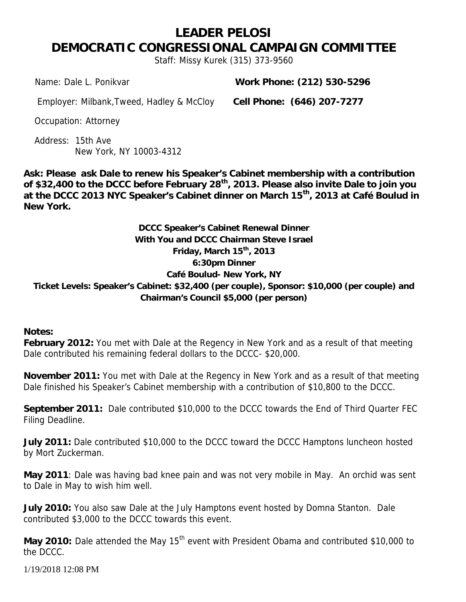#### **LEADER PELOSI DEMOCRATIC CONGRESSIONAL CAMPAIGN COMMITTEE** *Staff: Missy Kurek (315) 373-9560*

*Name:* Dale L. Ponikvar *Work Phone:* **(212) 530-5296**

*Employer:* Milbank,Tweed, Hadley & McCloy *Cell Phone:* **(646) 207-7277**

*Occupation:* Attorney

*Address:* 15th Ave New York, NY 10003-4312

**Ask: Please ask Dale to renew his Speaker's Cabinet membership with a contribution of \$32,400 to the DCCC before February 28th, 2013. Please also invite Dale to join you at the DCCC 2013 NYC Speaker's Cabinet dinner on March 15th, 2013 at Café Boulud in New York.**

**DCCC Speaker's Cabinet Renewal Dinner With You and DCCC Chairman Steve Israel Friday, March 15th, 2013 6:30pm Dinner Café Boulud- New York, NY Ticket Levels: Speaker's Cabinet: \$32,400 (per couple), Sponsor: \$10,000 (per couple) and Chairman's Council \$5,000 (per person)**

**Notes:**

**February 2012:** You met with Dale at the Regency in New York and as a result of that meeting Dale contributed his remaining federal dollars to the DCCC- \$20,000.

**November 2011:** You met with Dale at the Regency in New York and as a result of that meeting Dale finished his Speaker's Cabinet membership with a contribution of \$10,800 to the DCCC.

**September 2011:** Dale contributed \$10,000 to the DCCC towards the End of Third Quarter FEC Filing Deadline.

**July 2011:** Dale contributed \$10,000 to the DCCC toward the DCCC Hamptons luncheon hosted by Mort Zuckerman.

**May 2011**: Dale was having bad knee pain and was not very mobile in May. An orchid was sent to Dale in May to wish him well.

**July 2010:** You also saw Dale at the July Hamptons event hosted by Domna Stanton. Dale contributed \$3,000 to the DCCC towards this event.

May 2010: Dale attended the May 15<sup>th</sup> event with President Obama and contributed \$10,000 to the DCCC.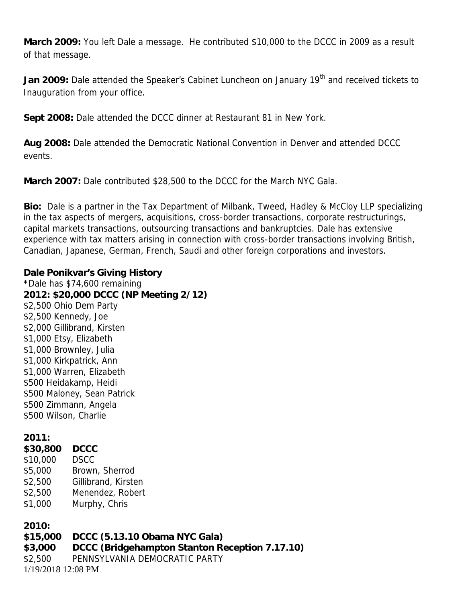**March 2009:** You left Dale a message. He contributed \$10,000 to the DCCC in 2009 as a result of that message.

Jan 2009: Dale attended the Speaker's Cabinet Luncheon on January 19<sup>th</sup> and received tickets to Inauguration from your office.

**Sept 2008:** Dale attended the DCCC dinner at Restaurant 81 in New York.

**Aug 2008:** Dale attended the Democratic National Convention in Denver and attended DCCC events.

**March 2007:** Dale contributed \$28,500 to the DCCC for the March NYC Gala.

**Bio:** Dale is a partner in the Tax Department of Milbank, Tweed, Hadley & McCloy LLP specializing in the tax aspects of mergers, acquisitions, cross-border transactions, corporate restructurings, capital markets transactions, outsourcing transactions and bankruptcies. Dale has extensive experience with tax matters arising in connection with cross-border transactions involving British, Canadian, Japanese, German, French, Saudi and other foreign corporations and investors.

**Dale Ponikvar's Giving History** *\*Dale has \$74,600 remaining* **2012: \$20,000 DCCC (NP Meeting 2/12)** \$2,500 Ohio Dem Party \$2,500 Kennedy, Joe \$2,000 Gillibrand, Kirsten \$1,000 Etsy, Elizabeth \$1,000 Brownley, Julia \$1,000 Kirkpatrick, Ann \$1,000 Warren, Elizabeth \$500 Heidakamp, Heidi \$500 Maloney, Sean Patrick \$500 Zimmann, Angela \$500 Wilson, Charlie

**2011:**

**\$30,800 DCCC** \$10,000 DSCC \$5,000 Brown, Sherrod \$2,500 Gillibrand, Kirsten \$2,500 Menendez, Robert \$1,000 Murphy, Chris

**2010:**

1/19/2018 12:08 PM **\$15,000 DCCC (5.13.10 Obama NYC Gala) \$3,000 DCCC (Bridgehampton Stanton Reception 7.17.10)** \$2,500 PENNSYLVANIA DEMOCRATIC PARTY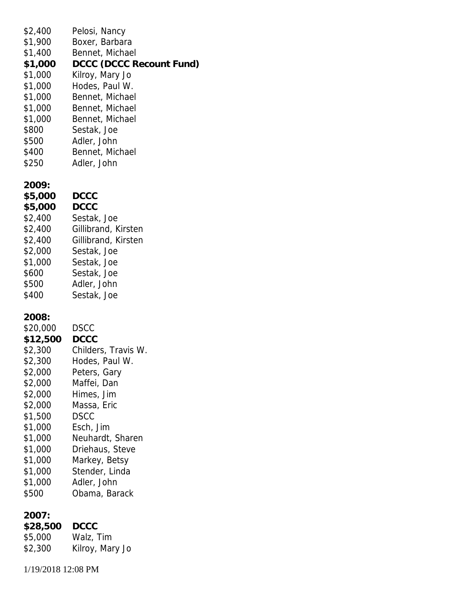| \$2,400<br>\$1,900<br>\$1,400<br>\$1,000<br>\$1,000<br>\$1,000<br>\$1,000<br>\$1,000<br>\$1,000<br>\$800<br>\$500<br>\$400<br>\$250                                                   | Pelosi, Nancy<br>Boxer, Barbara<br>Bennet, Michael<br>DCCC (DCCC Recount Fund)<br>Kilroy, Mary Jo<br>Hodes, Paul W.<br>Bennet, Michael<br>Bennet, Michael<br>Bennet, Michael<br>Sestak, Joe<br>Adler, John<br>Bennet, Michael<br>Adler, John                          |
|---------------------------------------------------------------------------------------------------------------------------------------------------------------------------------------|-----------------------------------------------------------------------------------------------------------------------------------------------------------------------------------------------------------------------------------------------------------------------|
| 2009:<br>\$5,000<br>\$5,000<br>\$2,400<br>\$2,400<br>\$2,400<br>\$2,000<br>\$1,000<br>\$600<br>\$500<br>\$400                                                                         | <b>DCCC</b><br><b>DCCC</b><br>Sestak, Joe<br>Gillibrand, Kirsten<br>Gillibrand, Kirsten<br>Sestak, Joe<br>Sestak, Joe<br>Sestak, Joe<br>Adler, John<br>Sestak, Joe                                                                                                    |
| 2008:<br>\$20,000<br>\$12,500<br>\$2,300<br>\$2,300<br>\$2,000<br>\$2,000<br>\$2,000<br>\$2,000<br>\$1,500<br>\$1,000<br>\$1,000<br>\$1,000<br>\$1,000<br>\$1,000<br>\$1,000<br>\$500 | <b>DSCC</b><br><b>DCCC</b><br>Childers, Travis W.<br>Hodes, Paul W.<br>Peters, Gary<br>Maffei, Dan<br>Himes, Jim<br>Massa, Eric<br><b>DSCC</b><br>Esch, Jim<br>Neuhardt, Sharen<br>Driehaus, Steve<br>Markey, Betsy<br>Stender, Linda<br>Adler, John<br>Obama, Barack |
| 2007:<br>\$28,500<br>\$5,000<br>\$2,300                                                                                                                                               | <b>DCCC</b><br>Walz, Tim<br>Kilroy, Mary Jo                                                                                                                                                                                                                           |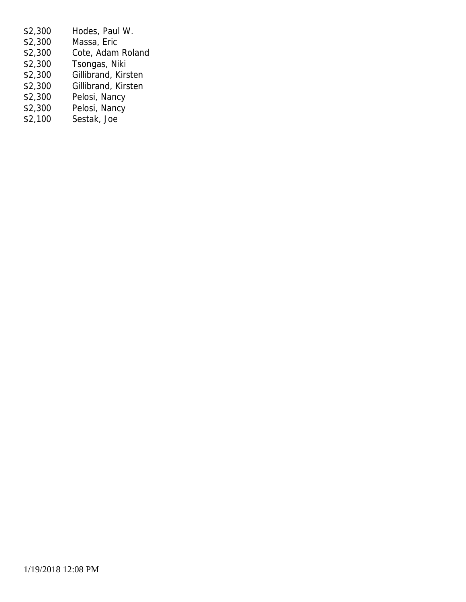- \$2,300 Hodes, Paul W. \$2,300 Massa, Eric<br>\$2,300 Cote, Adam \$2,300 Cote, Adam Roland<br>\$2,300 Tsongas, Niki Tsongas, Niki \$2,300 Gillibrand, Kirsten \$2,300 Gillibrand, Kirsten \$2,300 Pelosi, Nancy \$2,300 Pelosi, Nancy<br>\$2,100 Sestak, Joe
- Sestak, Joe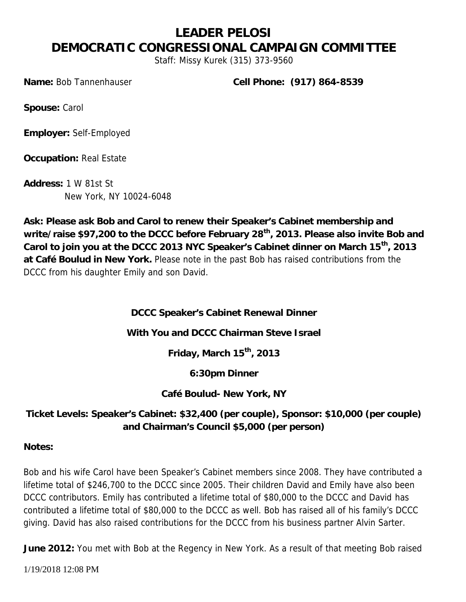#### **LEADER PELOSI DEMOCRATIC CONGRESSIONAL CAMPAIGN COMMITTEE** *Staff: Missy Kurek (315) 373-9560*

*Name:* Bob Tannenhauser *Cell Phone:* **(917) 864-8539**

*Spouse:* Carol

*Employer:* Self-Employed

*Occupation:* Real Estate

*Address:* 1 W 81st St New York, NY 10024-6048

**Ask: Please ask Bob and Carol to renew their Speaker's Cabinet membership and write/raise \$97,200 to the DCCC before February 28th, 2013. Please also invite Bob and Carol to join you at the DCCC 2013 NYC Speaker's Cabinet dinner on March 15th, 2013 at Café Boulud in New York.** *Please note in the past Bob has raised contributions from the DCCC from his daughter Emily and son David.*

**DCCC Speaker's Cabinet Renewal Dinner**

**With You and DCCC Chairman Steve Israel**

**Friday, March 15th, 2013**

**6:30pm Dinner**

**Café Boulud- New York, NY**

**Ticket Levels: Speaker's Cabinet: \$32,400 (per couple), Sponsor: \$10,000 (per couple) and Chairman's Council \$5,000 (per person)**

**Notes:**

Bob and his wife Carol have been Speaker's Cabinet members since 2008. They have contributed a lifetime total of \$246,700 to the DCCC since 2005. Their children David and Emily have also been DCCC contributors. Emily has contributed a lifetime total of \$80,000 to the DCCC and David has contributed a lifetime total of \$80,000 to the DCCC as well. Bob has raised all of his family's DCCC giving. David has also raised contributions for the DCCC from his business partner Alvin Sarter.

**June 2012:** You met with Bob at the Regency in New York. As a result of that meeting Bob raised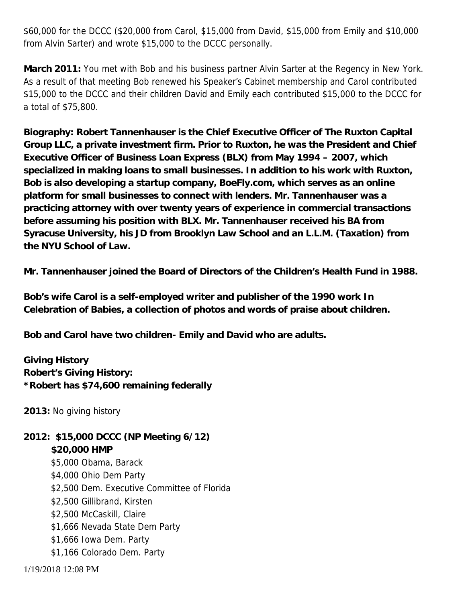\$60,000 for the DCCC (\$20,000 from Carol, \$15,000 from David, \$15,000 from Emily and \$10,000 from Alvin Sarter) and wrote \$15,000 to the DCCC personally.

**March 2011:** You met with Bob and his business partner Alvin Sarter at the Regency in New York. As a result of that meeting Bob renewed his Speaker's Cabinet membership and Carol contributed \$15,000 to the DCCC and their children David and Emily each contributed \$15,000 to the DCCC for a total of \$75,800.

**Biography: Robert Tannenhauser is the Chief Executive Officer of The Ruxton Capital Group LLC, a private investment firm. Prior to Ruxton, he was the President and Chief Executive Officer of Business Loan Express (BLX) from May 1994 – 2007, which specialized in making loans to small businesses. In addition to his work with Ruxton, Bob is also developing a startup company, BoeFly.com, which serves as an online platform for small businesses to connect with lenders. Mr. Tannenhauser was a practicing attorney with over twenty years of experience in commercial transactions before assuming his position with BLX. Mr. Tannenhauser received his BA from Syracuse University, his JD from Brooklyn Law School and an L.L.M. (Taxation) from the NYU School of Law.**

**Mr. Tannenhauser joined the Board of Directors of the Children's Health Fund in 1988.**

**Bob's wife Carol is a self-employed writer and publisher of the 1990 work** *In Celebration of Babies,* **a collection of photos and words of praise about children.**

**Bob and Carol have two children- Emily and David who are adults.**

**Giving History Robert's Giving History:** *\*Robert has \$74,600 remaining federally*

**2013:** No giving history

**2012: \$15,000 DCCC (NP Meeting 6/12) \$20,000 HMP** \$5,000 Obama, Barack \$4,000 Ohio Dem Party \$2,500 Dem. Executive Committee of Florida \$2,500 Gillibrand, Kirsten \$2,500 McCaskill, Claire \$1,666 Nevada State Dem Party \$1,666 Iowa Dem. Party \$1,166 Colorado Dem. Party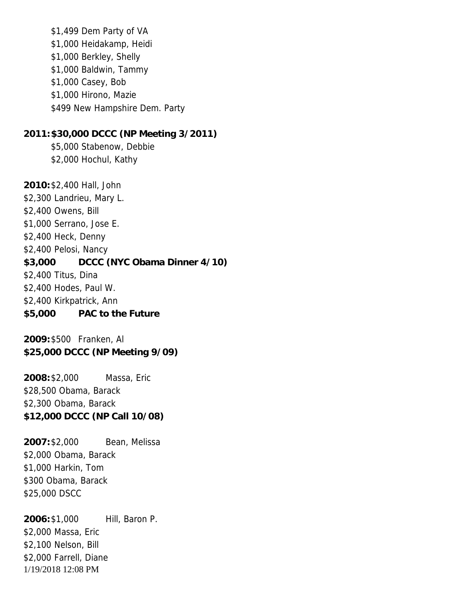\$1,499 Dem Party of VA \$1,000 Heidakamp, Heidi \$1,000 Berkley, Shelly \$1,000 Baldwin, Tammy \$1,000 Casey, Bob \$1,000 Hirono, Mazie \$499 New Hampshire Dem. Party **2011:\$30,000 DCCC (NP Meeting 3/2011)** \$5,000 Stabenow, Debbie \$2,000 Hochul, Kathy **2010:**\$2,400 Hall, John \$2,300 Landrieu, Mary L.

\$2,400 Owens, Bill \$1,000 Serrano, Jose E. \$2,400 Heck, Denny \$2,400 Pelosi, Nancy **\$3,000 DCCC (NYC Obama Dinner 4/10)** \$2,400 Titus, Dina \$2,400 Hodes, Paul W. \$2,400 Kirkpatrick, Ann **\$5,000 PAC to the Future**

**2009:**\$500 Franken, Al **\$25,000 DCCC (NP Meeting 9/09)**

**2008:**\$2,000 Massa, Eric \$28,500 Obama, Barack \$2,300 Obama, Barack **\$12,000 DCCC (NP Call 10/08)**

**2007:**\$2,000 Bean, Melissa \$2,000 Obama, Barack \$1,000 Harkin, Tom \$300 Obama, Barack \$25,000 DSCC

1/19/2018 12:08 PM **2006:**\$1,000 Hill, Baron P. \$2,000 Massa, Eric \$2,100 Nelson, Bill \$2,000 Farrell, Diane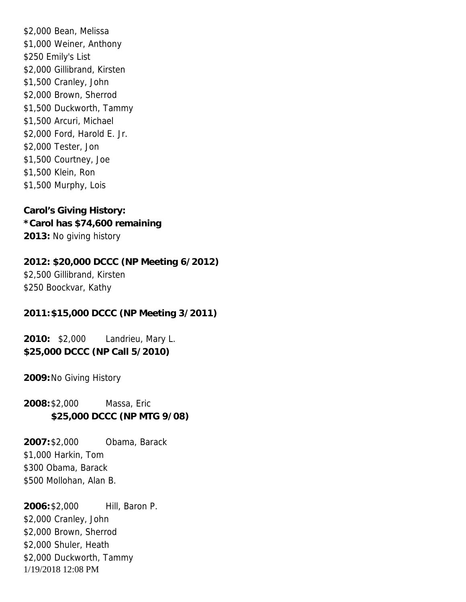\$2,000 Bean, Melissa \$1,000 Weiner, Anthony \$250 Emily's List \$2,000 Gillibrand, Kirsten \$1,500 Cranley, John \$2,000 Brown, Sherrod \$1,500 Duckworth, Tammy \$1,500 Arcuri, Michael \$2,000 Ford, Harold E. Jr. \$2,000 Tester, Jon \$1,500 Courtney, Joe \$1,500 Klein, Ron \$1,500 Murphy, Lois

**Carol's Giving History:** *\*Carol has \$74,600 remaining* **2013:** No giving history

**2012: \$20,000 DCCC (NP Meeting 6/2012)** \$2,500 Gillibrand, Kirsten \$250 Boockvar, Kathy

**2011:\$15,000 DCCC (NP Meeting 3/2011)**

**2010:** \$2,000 Landrieu, Mary L. **\$25,000 DCCC (NP Call 5/2010)**

**2009:**No Giving History

**2008:**\$2,000 Massa, Eric **\$25,000 DCCC (NP MTG 9/08)**

**2007:**\$2,000 Obama, Barack \$1,000 Harkin, Tom \$300 Obama, Barack \$500 Mollohan, Alan B.

1/19/2018 12:08 PM **2006:**\$2,000 Hill, Baron P. \$2,000 Cranley, John \$2,000 Brown, Sherrod \$2,000 Shuler, Heath \$2,000 Duckworth, Tammy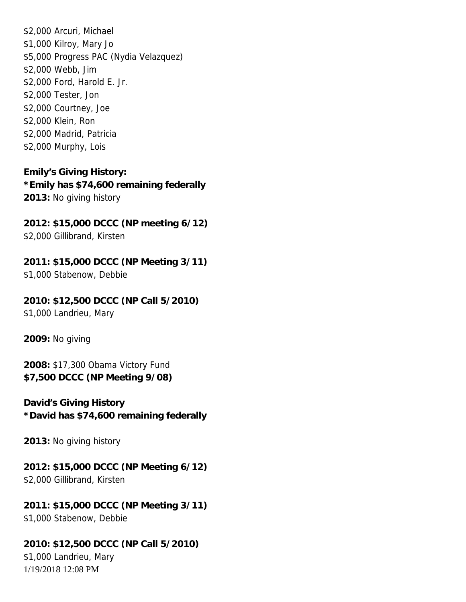\$2,000 Arcuri, Michael \$1,000 Kilroy, Mary Jo \$5,000 Progress PAC (Nydia Velazquez) \$2,000 Webb, Jim \$2,000 Ford, Harold E. Jr. \$2,000 Tester, Jon \$2,000 Courtney, Joe \$2,000 Klein, Ron \$2,000 Madrid, Patricia \$2,000 Murphy, Lois

**Emily's Giving History:** *\*Emily has \$74,600 remaining federally* **2013:** No giving history

**2012: \$15,000 DCCC (NP meeting 6/12)** \$2,000 Gillibrand, Kirsten

**2011: \$15,000 DCCC (NP Meeting 3/11)** \$1,000 Stabenow, Debbie

**2010: \$12,500 DCCC (NP Call 5/2010)** \$1,000 Landrieu, Mary

**2009:** No giving

**2008:** \$17,300 Obama Victory Fund **\$7,500 DCCC (NP Meeting 9/08)**

**David's Giving History** *\*David has \$74,600 remaining federally*

**2013:** No giving history

**2012: \$15,000 DCCC (NP Meeting 6/12)** \$2,000 Gillibrand, Kirsten

**2011: \$15,000 DCCC (NP Meeting 3/11)** \$1,000 Stabenow, Debbie

1/19/2018 12:08 PM **2010: \$12,500 DCCC (NP Call 5/2010)** \$1,000 Landrieu, Mary